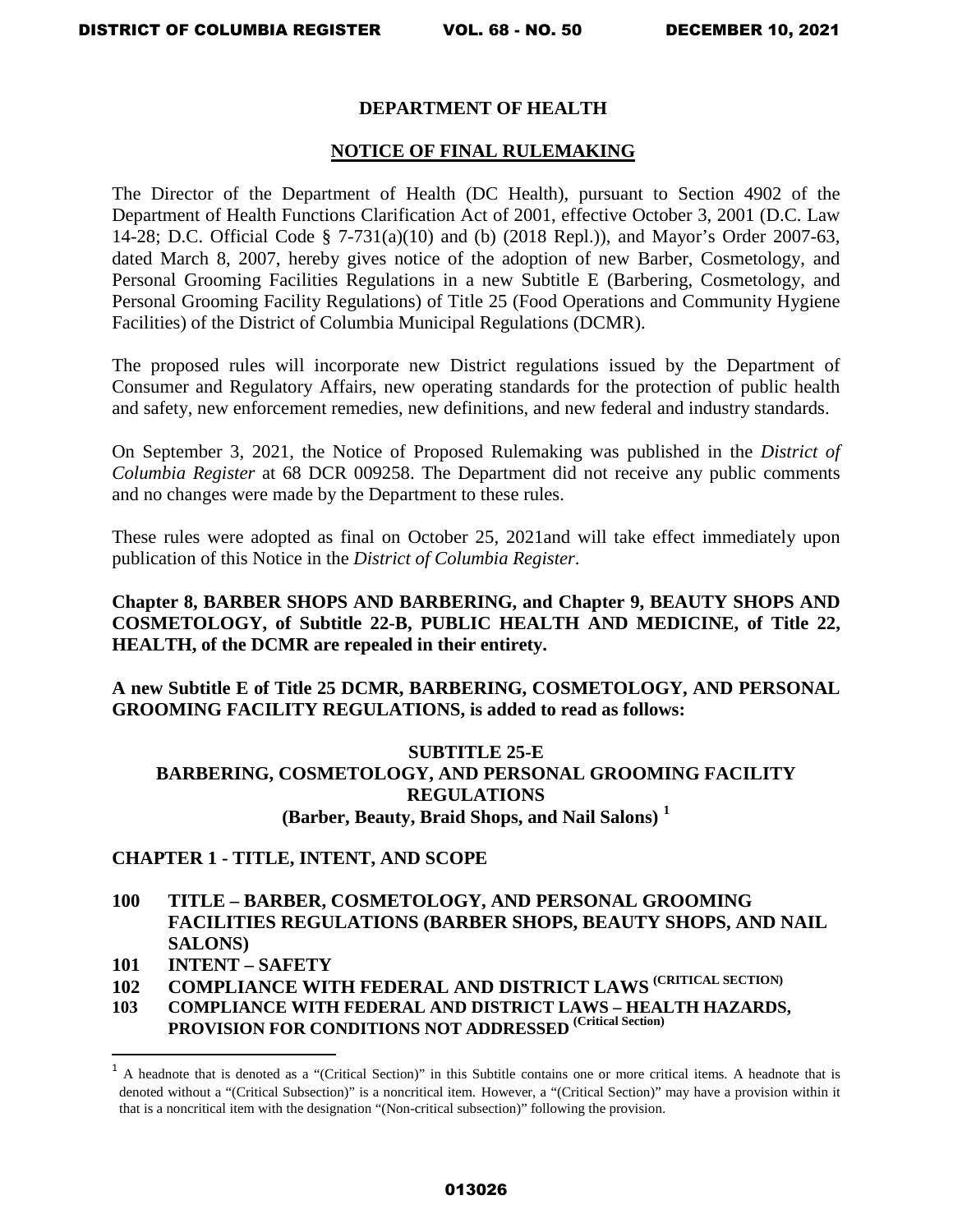### **DEPARTMENT OF HEALTH**

#### **NOTICE OF FINAL RULEMAKING**

The Director of the Department of Health (DC Health), pursuant to Section 4902 of the Department of Health Functions Clarification Act of 2001, effective October 3, 2001 (D.C. Law 14-28; D.C. Official Code § 7-731(a)(10) and (b) (2018 Repl.)), and Mayor's Order 2007-63, dated March 8, 2007, hereby gives notice of the adoption of new Barber, Cosmetology, and Personal Grooming Facilities Regulations in a new Subtitle E (Barbering, Cosmetology, and Personal Grooming Facility Regulations) of Title 25 (Food Operations and Community Hygiene Facilities) of the District of Columbia Municipal Regulations (DCMR).

The proposed rules will incorporate new District regulations issued by the Department of Consumer and Regulatory Affairs, new operating standards for the protection of public health and safety, new enforcement remedies, new definitions, and new federal and industry standards.

On September 3, 2021, the Notice of Proposed Rulemaking was published in the *District of Columbia Register* at 68 DCR 009258. The Department did not receive any public comments and no changes were made by the Department to these rules.

These rules were adopted as final on October 25, 2021and will take effect immediately upon publication of this Notice in the *District of Columbia Register*.

**Chapter 8, BARBER SHOPS AND BARBERING, and Chapter 9, BEAUTY SHOPS AND COSMETOLOGY, of Subtitle 22-B, PUBLIC HEALTH AND MEDICINE, of Title 22, HEALTH, of the DCMR are repealed in their entirety.** 

**A new Subtitle E of Title 25 DCMR, BARBERING, COSMETOLOGY, AND PERSONAL GROOMING FACILITY REGULATIONS, is added to read as follows:** 

# **SUBTITLE 25-E BARBERING, COSMETOLOGY, AND PERSONAL GROOMING FACILITY REGULATIONS (Barber, Beauty, Braid Shops, and Nail Salons) [1](#page-0-0)**

### **CHAPTER 1 - TITLE, INTENT, AND SCOPE**

- **100 TITLE – BARBER, COSMETOLOGY, AND PERSONAL GROOMING FACILITIES REGULATIONS (BARBER SHOPS, BEAUTY SHOPS, AND NAIL SALONS)**
- **101 INTENT SAFETY**

 $\overline{a}$ 

- **102 COMPLIANCE WITH FEDERAL AND DISTRICT LAWS (CRITICAL SECTION)**
- **103 COMPLIANCE WITH FEDERAL AND DISTRICT LAWS HEALTH HAZARDS, PROVISION FOR CONDITIONS NOT ADDRESSED (Critical Section)**

<span id="page-0-0"></span><sup>&</sup>lt;sup>1</sup> A headnote that is denoted as a "(Critical Section)" in this Subtitle contains one or more critical items. A headnote that is denoted without a "(Critical Subsection)" is a noncritical item. However, a "(Critical Section)" may have a provision within it that is a noncritical item with the designation "(Non-critical subsection)" following the provision.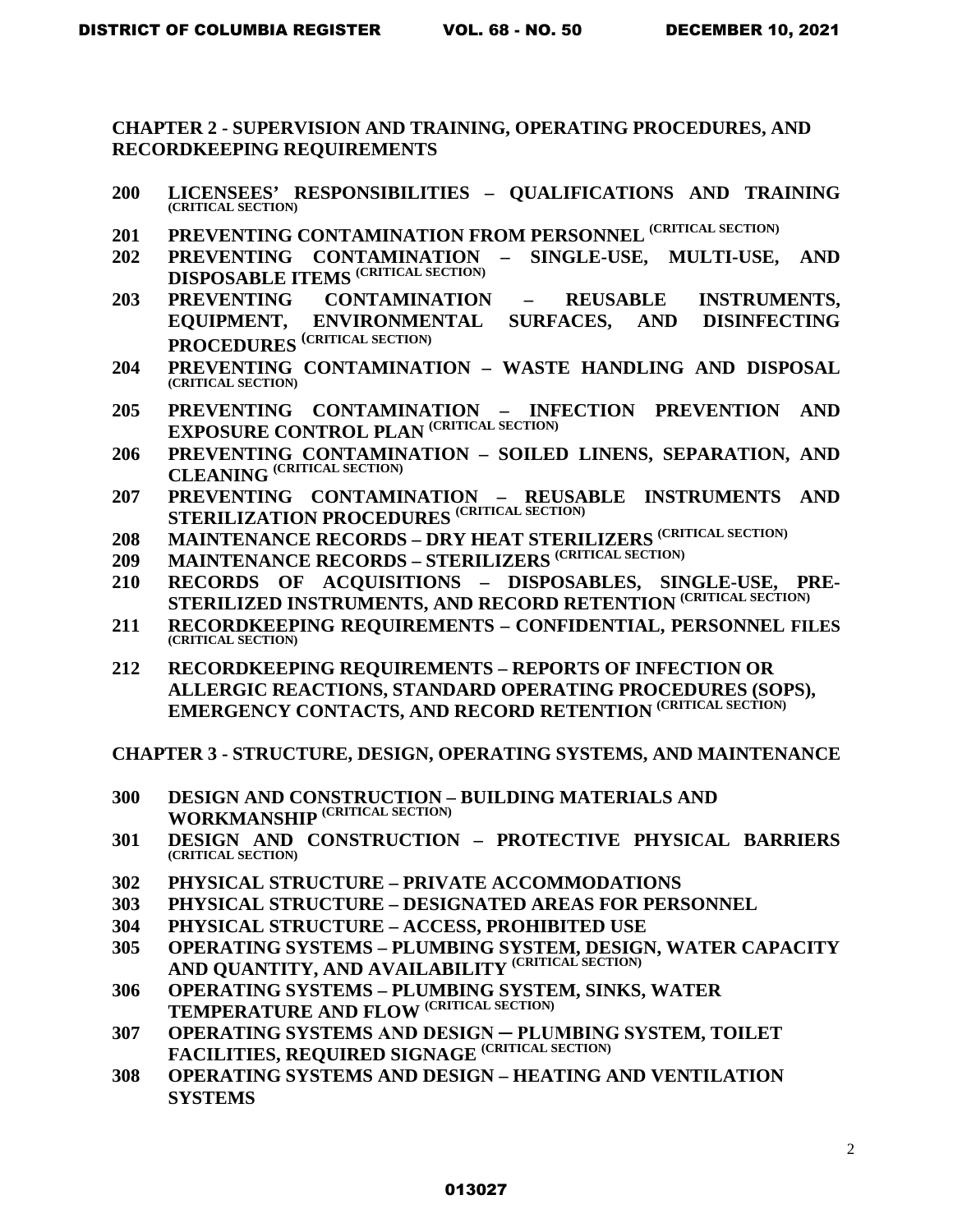**CHAPTER 2 - SUPERVISION AND TRAINING, OPERATING PROCEDURES, AND RECORDKEEPING REQUIREMENTS** 

- **200 LICENSEES' RESPONSIBILITIES QUALIFICATIONS AND TRAINING (CRITICAL SECTION)**
- **201 PREVENTING CONTAMINATION FROM PERSONNEL (CRITICAL SECTION)**
- **202 PREVENTING CONTAMINATION SINGLE-USE, MULTI-USE, AND DISPOSABLE ITEMS (CRITICAL SECTION)**
- **203 PREVENTING CONTAMINATION REUSABLE INSTRUMENTS, EQUIPMENT, ENVIRONMENTAL SURFACES, AND DISINFECTING PROCEDURES (CRITICAL SECTION)**
- **204 PREVENTING CONTAMINATION WASTE HANDLING AND DISPOSAL (CRITICAL SECTION)**
- **205 PREVENTING CONTAMINATION INFECTION PREVENTION AND EXPOSURE CONTROL PLAN (CRITICAL SECTION)**
- **206 PREVENTING CONTAMINATION SOILED LINENS, SEPARATION, AND CLEANING (CRITICAL SECTION)**
- **207 PREVENTING CONTAMINATION REUSABLE INSTRUMENTS AND STERILIZATION PROCEDURES (CRITICAL SECTION)**
- **208 MAINTENANCE RECORDS DRY HEAT STERILIZERS (CRITICAL SECTION)**
- **209 MAINTENANCE RECORDS STERILIZERS (CRITICAL SECTION)**
- **210 RECORDS OF ACQUISITIONS DISPOSABLES, SINGLE-USE, PRE-STERILIZED INSTRUMENTS, AND RECORD RETENTION (CRITICAL SECTION)**
- **211 RECORDKEEPING REQUIREMENTS CONFIDENTIAL, PERSONNEL FILES (CRITICAL SECTION)**
- **212 RECORDKEEPING REQUIREMENTS REPORTS OF INFECTION OR ALLERGIC REACTIONS, STANDARD OPERATING PROCEDURES (SOPS), EMERGENCY CONTACTS, AND RECORD RETENTION (CRITICAL SECTION)**

**CHAPTER 3 - STRUCTURE, DESIGN, OPERATING SYSTEMS, AND MAINTENANCE**

- **300 DESIGN AND CONSTRUCTION BUILDING MATERIALS AND**  WORKMANSHIP (CRITICAL SECTION)
- **301 DESIGN AND CONSTRUCTION PROTECTIVE PHYSICAL BARRIERS (CRITICAL SECTION)**
- **302 PHYSICAL STRUCTURE PRIVATE ACCOMMODATIONS**
- **303 PHYSICAL STRUCTURE DESIGNATED AREAS FOR PERSONNEL**
- **304 PHYSICAL STRUCTURE ACCESS, PROHIBITED USE**
- **305 OPERATING SYSTEMS PLUMBING SYSTEM, DESIGN, WATER CAPACITY AND QUANTITY, AND AVAILABILITY (CRITICAL SECTION)**
- **306 OPERATING SYSTEMS PLUMBING SYSTEM, SINKS, WATER TEMPERATURE AND FLOW (CRITICAL SECTION)**
- **307 OPERATING SYSTEMS AND DESIGN ─ PLUMBING SYSTEM, TOILET**  FACILITIES, REQUIRED SIGNAGE (CRITICAL SECTION)
- **308 OPERATING SYSTEMS AND DESIGN HEATING AND VENTILATION SYSTEMS**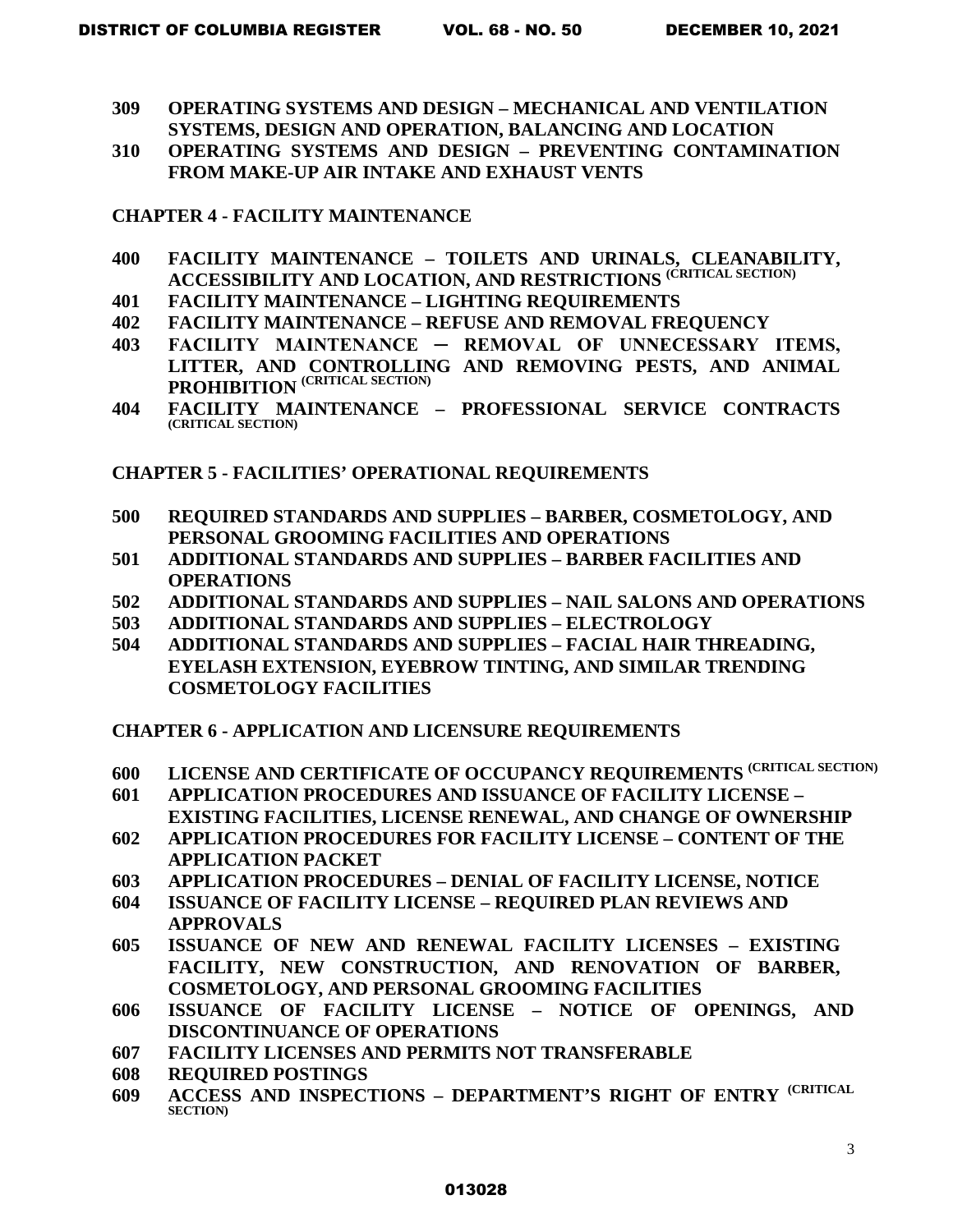- **309 OPERATING SYSTEMS AND DESIGN MECHANICAL AND VENTILATION SYSTEMS, DESIGN AND OPERATION, BALANCING AND LOCATION**
- **310 OPERATING SYSTEMS AND DESIGN PREVENTING CONTAMINATION FROM MAKE-UP AIR INTAKE AND EXHAUST VENTS**

### **CHAPTER 4 - FACILITY MAINTENANCE**

- **400 FACILITY MAINTENANCE TOILETS AND URINALS, CLEANABILITY, ACCESSIBILITY AND LOCATION, AND RESTRICTIONS (CRITICAL SECTION)**
- **401 FACILITY MAINTENANCE LIGHTING REQUIREMENTS**
- **402 FACILITY MAINTENANCE REFUSE AND REMOVAL FREQUENCY**
- **403 FACILITY MAINTENANCE ─ REMOVAL OF UNNECESSARY ITEMS, LITTER, AND CONTROLLING AND REMOVING PESTS, AND ANIMAL PROHIBITION (CRITICAL SECTION)**
- **404 FACILITY MAINTENANCE PROFESSIONAL SERVICE CONTRACTS (CRITICAL SECTION)**

### **CHAPTER 5 - FACILITIES' OPERATIONAL REQUIREMENTS**

- **500 REQUIRED STANDARDS AND SUPPLIES BARBER, COSMETOLOGY, AND PERSONAL GROOMING FACILITIES AND OPERATIONS**
- **501 ADDITIONAL STANDARDS AND SUPPLIES BARBER FACILITIES AND OPERATIONS**
- **502 ADDITIONAL STANDARDS AND SUPPLIES NAIL SALONS AND OPERATIONS**
- **503 ADDITIONAL STANDARDS AND SUPPLIES ELECTROLOGY**
- **504 ADDITIONAL STANDARDS AND SUPPLIES FACIAL HAIR THREADING, EYELASH EXTENSION, EYEBROW TINTING, AND SIMILAR TRENDING COSMETOLOGY FACILITIES**

### **CHAPTER 6 - APPLICATION AND LICENSURE REQUIREMENTS**

- **600 LICENSE AND CERTIFICATE OF OCCUPANCY REQUIREMENTS (CRITICAL SECTION)**
- **601 APPLICATION PROCEDURES AND ISSUANCE OF FACILITY LICENSE**
- **EXISTING FACILITIES, LICENSE RENEWAL, AND CHANGE OF OWNERSHIP**
- **602 APPLICATION PROCEDURES FOR FACILITY LICENSE CONTENT OF THE APPLICATION PACKET**
- **603 APPLICATION PROCEDURES DENIAL OF FACILITY LICENSE, NOTICE**
- **604 ISSUANCE OF FACILITY LICENSE REQUIRED PLAN REVIEWS AND APPROVALS**
- **605 ISSUANCE OF NEW AND RENEWAL FACILITY LICENSES EXISTING FACILITY, NEW CONSTRUCTION, AND RENOVATION OF BARBER, COSMETOLOGY, AND PERSONAL GROOMING FACILITIES**
- **606 ISSUANCE OF FACILITY LICENSE NOTICE OF OPENINGS, AND DISCONTINUANCE OF OPERATIONS**
- **607 FACILITY LICENSES AND PERMITS NOT TRANSFERABLE**
- **608 REQUIRED POSTINGS**
- **609 ACCESS AND INSPECTIONS DEPARTMENT'S RIGHT OF ENTRY (CRITICAL SECTION)**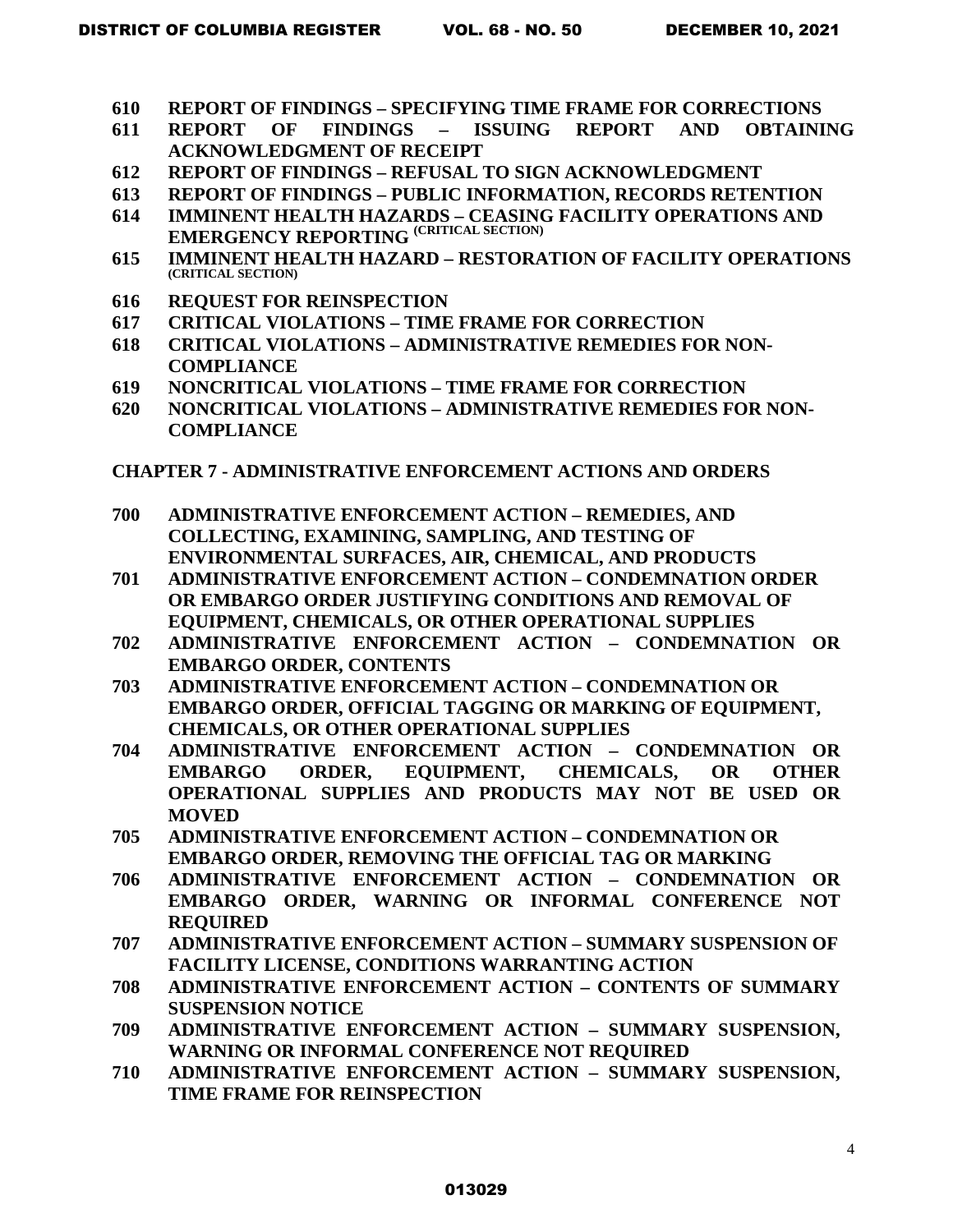- **610 REPORT OF FINDINGS SPECIFYING TIME FRAME FOR CORRECTIONS**
- **611 REPORT OF FINDINGS ISSUING REPORT AND OBTAINING ACKNOWLEDGMENT OF RECEIPT**
- **612 REPORT OF FINDINGS REFUSAL TO SIGN ACKNOWLEDGMENT**
- **613 REPORT OF FINDINGS PUBLIC INFORMATION, RECORDS RETENTION**
- **614 IMMINENT HEALTH HAZARDS CEASING FACILITY OPERATIONS AND EMERGENCY REPORTING (CRITICAL SECTION)**
- **615 IMMINENT HEALTH HAZARD RESTORATION OF FACILITY OPERATIONS (CRITICAL SECTION)**
- **616 REQUEST FOR REINSPECTION**
- **617 CRITICAL VIOLATIONS TIME FRAME FOR CORRECTION**
- **618 CRITICAL VIOLATIONS ADMINISTRATIVE REMEDIES FOR NON-COMPLIANCE**
- **619 NONCRITICAL VIOLATIONS TIME FRAME FOR CORRECTION**
- **620 NONCRITICAL VIOLATIONS ADMINISTRATIVE REMEDIES FOR NON-COMPLIANCE**
- **CHAPTER 7 ADMINISTRATIVE ENFORCEMENT ACTIONS AND ORDERS**
- **700 ADMINISTRATIVE ENFORCEMENT ACTION REMEDIES, AND COLLECTING, EXAMINING, SAMPLING, AND TESTING OF ENVIRONMENTAL SURFACES, AIR, CHEMICAL, AND PRODUCTS**
- **701 ADMINISTRATIVE ENFORCEMENT ACTION CONDEMNATION ORDER OR EMBARGO ORDER JUSTIFYING CONDITIONS AND REMOVAL OF EQUIPMENT, CHEMICALS, OR OTHER OPERATIONAL SUPPLIES**
- **702 ADMINISTRATIVE ENFORCEMENT ACTION CONDEMNATION OR EMBARGO ORDER, CONTENTS**
- **703 ADMINISTRATIVE ENFORCEMENT ACTION CONDEMNATION OR EMBARGO ORDER, OFFICIAL TAGGING OR MARKING OF EQUIPMENT, CHEMICALS, OR OTHER OPERATIONAL SUPPLIES**
- **704 ADMINISTRATIVE ENFORCEMENT ACTION CONDEMNATION OR EMBARGO ORDER, EQUIPMENT, CHEMICALS, OR OTHER OPERATIONAL SUPPLIES AND PRODUCTS MAY NOT BE USED OR MOVED**
- **705 ADMINISTRATIVE ENFORCEMENT ACTION CONDEMNATION OR EMBARGO ORDER, REMOVING THE OFFICIAL TAG OR MARKING**
- **706 ADMINISTRATIVE ENFORCEMENT ACTION CONDEMNATION OR EMBARGO ORDER, WARNING OR INFORMAL CONFERENCE NOT REQUIRED**
- **707 ADMINISTRATIVE ENFORCEMENT ACTION SUMMARY SUSPENSION OF FACILITY LICENSE, CONDITIONS WARRANTING ACTION**
- **708 ADMINISTRATIVE ENFORCEMENT ACTION CONTENTS OF SUMMARY SUSPENSION NOTICE**
- **709 ADMINISTRATIVE ENFORCEMENT ACTION SUMMARY SUSPENSION, WARNING OR INFORMAL CONFERENCE NOT REQUIRED**
- **710 ADMINISTRATIVE ENFORCEMENT ACTION SUMMARY SUSPENSION, TIME FRAME FOR REINSPECTION**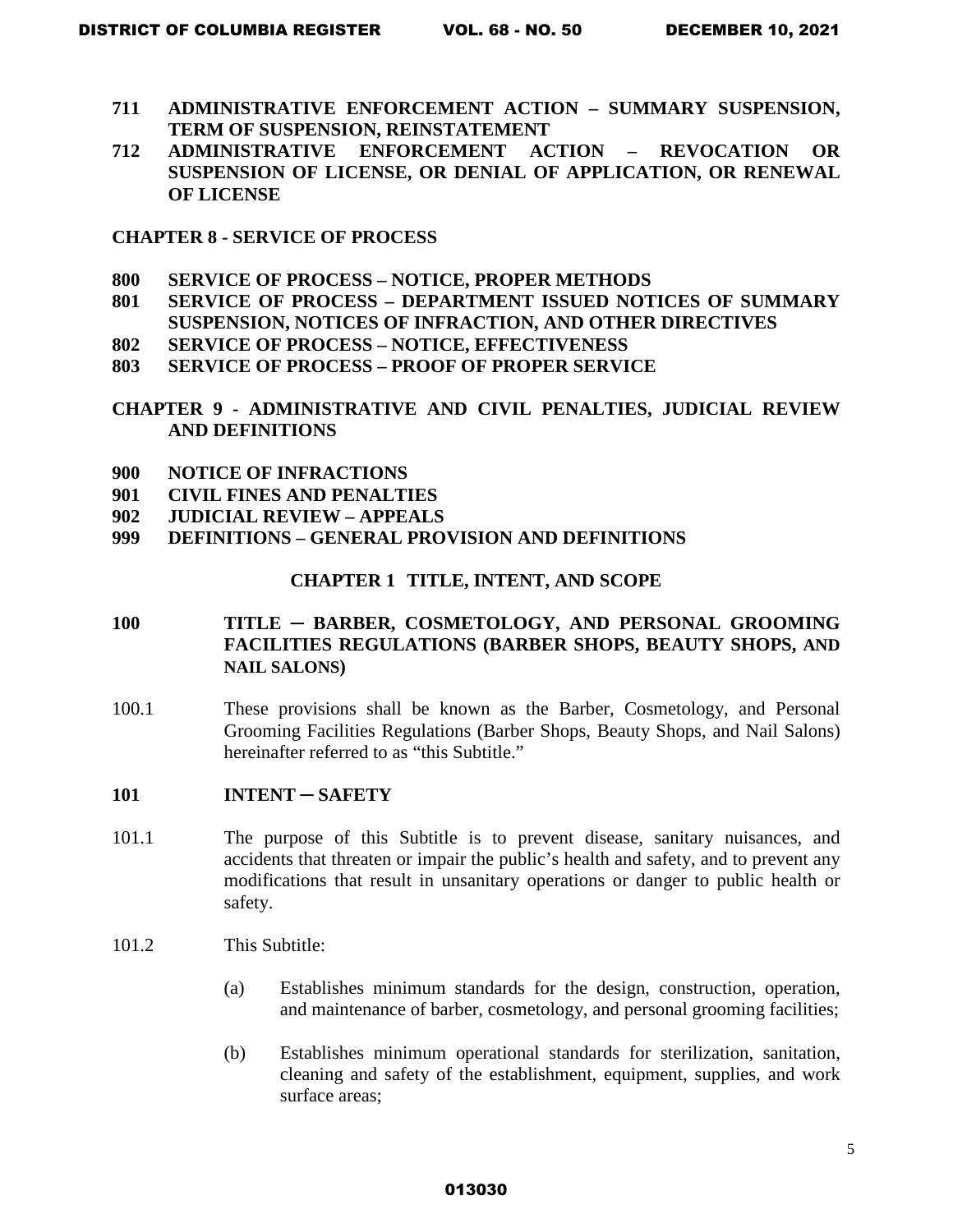- **711 ADMINISTRATIVE ENFORCEMENT ACTION SUMMARY SUSPENSION, TERM OF SUSPENSION, REINSTATEMENT**
- **712 ADMINISTRATIVE ENFORCEMENT ACTION REVOCATION OR SUSPENSION OF LICENSE, OR DENIAL OF APPLICATION, OR RENEWAL OF LICENSE**

**CHAPTER 8 - SERVICE OF PROCESS**

- **800 SERVICE OF PROCESS NOTICE, PROPER METHODS**
- **801 SERVICE OF PROCESS DEPARTMENT ISSUED NOTICES OF SUMMARY SUSPENSION, NOTICES OF INFRACTION, AND OTHER DIRECTIVES**
- **802 SERVICE OF PROCESS NOTICE, EFFECTIVENESS**
- **803 SERVICE OF PROCESS PROOF OF PROPER SERVICE**
- **CHAPTER 9 ADMINISTRATIVE AND CIVIL PENALTIES, JUDICIAL REVIEW AND DEFINITIONS**
- **900 NOTICE OF INFRACTIONS**
- **901 CIVIL FINES AND PENALTIES**
- **902 JUDICIAL REVIEW APPEALS**
- **999 DEFINITIONS GENERAL PROVISION AND DEFINITIONS**

### **CHAPTER 1 TITLE, INTENT, AND SCOPE**

# **100 TITLE** ─ **BARBER, COSMETOLOGY, AND PERSONAL GROOMING FACILITIES REGULATIONS (BARBER SHOPS, BEAUTY SHOPS, AND NAIL SALONS)**

- 100.1 These provisions shall be known as the Barber, Cosmetology, and Personal Grooming Facilities Regulations (Barber Shops, Beauty Shops, and Nail Salons) hereinafter referred to as "this Subtitle."
- **101 INTENT** ─ **SAFETY**
- 101.1 The purpose of this Subtitle is to prevent disease, sanitary nuisances, and accidents that threaten or impair the public's health and safety, and to prevent any modifications that result in unsanitary operations or danger to public health or safety.
- 101.2 This Subtitle:
	- (a) Establishes minimum standards for the design, construction, operation, and maintenance of barber, cosmetology, and personal grooming facilities;
	- (b) Establishes minimum operational standards for sterilization, sanitation, cleaning and safety of the establishment, equipment, supplies, and work surface areas;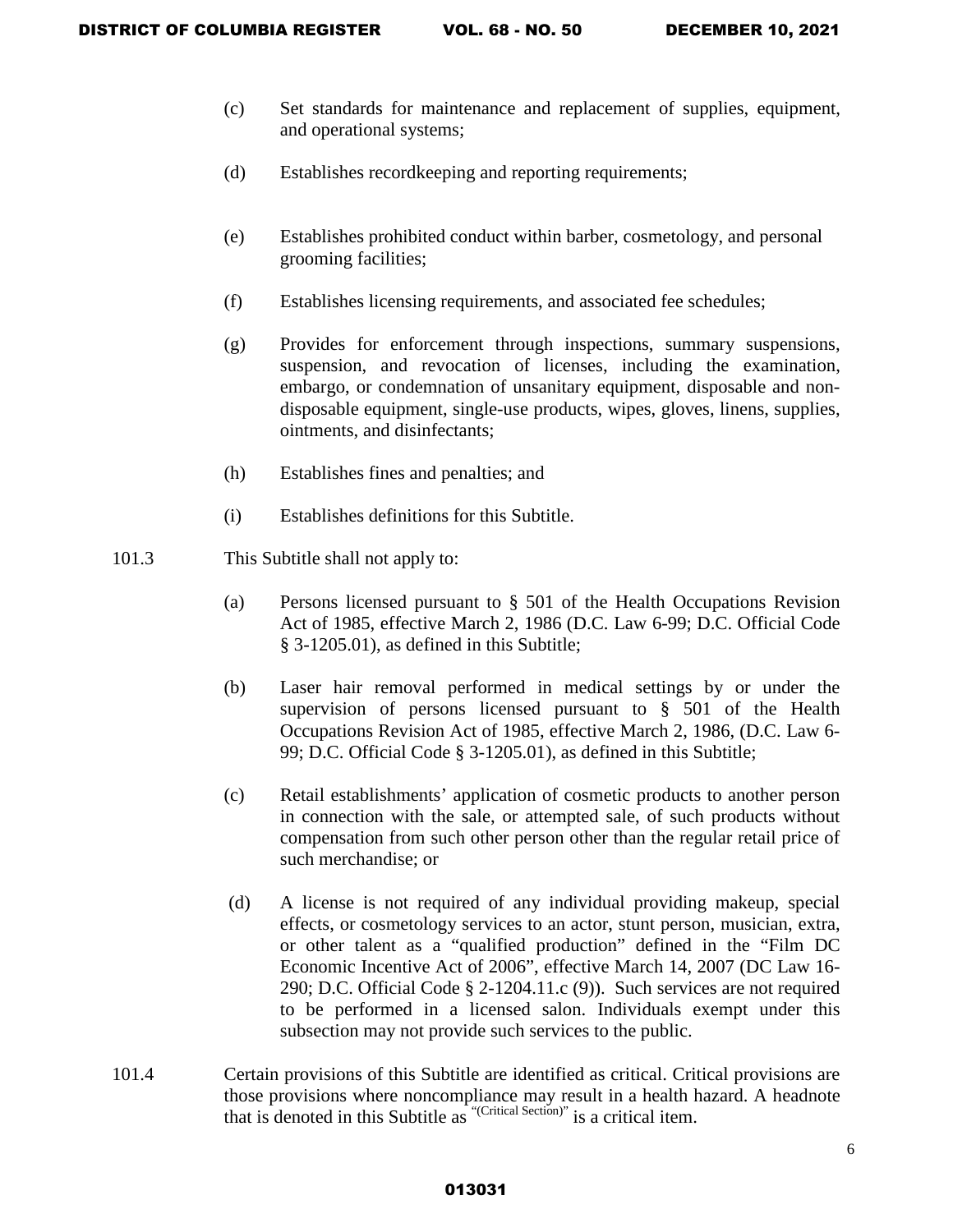- (c) Set standards for maintenance and replacement of supplies, equipment, and operational systems;
- (d) Establishes recordkeeping and reporting requirements;
- (e) Establishes prohibited conduct within barber, cosmetology, and personal grooming facilities;
- (f) Establishes licensing requirements, and associated fee schedules;
- (g) Provides for enforcement through inspections, summary suspensions, suspension, and revocation of licenses, including the examination, embargo, or condemnation of unsanitary equipment, disposable and nondisposable equipment, single-use products, wipes, gloves, linens, supplies, ointments, and disinfectants;
- (h) Establishes fines and penalties; and
- (i) Establishes definitions for this Subtitle.
- 101.3 This Subtitle shall not apply to:
	- (a) Persons licensed pursuant to § 501 of the Health Occupations Revision Act of 1985, effective March 2, 1986 (D.C. Law 6-99; D.C. Official Code § 3-1205.01), as defined in this Subtitle;
	- (b) Laser hair removal performed in medical settings by or under the supervision of persons licensed pursuant to § 501 of the Health Occupations Revision Act of 1985, effective March 2, 1986, (D.C. Law 6- 99; D.C. Official Code § 3-1205.01), as defined in this Subtitle;
	- (c) Retail establishments' application of cosmetic products to another person in connection with the sale, or attempted sale, of such products without compensation from such other person other than the regular retail price of such merchandise; or
	- (d) A license is not required of any individual providing makeup, special effects, or cosmetology services to an actor, stunt person, musician, extra, or other talent as a "qualified production" defined in the "Film DC Economic Incentive Act of 2006", effective March 14, 2007 (DC Law 16- 290; D.C. Official Code § 2-1204.11.c (9)). Such services are not required to be performed in a licensed salon. Individuals exempt under this subsection may not provide such services to the public.
- 101.4 Certain provisions of this Subtitle are identified as critical. Critical provisions are those provisions where noncompliance may result in a health hazard. A headnote that is denoted in this Subtitle as "(Critical Section)" is a critical item.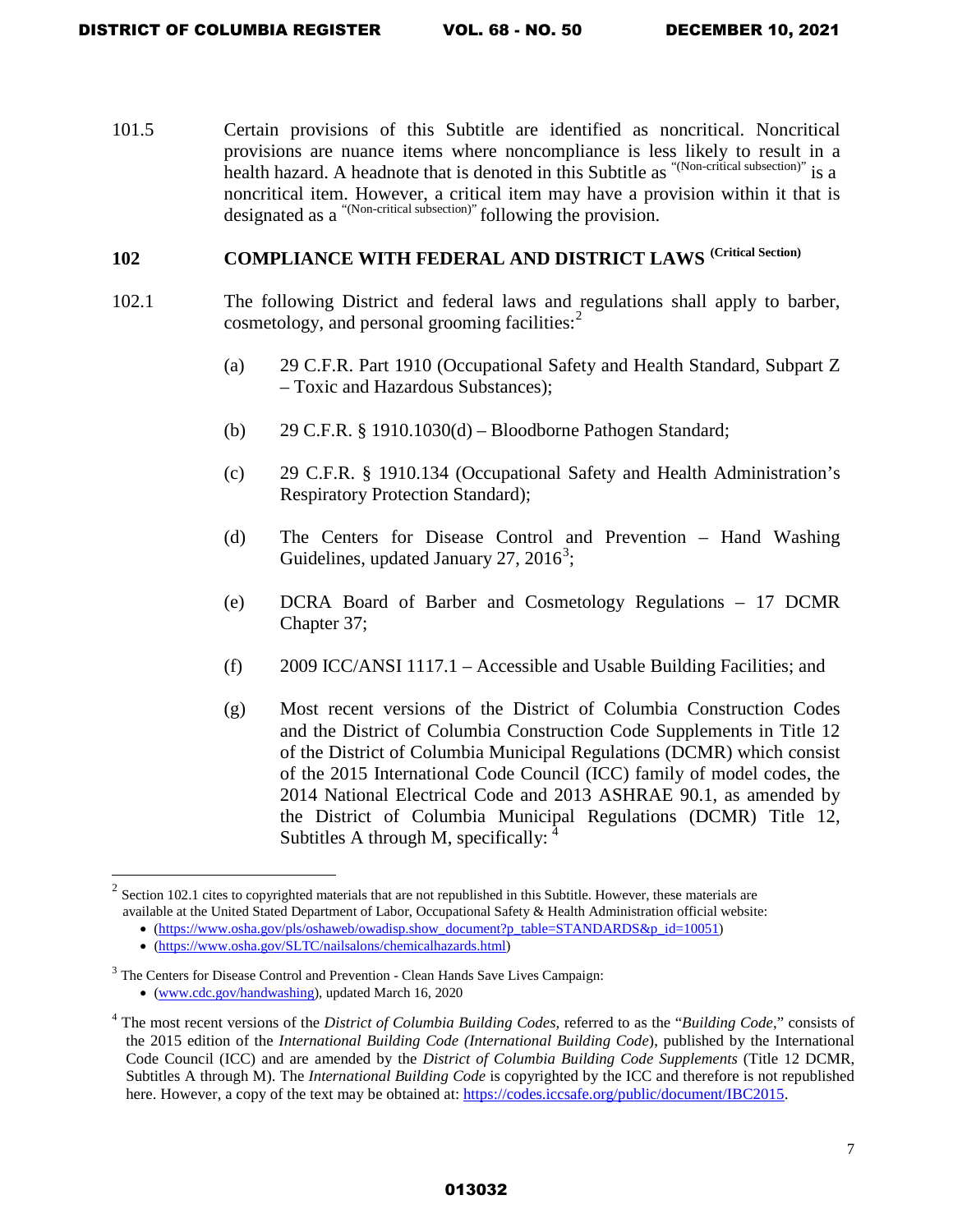101.5 Certain provisions of this Subtitle are identified as noncritical. Noncritical provisions are nuance items where noncompliance is less likely to result in a health hazard. A headnote that is denoted in this Subtitle as "(Non-critical subsection)" is a noncritical item. However, a critical item may have a provision within it that is designated as a "(Non-critical subsection)" following the provision.

# **102 COMPLIANCE WITH FEDERAL AND DISTRICT LAWS <sup>(Critical Section)</sup>**

- 102.1 The following District and federal laws and regulations shall apply to barber, cosmetology, and personal grooming facilities: [2](#page-6-0)
	- (a) 29 C.F.R. Part 1910 (Occupational Safety and Health Standard, Subpart Z – Toxic and Hazardous Substances);
	- (b) 29 C.F.R. § 1910.1030(d) Bloodborne Pathogen Standard;
	- (c) [29 C.F.R. § 1910.134](https://www.osha.gov/pls/oshaweb/owadisp.show_document?p_table=STANDARDS&p_id=12716) (Occupational Safety and Health Administration's Respiratory Protection Standard);
	- (d) The Centers for Disease Control and Prevention Hand Washing Guidelines, updated January 27,  $2016^3$  $2016^3$ ;
	- (e) DCRA Board of Barber and Cosmetology Regulations 17 DCMR Chapter 37;
	- (f) 2009 ICC/ANSI 1117.1 Accessible and Usable Building Facilities; and
	- (g) Most recent versions of the District of Columbia Construction Codes and the District of Columbia Construction Code Supplements in Title 12 of the District of Columbia Municipal Regulations (DCMR) which consist of the 2015 International Code Council (ICC) family of model codes, the 2014 National Electrical Code and 2013 ASHRAE 90.1, as amended by the District of Columbia Municipal Regulations (DCMR) Title 12, Subtitles A through M, specifically:  $<sup>4</sup>$  $<sup>4</sup>$  $<sup>4</sup>$ </sup>

 $\overline{\phantom{a}}$ 

<span id="page-6-0"></span> $2 \cdot$  Section 102.1 cites to copyrighted materials that are not republished in this Subtitle. However, these materials are available at the United Stated Department of Labor, Occupational Safety & Health Administration official website:

<sup>•</sup> [\(https://www.osha.gov/pls/oshaweb/owadisp.show\\_document?p\\_table=STANDARDS&p\\_id=10051\)](https://www.osha.gov/pls/oshaweb/owadisp.show_document?p_table=STANDARDS&p_id=10051)

<sup>•</sup> [\(https://www.osha.gov/SLTC/nailsalons/chemicalhazards.html\)](https://www.osha.gov/SLTC/nailsalons/chemicalhazards.html)

<span id="page-6-1"></span><sup>&</sup>lt;sup>3</sup> The Centers for Disease Control and Prevention - Clean Hands Save Lives Campaign: • (www.cdc.gov/handwashing), updated March 16, 2020

<span id="page-6-2"></span><sup>4</sup> The most recent versions of the *District of Columbia Building Codes,* referred to as the "*Building Code*," consists of the 2015 edition of the *International Building Code (International Building Code*), published by the International Code Council (ICC) and are amended by the *District of Columbia Building Code Supplements* (Title 12 DCMR, Subtitles A through M). The *International Building Code* is copyrighted by the ICC and therefore is not republished here. However, a copy of the text may be obtained at: [https://codes.iccsafe.org/public/document/IBC2015.](https://codes.iccsafe.org/public/document/IBC2015)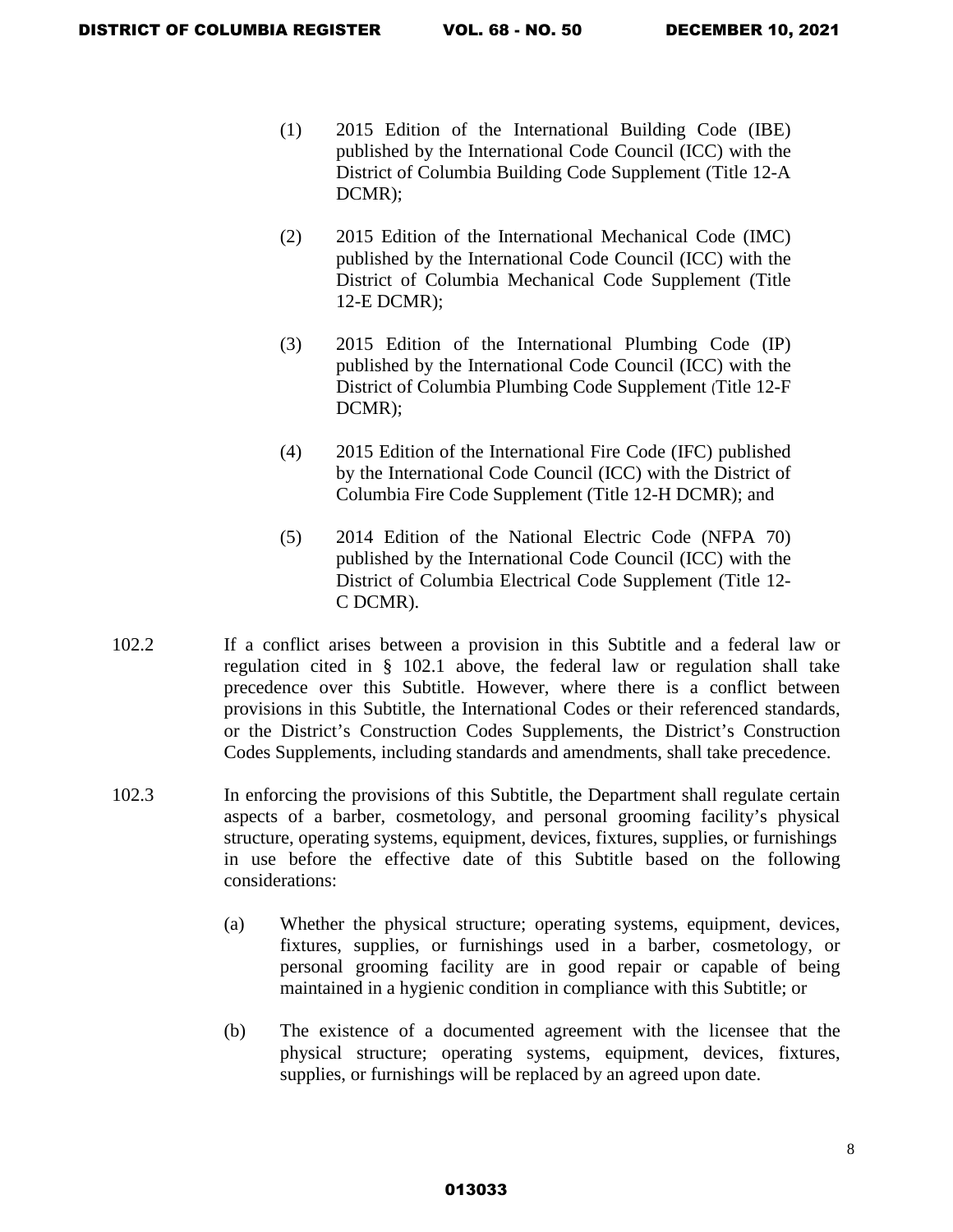- (1) 2015 Edition of the International Building Code (IBE) published by the International Code Council (ICC) with the District of Columbia Building Code Supplement (Title 12-A DCMR);
- (2) 2015 Edition of the International Mechanical Code (IMC) published by the International Code Council (ICC) with the District of Columbia Mechanical Code Supplement (Title 12-E DCMR);
- (3) 2015 Edition of the International Plumbing Code (IP) published by the International Code Council (ICC) with the District of Columbia Plumbing Code Supplement (Title 12-F DCMR);
- (4) 2015 Edition of the International Fire Code (IFC) published by the International Code Council (ICC) with the District of Columbia Fire Code Supplement (Title 12-H DCMR); and
- (5) 2014 Edition of the National Electric Code (NFPA 70) published by the International Code Council (ICC) with the District of Columbia Electrical Code Supplement (Title 12- C DCMR).
- 102.2 If a conflict arises between a provision in this Subtitle and a federal law or regulation cited in § 102.1 above, the federal law or regulation shall take precedence over this Subtitle. However, where there is a conflict between provisions in this Subtitle, the International Codes or their referenced standards, or the District's Construction Codes Supplements, the District's Construction Codes Supplements, including standards and amendments, shall take precedence.
- 102.3 In enforcing the provisions of this Subtitle, the Department shall regulate certain aspects of a barber, cosmetology, and personal grooming facility's physical structure, operating systems, equipment, devices, fixtures, supplies, or furnishings in use before the effective date of this Subtitle based on the following considerations:
	- (a) Whether the physical structure; operating systems, equipment, devices, fixtures, supplies, or furnishings used in a barber, cosmetology, or personal grooming facility are in good repair or capable of being maintained in a hygienic condition in compliance with this Subtitle; or
	- (b) The existence of a documented agreement with the licensee that the physical structure; operating systems, equipment, devices, fixtures, supplies, or furnishings will be replaced by an agreed upon date.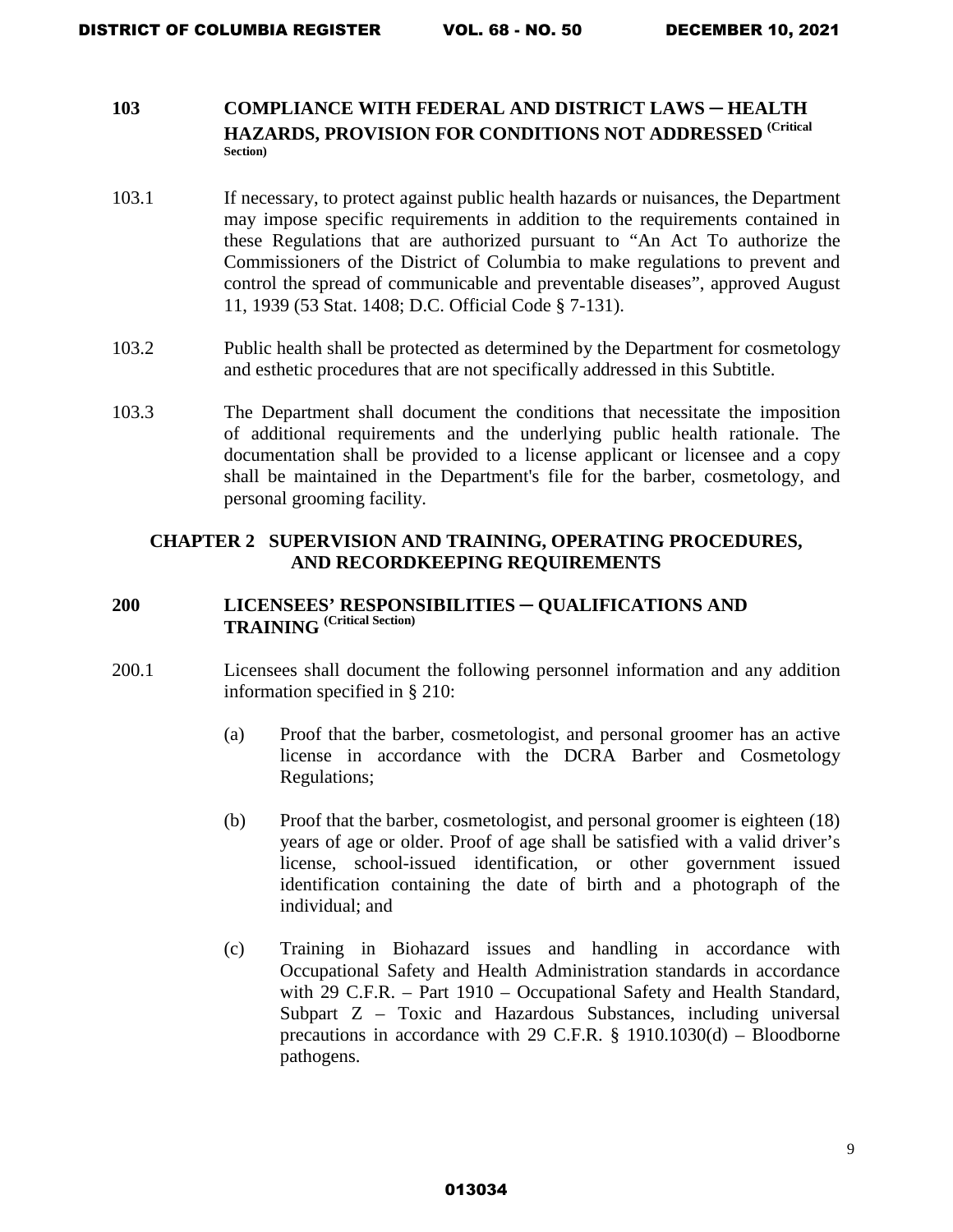### **103 COMPLIANCE WITH FEDERAL AND DISTRICT LAWS ─ HEALTH HAZARDS, PROVISION FOR CONDITIONS NOT ADDRESSED (Critical Section)**

- 103.1 If necessary, to protect against public health hazards or nuisances, the Department may impose specific requirements in addition to the requirements contained in these Regulations that are authorized pursuant to "An Act To authorize the Commissioners of the District of Columbia to make regulations to prevent and control the spread of communicable and preventable diseases", approved August 11, 1939 (53 Stat. 1408; D.C. Official Code § 7-131).
- 103.2 Public health shall be protected as determined by the Department for cosmetology and esthetic procedures that are not specifically addressed in this Subtitle.
- 103.3 The Department shall document the conditions that necessitate the imposition of additional requirements and the underlying public health rationale. The documentation shall be provided to a license applicant or licensee and a copy shall be maintained in the Department's file for the barber, cosmetology, and personal grooming facility.

### **CHAPTER 2 SUPERVISION AND TRAINING, OPERATING PROCEDURES, AND RECORDKEEPING REQUIREMENTS**

# **200 LICENSEES' RESPONSIBILITIES** ─ **QUALIFICATIONS AND TRAINING (Critical Section)**

- 200.1 Licensees shall document the following personnel information and any addition information specified in § 210:
	- (a) Proof that the barber, cosmetologist, and personal groomer has an active license in accordance with the DCRA Barber and Cosmetology Regulations;
	- (b) Proof that the barber, cosmetologist, and personal groomer is eighteen (18) years of age or older. Proof of age shall be satisfied with a valid driver's license, school-issued identification, or other government issued identification containing the date of birth and a photograph of the individual; and
	- (c) Training in Biohazard issues and handling in accordance with Occupational Safety and Health Administration standards in accordance with 29 C.F.R. – Part 1910 – Occupational Safety and Health Standard, Subpart Z – Toxic and Hazardous Substances, including universal precautions in accordance with 29 C.F.R. § 1910.1030(d) – Bloodborne pathogens.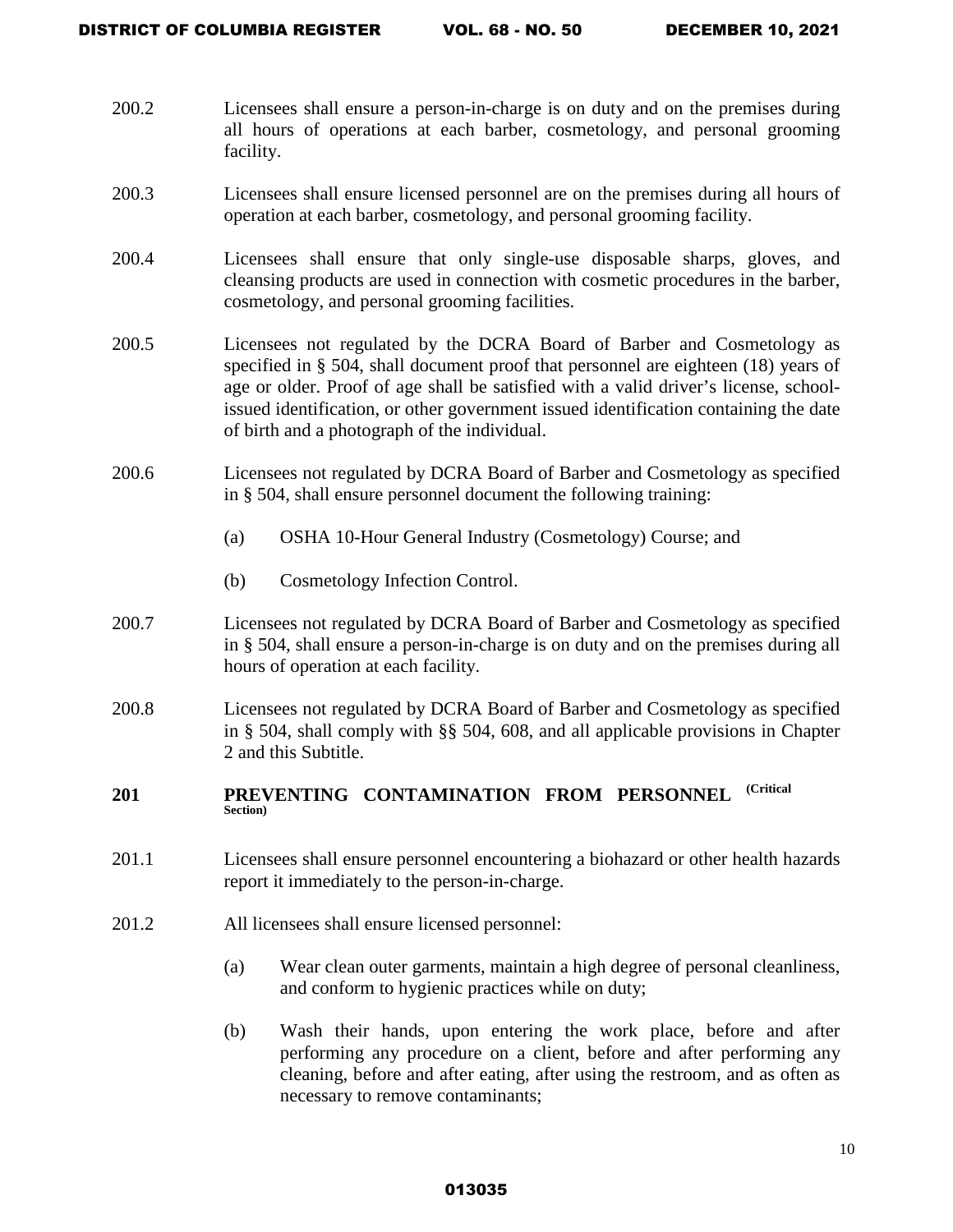- 200.2 Licensees shall ensure a person-in-charge is on duty and on the premises during all hours of operations at each barber, cosmetology, and personal grooming facility.
- 200.3 Licensees shall ensure licensed personnel are on the premises during all hours of operation at each barber, cosmetology, and personal grooming facility.
- 200.4 Licensees shall ensure that only single-use disposable sharps, gloves, and cleansing products are used in connection with cosmetic procedures in the barber, cosmetology, and personal grooming facilities.
- 200.5 Licensees not regulated by the DCRA Board of Barber and Cosmetology as specified in § 504, shall document proof that personnel are eighteen (18) years of age or older. Proof of age shall be satisfied with a valid driver's license, schoolissued identification, or other government issued identification containing the date of birth and a photograph of the individual.
- 200.6 Licensees not regulated by DCRA Board of Barber and Cosmetology as specified in § 504, shall ensure personnel document the following training:
	- (a) OSHA 10-Hour General Industry (Cosmetology) Course; and
	- (b) Cosmetology Infection Control.
- 200.7 Licensees not regulated by DCRA Board of Barber and Cosmetology as specified in § 504, shall ensure a person-in-charge is on duty and on the premises during all hours of operation at each facility.
- 200.8 Licensees not regulated by DCRA Board of Barber and Cosmetology as specified in § 504, shall comply with §§ 504, 608, and all applicable provisions in Chapter 2 and this Subtitle.

### **201 PREVENTING CONTAMINATION FROM PERSONNEL (Critical Section)**

- 201.1 Licensees shall ensure personnel encountering a biohazard or other health hazards report it immediately to the person-in-charge.
- 201.2 All licensees shall ensure licensed personnel:
	- (a) Wear clean outer garments, maintain a high degree of personal cleanliness, and conform to hygienic practices while on duty;
	- (b) Wash their hands, upon entering the work place, before and after performing any procedure on a client, before and after performing any cleaning, before and after eating, after using the restroom, and as often as necessary to remove contaminants;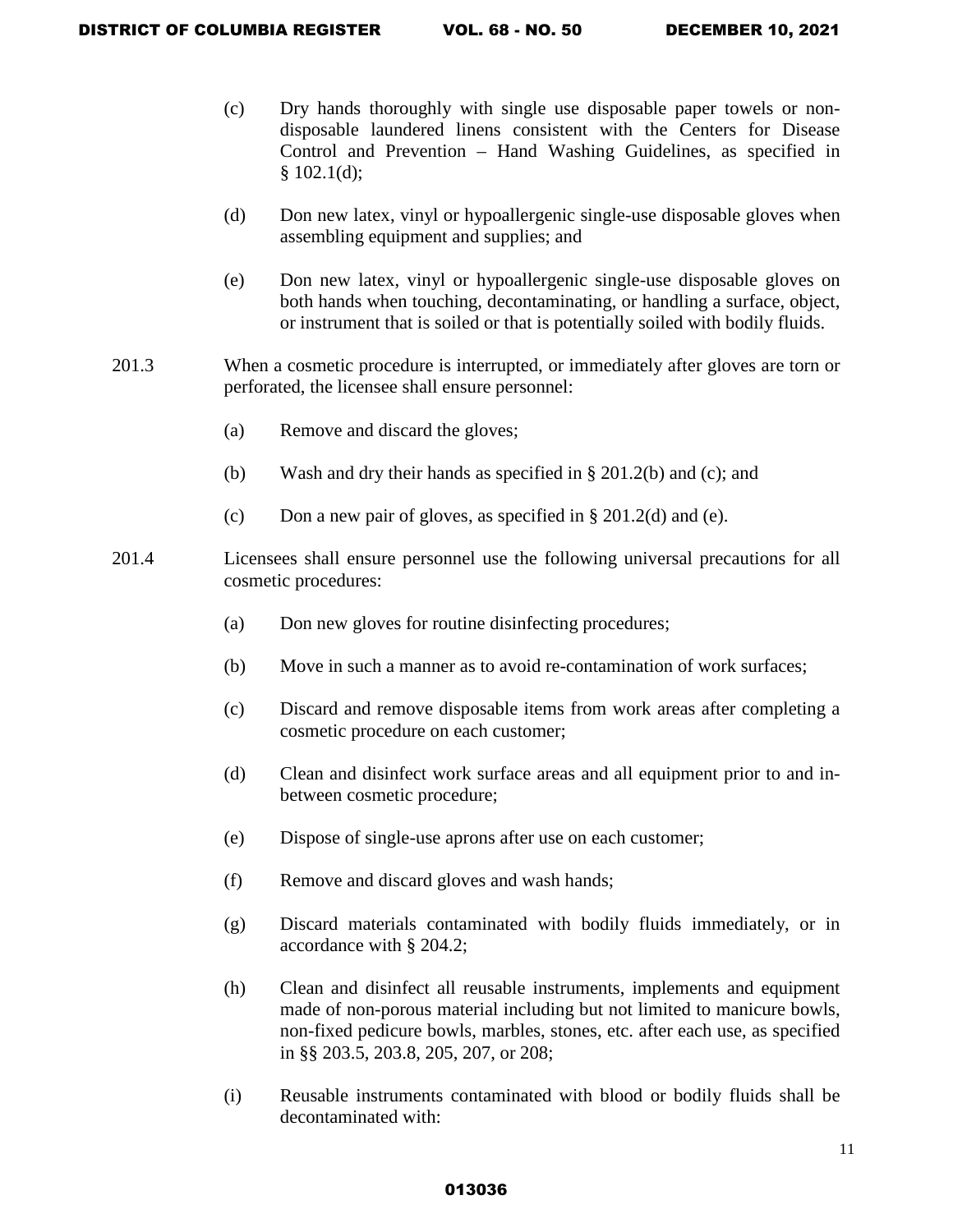- (c) Dry hands thoroughly with single use disposable paper towels or nondisposable laundered linens consistent with the Centers for Disease Control and Prevention – Hand Washing Guidelines, as specified in  $§$  102.1(d);
- (d) Don new latex, vinyl or hypoallergenic single-use disposable gloves when assembling equipment and supplies; and
- (e) Don new latex, vinyl or hypoallergenic single-use disposable gloves on both hands when touching, decontaminating, or handling a surface, object, or instrument that is soiled or that is potentially soiled with bodily fluids.
- 201.3 When a cosmetic procedure is interrupted, or immediately after gloves are torn or perforated, the licensee shall ensure personnel:
	- (a) Remove and discard the gloves;
	- (b) Wash and dry their hands as specified in § 201.2(b) and (c); and
	- (c) Don a new pair of gloves, as specified in  $\S 201.2$ (d) and (e).
- 201.4 Licensees shall ensure personnel use the following universal precautions for all cosmetic procedures:
	- (a) Don new gloves for routine disinfecting procedures;
	- (b) Move in such a manner as to avoid re-contamination of work surfaces;
	- (c) Discard and remove disposable items from work areas after completing a cosmetic procedure on each customer;
	- (d) Clean and disinfect work surface areas and all equipment prior to and inbetween cosmetic procedure;
	- (e) Dispose of single-use aprons after use on each customer;
	- (f) Remove and discard gloves and wash hands;
	- (g) Discard materials contaminated with bodily fluids immediately, or in accordance with § 204.2;
	- (h) Clean and disinfect all reusable instruments, implements and equipment made of non-porous material including but not limited to manicure bowls, non-fixed pedicure bowls, marbles, stones, etc. after each use, as specified in §§ 203.5, 203.8, 205, 207, or 208;
	- (i) Reusable instruments contaminated with blood or bodily fluids shall be decontaminated with: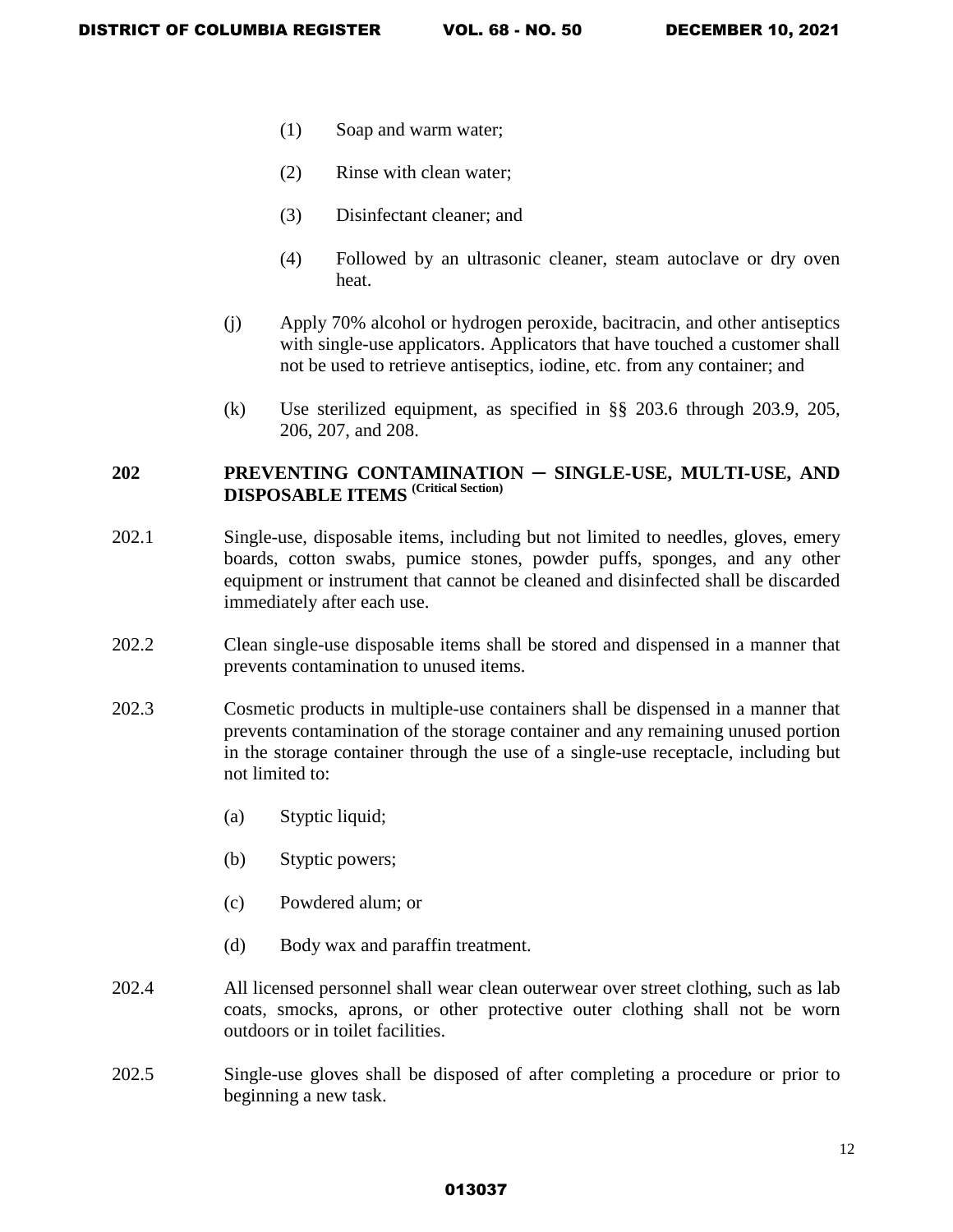- (1) Soap and warm water;
- (2) Rinse with clean water;
- (3) Disinfectant cleaner; and
- (4) Followed by an ultrasonic cleaner, steam autoclave or dry oven heat.
- (j) Apply 70% alcohol or hydrogen peroxide, bacitracin, and other antiseptics with single-use applicators. Applicators that have touched a customer shall not be used to retrieve antiseptics, iodine, etc. from any container; and
- (k) Use sterilized equipment, as specified in §§ 203.6 through 203.9, 205, 206, 207, and 208.

# **202 PREVENTING CONTAMINATION ─ SINGLE-USE, MULTI-USE, AND DISPOSABLE ITEMS (Critical Section)**

- 202.1 Single-use, disposable items, including but not limited to needles, gloves, emery boards, cotton swabs, pumice stones, powder puffs, sponges, and any other equipment or instrument that cannot be cleaned and disinfected shall be discarded immediately after each use.
- 202.2 Clean single-use disposable items shall be stored and dispensed in a manner that prevents contamination to unused items.
- 202.3 Cosmetic products in multiple-use containers shall be dispensed in a manner that prevents contamination of the storage container and any remaining unused portion in the storage container through the use of a single-use receptacle, including but not limited to:
	- (a) Styptic liquid;
	- (b) Styptic powers;
	- (c) Powdered alum; or
	- (d) Body wax and paraffin treatment.
- 202.4 All licensed personnel shall wear clean outerwear over street clothing, such as lab coats, smocks, aprons, or other protective outer clothing shall not be worn outdoors or in toilet facilities.
- 202.5 Single-use gloves shall be disposed of after completing a procedure or prior to beginning a new task.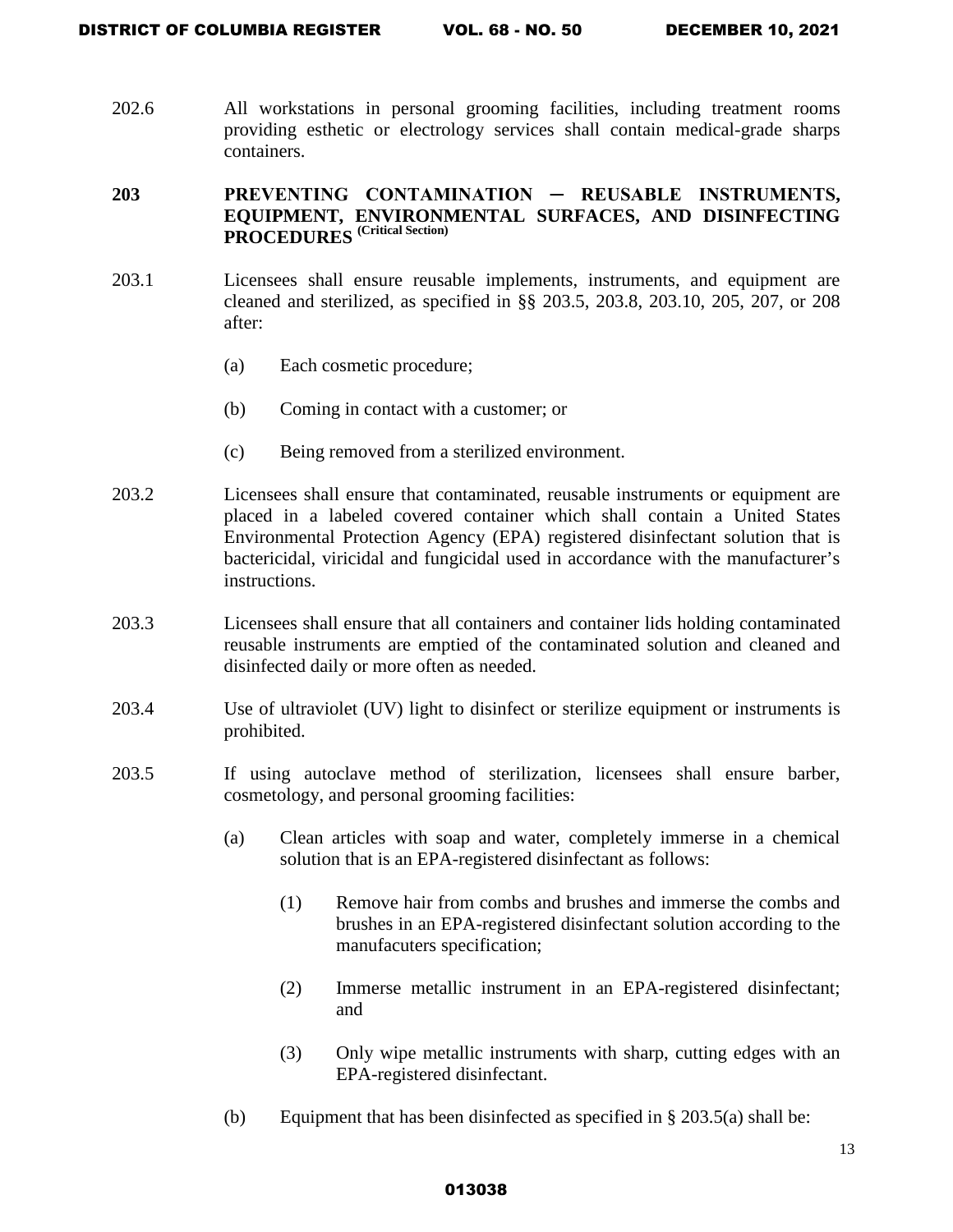202.6 All workstations in personal grooming facilities, including treatment rooms providing esthetic or electrology services shall contain medical-grade sharps containers.

# **203 PREVENTING CONTAMINATION ─ REUSABLE INSTRUMENTS, EQUIPMENT, ENVIRONMENTAL SURFACES, AND DISINFECTING PROCEDURES (Critical Section)**

- 203.1 Licensees shall ensure reusable implements, instruments, and equipment are cleaned and sterilized, as specified in §§ 203.5, 203.8, 203.10, 205, 207, or 208 after:
	- (a) Each cosmetic procedure;
	- (b) Coming in contact with a customer; or
	- (c) Being removed from a sterilized environment.
- 203.2 Licensees shall ensure that contaminated, reusable instruments or equipment are placed in a labeled covered container which shall contain a United States Environmental Protection Agency (EPA) registered disinfectant solution that is bactericidal, viricidal and fungicidal used in accordance with the manufacturer's instructions.
- 203.3 Licensees shall ensure that all containers and container lids holding contaminated reusable instruments are emptied of the contaminated solution and cleaned and disinfected daily or more often as needed.
- 203.4 Use of ultraviolet (UV) light to disinfect or sterilize equipment or instruments is prohibited.
- 203.5 If using autoclave method of sterilization, licensees shall ensure barber, cosmetology, and personal grooming facilities:
	- (a) Clean articles with soap and water, completely immerse in a chemical solution that is an EPA-registered disinfectant as follows:
		- (1) Remove hair from combs and brushes and immerse the combs and brushes in an EPA-registered disinfectant solution according to the manufacuters specification;
		- (2) Immerse metallic instrument in an EPA-registered disinfectant; and
		- (3) Only wipe metallic instruments with sharp, cutting edges with an EPA-registered disinfectant.
	- (b) Equipment that has been disinfected as specified in  $\S 203.5(a)$  shall be: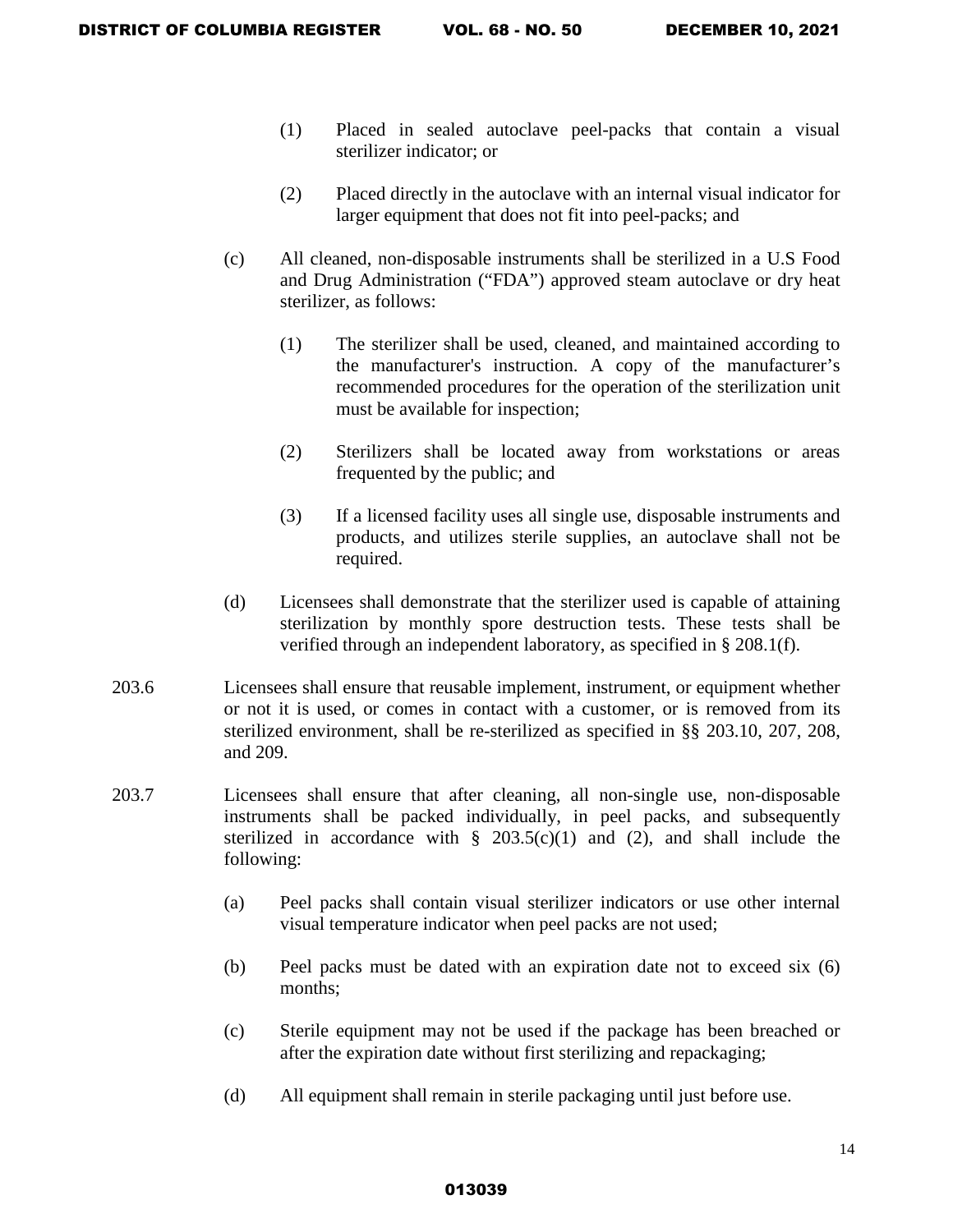- (1) Placed in sealed autoclave peel-packs that contain a visual sterilizer indicator; or
- (2) Placed directly in the autoclave with an internal visual indicator for larger equipment that does not fit into peel-packs; and
- (c) All cleaned, non-disposable instruments shall be sterilized in a U.S Food and Drug Administration ("FDA") approved steam autoclave or dry heat sterilizer, as follows:
	- (1) The sterilizer shall be used, cleaned, and maintained according to the manufacturer's instruction. A copy of the manufacturer's recommended procedures for the operation of the sterilization unit must be available for inspection;
	- (2) Sterilizers shall be located away from workstations or areas frequented by the public; and
	- (3) If a licensed facility uses all single use, disposable instruments and products, and utilizes sterile supplies, an autoclave shall not be required.
- (d) Licensees shall demonstrate that the sterilizer used is capable of attaining sterilization by monthly spore destruction tests. These tests shall be verified through an independent laboratory, as specified in § 208.1(f).
- 203.6 Licensees shall ensure that reusable implement, instrument, or equipment whether or not it is used, or comes in contact with a customer, or is removed from its sterilized environment, shall be re-sterilized as specified in §§ 203.10, 207, 208, and 209.
- 203.7 Licensees shall ensure that after cleaning, all non-single use, non-disposable instruments shall be packed individually, in peel packs, and subsequently sterilized in accordance with  $\S$  203.5(c)(1) and (2), and shall include the following:
	- (a) Peel packs shall contain visual sterilizer indicators or use other internal visual temperature indicator when peel packs are not used;
	- (b) Peel packs must be dated with an expiration date not to exceed six (6) months;
	- (c) Sterile equipment may not be used if the package has been breached or after the expiration date without first sterilizing and repackaging;
	- (d) All equipment shall remain in sterile packaging until just before use.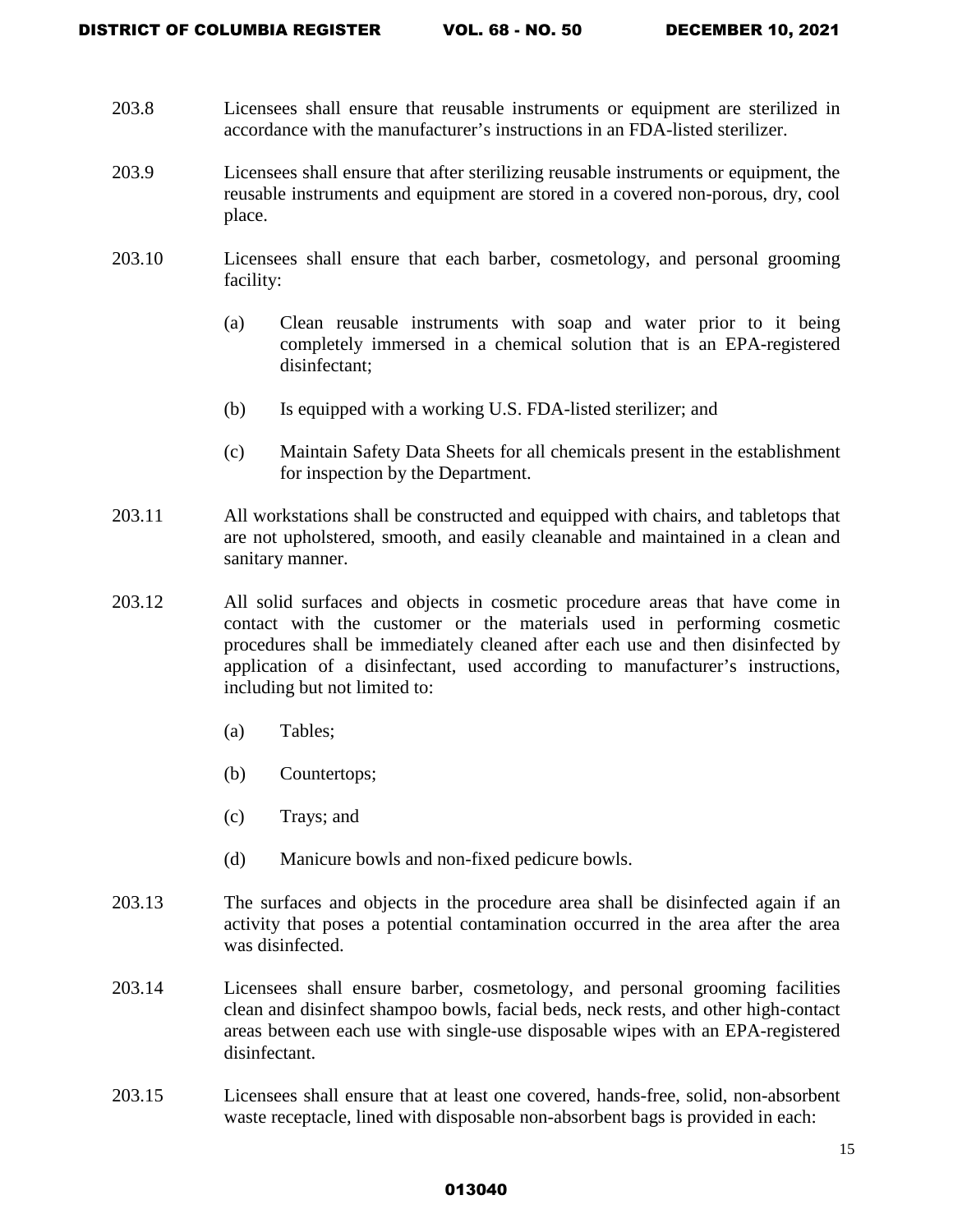- 203.8 Licensees shall ensure that reusable instruments or equipment are sterilized in accordance with the manufacturer's instructions in an FDA-listed sterilizer.
- 203.9 Licensees shall ensure that after sterilizing reusable instruments or equipment, the reusable instruments and equipment are stored in a covered non-porous, dry, cool place.
- 203.10 Licensees shall ensure that each barber, cosmetology, and personal grooming facility:
	- (a) Clean reusable instruments with soap and water prior to it being completely immersed in a chemical solution that is an EPA-registered disinfectant;
	- (b) Is equipped with a working U.S. FDA-listed sterilizer; and
	- (c) Maintain Safety Data Sheets for all chemicals present in the establishment for inspection by the Department.
- 203.11 All workstations shall be constructed and equipped with chairs, and tabletops that are not upholstered, smooth, and easily cleanable and maintained in a clean and sanitary manner.
- 203.12 All solid surfaces and objects in cosmetic procedure areas that have come in contact with the customer or the materials used in performing cosmetic procedures shall be immediately cleaned after each use and then disinfected by application of a disinfectant, used according to manufacturer's instructions, including but not limited to:
	- (a) Tables;
	- (b) Countertops;
	- (c) Trays; and
	- (d) Manicure bowls and non-fixed pedicure bowls.
- 203.13 The surfaces and objects in the procedure area shall be disinfected again if an activity that poses a potential contamination occurred in the area after the area was disinfected.
- 203.14 Licensees shall ensure barber, cosmetology, and personal grooming facilities clean and disinfect shampoo bowls, facial beds, neck rests, and other high-contact areas between each use with single-use disposable wipes with an EPA-registered disinfectant.
- 203.15 Licensees shall ensure that at least one covered, hands-free, solid, non-absorbent waste receptacle, lined with disposable non-absorbent bags is provided in each: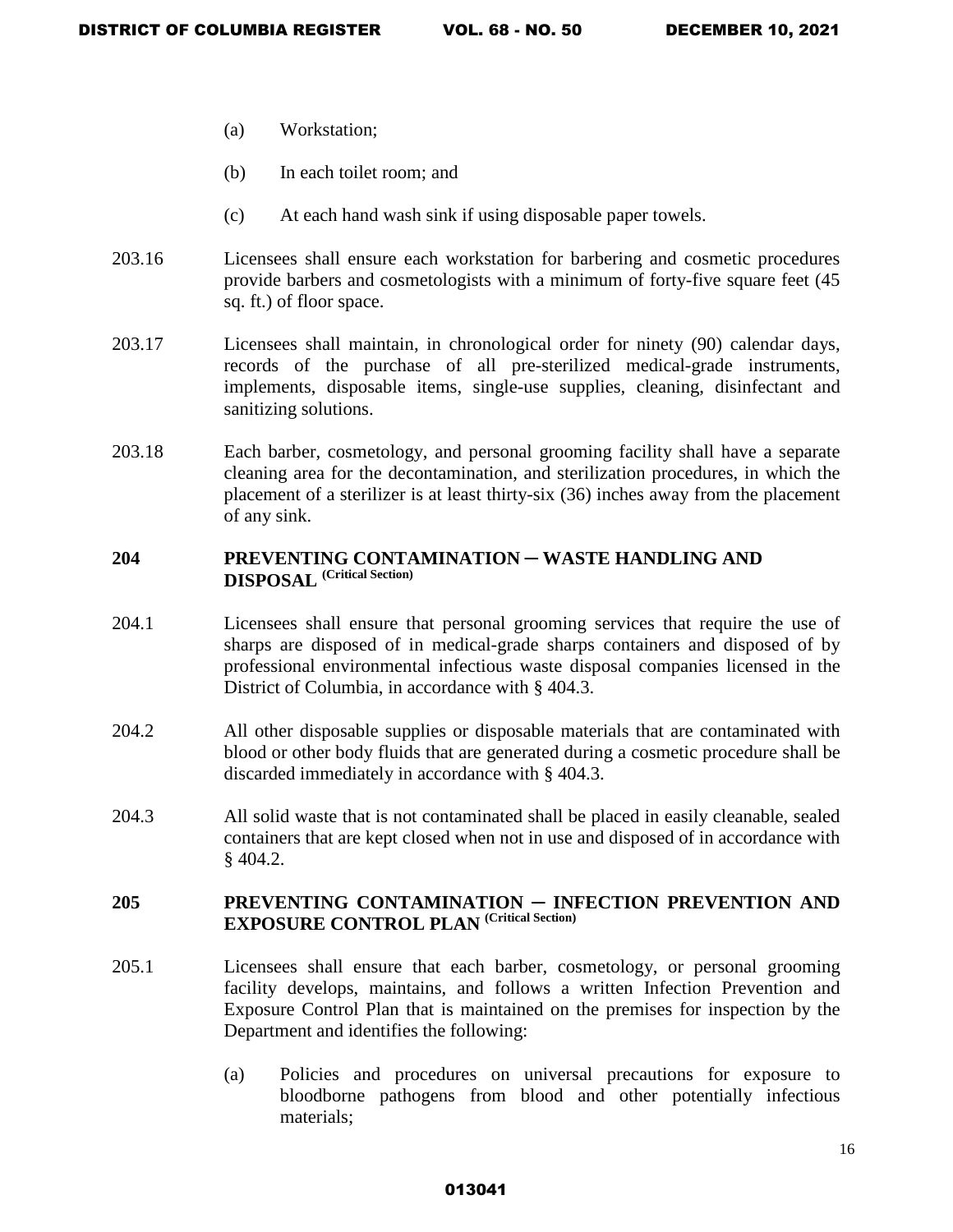- (a) Workstation;
- (b) In each toilet room; and
- (c) At each hand wash sink if using disposable paper towels.
- 203.16 Licensees shall ensure each workstation for barbering and cosmetic procedures provide barbers and cosmetologists with a minimum of forty-five square feet (45 sq. ft.) of floor space.
- 203.17 Licensees shall maintain, in chronological order for ninety (90) calendar days, records of the purchase of all pre-sterilized medical-grade instruments, implements, disposable items, single-use supplies, cleaning, disinfectant and sanitizing solutions.
- 203.18 Each barber, cosmetology, and personal grooming facility shall have a separate cleaning area for the decontamination, and sterilization procedures, in which the placement of a sterilizer is at least thirty-six (36) inches away from the placement of any sink.

### **204 PREVENTING CONTAMINATION** ─ **WASTE HANDLING AND DISPOSAL (Critical Section)**

- 204.1 Licensees shall ensure that personal grooming services that require the use of sharps are disposed of in medical-grade sharps containers and disposed of by professional environmental infectious waste disposal companies licensed in the District of Columbia, in accordance with § 404.3.
- 204.2 All other disposable supplies or disposable materials that are contaminated with blood or other body fluids that are generated during a cosmetic procedure shall be discarded immediately in accordance with § 404.3.
- 204.3 All solid waste that is not contaminated shall be placed in easily cleanable, sealed containers that are kept closed when not in use and disposed of in accordance with § 404.2.

# **205 PREVENTING CONTAMINATION** ─ **INFECTION PREVENTION AND EXPOSURE CONTROL PLAN (Critical Section)**

- 205.1 Licensees shall ensure that each barber, cosmetology, or personal grooming facility develops, maintains, and follows a written Infection Prevention and Exposure Control Plan that is maintained on the premises for inspection by the Department and identifies the following:
	- (a) Policies and procedures on universal precautions for exposure to bloodborne pathogens from blood and other potentially infectious materials;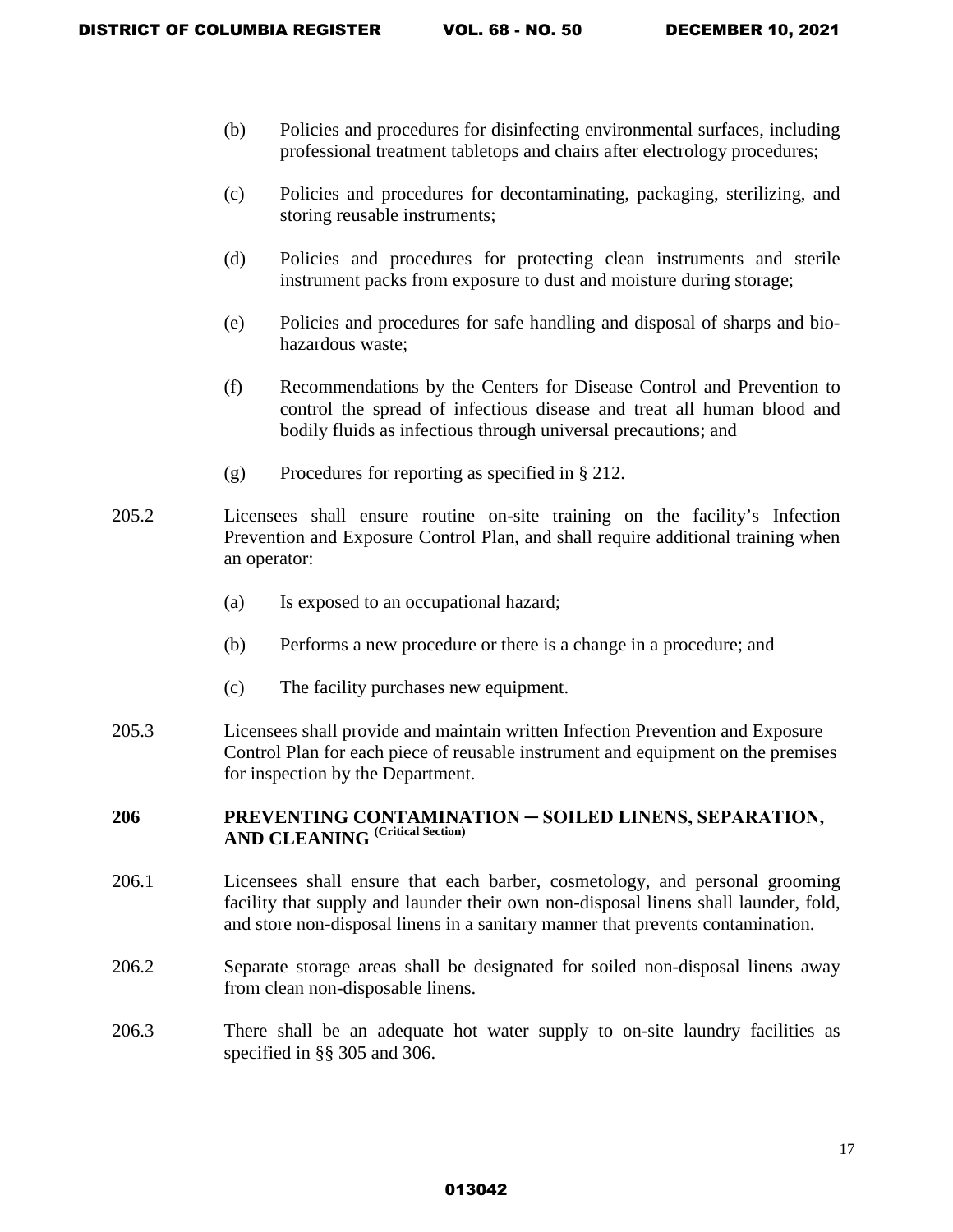- (b) Policies and procedures for disinfecting environmental surfaces, including professional treatment tabletops and chairs after electrology procedures;
- (c) Policies and procedures for decontaminating, packaging, sterilizing, and storing reusable instruments;
- (d) Policies and procedures for protecting clean instruments and sterile instrument packs from exposure to dust and moisture during storage;
- (e) Policies and procedures for safe handling and disposal of sharps and biohazardous waste;
- (f) Recommendations by the Centers for Disease Control and Prevention to control the spread of infectious disease and treat all human blood and bodily fluids as infectious through universal precautions; and
- (g) Procedures for reporting as specified in § 212.
- 205.2 Licensees shall ensure routine on-site training on the facility's Infection Prevention and Exposure Control Plan, and shall require additional training when an operator:
	- (a) Is exposed to an occupational hazard;
	- (b) Performs a new procedure or there is a change in a procedure; and
	- (c) The facility purchases new equipment.
- 205.3 Licensees shall provide and maintain written Infection Prevention and Exposure Control Plan for each piece of reusable instrument and equipment on the premises for inspection by the Department.

### **206 PREVENTING CONTAMINATION ─ SOILED LINENS, SEPARATION, AND CLEANING (Critical Section)**

- 206.1 Licensees shall ensure that each barber, cosmetology, and personal grooming facility that supply and launder their own non-disposal linens shall launder, fold, and store non-disposal linens in a sanitary manner that prevents contamination.
- 206.2 Separate storage areas shall be designated for soiled non-disposal linens away from clean non-disposable linens.
- 206.3 There shall be an adequate hot water supply to on-site laundry facilities as specified in §§ 305 and 306.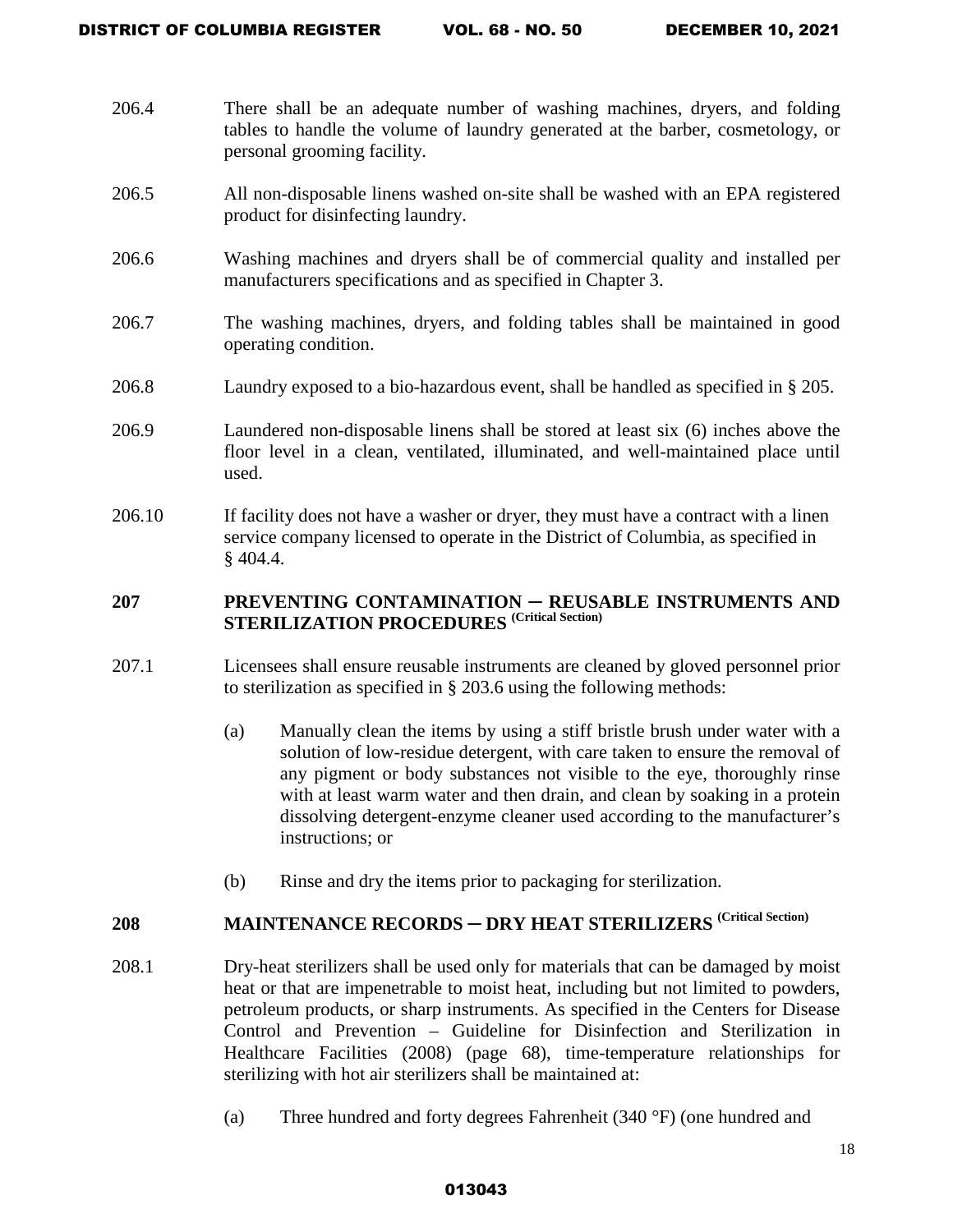- 206.4 There shall be an adequate number of washing machines, dryers, and folding tables to handle the volume of laundry generated at the barber, cosmetology, or personal grooming facility.
- 206.5 All non-disposable linens washed on-site shall be washed with an EPA registered product for disinfecting laundry.
- 206.6 Washing machines and dryers shall be of commercial quality and installed per manufacturers specifications and as specified in Chapter 3.
- 206.7 The washing machines, dryers, and folding tables shall be maintained in good operating condition.
- 206.8 Laundry exposed to a bio-hazardous event, shall be handled as specified in § 205.
- 206.9 Laundered non-disposable linens shall be stored at least six (6) inches above the floor level in a clean, ventilated, illuminated, and well-maintained place until used.
- 206.10 If facility does not have a washer or dryer, they must have a contract with a linen service company licensed to operate in the District of Columbia, as specified in § 404.4.

# **207 PREVENTING CONTAMINATION** ─ **REUSABLE INSTRUMENTS AND STERILIZATION PROCEDURES (Critical Section)**

- 207.1 Licensees shall ensure reusable instruments are cleaned by gloved personnel prior to sterilization as specified in § 203.6 using the following methods:
	- (a) Manually clean the items by using a stiff bristle brush under water with a solution of low-residue detergent, with care taken to ensure the removal of any pigment or body substances not visible to the eye, thoroughly rinse with at least warm water and then drain, and clean by soaking in a protein dissolving detergent-enzyme cleaner used according to the manufacturer's instructions; or
	- (b) Rinse and dry the items prior to packaging for sterilization.

# **208** MAINTENANCE RECORDS — DRY HEAT STERILIZERS <sup>(Critical Section)</sup>

- 208.1 Dry-heat sterilizers shall be used only for materials that can be damaged by moist heat or that are impenetrable to moist heat, including but not limited to powders, petroleum products, or sharp instruments. As specified in the Centers for Disease Control and Prevention – Guideline for Disinfection and Sterilization in Healthcare Facilities (2008) (page 68), time-temperature relationships for sterilizing with hot air sterilizers shall be maintained at:
	- (a) Three hundred and forty degrees Fahrenheit (340 °F) (one hundred and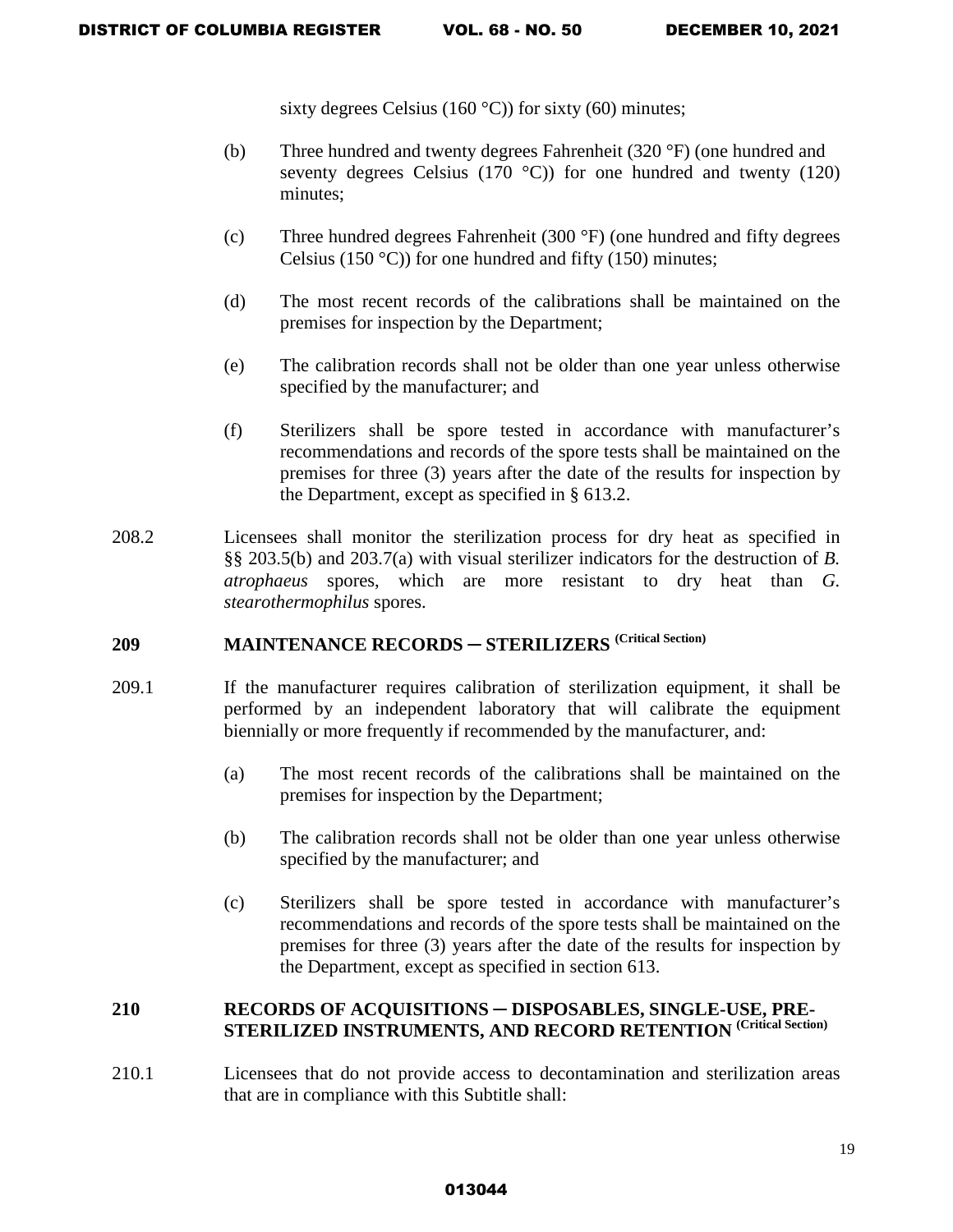sixty degrees Celsius (160  $^{\circ}$ C)) for sixty (60) minutes;

- (b) Three hundred and twenty degrees Fahrenheit (320 °F) (one hundred and seventy degrees Celsius (170  $^{\circ}$ C)) for one hundred and twenty (120) minutes;
- (c) Three hundred degrees Fahrenheit (300 °F) (one hundred and fifty degrees Celsius (150 °C)) for one hundred and fifty (150) minutes;
- (d) The most recent records of the calibrations shall be maintained on the premises for inspection by the Department;
- (e) The calibration records shall not be older than one year unless otherwise specified by the manufacturer; and
- (f) Sterilizers shall be spore tested in accordance with manufacturer's recommendations and records of the spore tests shall be maintained on the premises for three (3) years after the date of the results for inspection by the Department, except as specified in § 613.2.
- 208.2 Licensees shall monitor the sterilization process for dry heat as specified in §§ 203.5(b) and 203.7(a) with visual sterilizer indicators for the destruction of *B. atrophaeus* spores, which are more resistant to dry heat than *G. stearothermophilus* spores.

# **209 MAINTENANCE RECORDS** ─ **STERILIZERS (Critical Section)**

- 209.1 If the manufacturer requires calibration of sterilization equipment, it shall be performed by an independent laboratory that will calibrate the equipment biennially or more frequently if recommended by the manufacturer, and:
	- (a) The most recent records of the calibrations shall be maintained on the premises for inspection by the Department;
	- (b) The calibration records shall not be older than one year unless otherwise specified by the manufacturer; and
	- (c) Sterilizers shall be spore tested in accordance with manufacturer's recommendations and records of the spore tests shall be maintained on the premises for three (3) years after the date of the results for inspection by the Department, except as specified in section 613.

# **210 RECORDS OF ACQUISITIONS** ─ **DISPOSABLES, SINGLE-USE, PRE-STERILIZED INSTRUMENTS, AND RECORD RETENTION (Critical Section)**

210.1 Licensees that do not provide access to decontamination and sterilization areas that are in compliance with this Subtitle shall: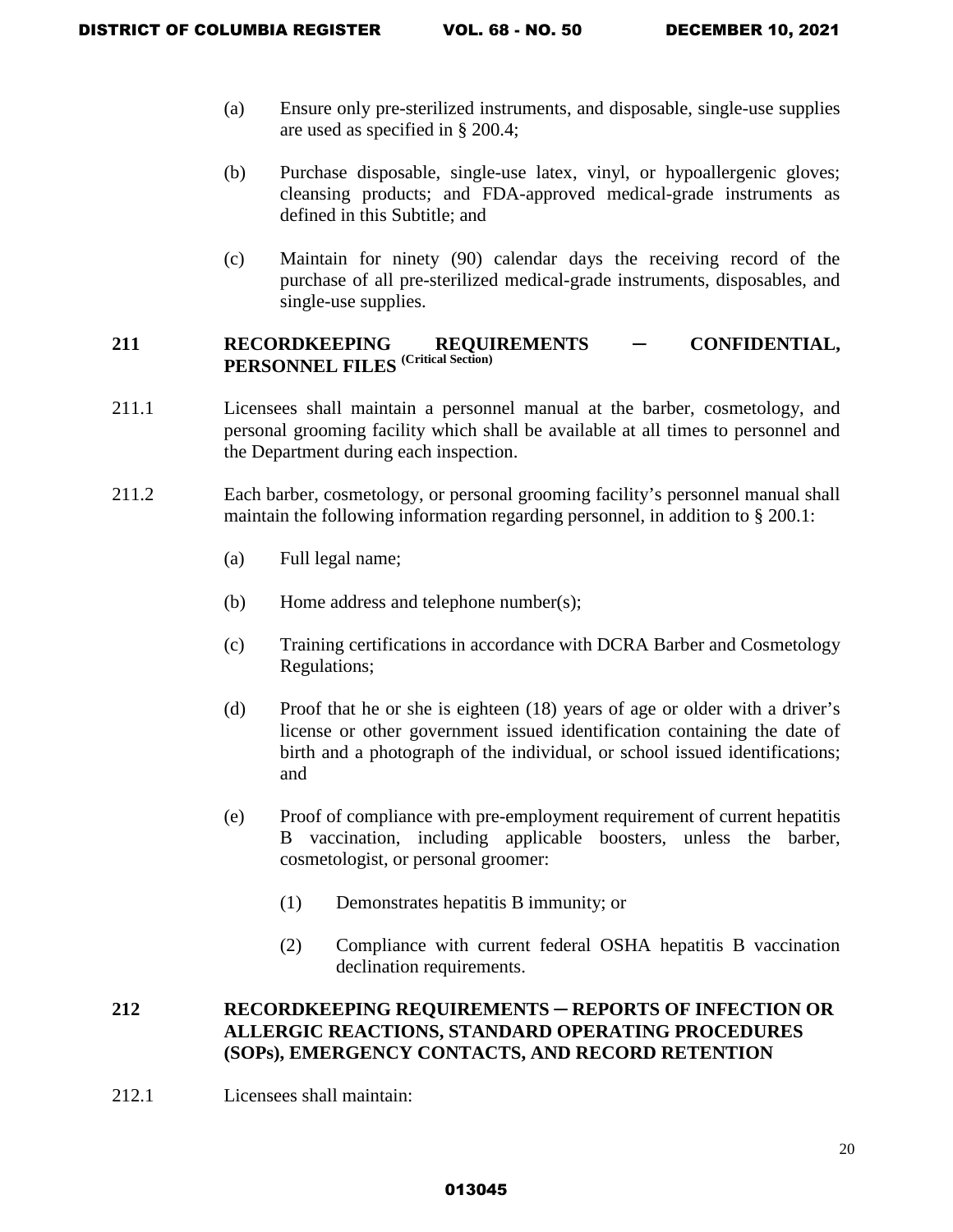- (a) Ensure only pre-sterilized instruments, and disposable, single-use supplies are used as specified in § 200.4;
- (b) Purchase disposable, single-use latex, vinyl, or hypoallergenic gloves; cleansing products; and FDA-approved medical-grade instruments as defined in this Subtitle; and
- (c) Maintain for ninety (90) calendar days the receiving record of the purchase of all pre-sterilized medical-grade instruments, disposables, and single-use supplies.

# **211 RECORDKEEPING REQUIREMENTS** ─ **CONFIDENTIAL, PERSONNEL FILES (Critical Section)**

- 211.1 Licensees shall maintain a personnel manual at the barber, cosmetology, and personal grooming facility which shall be available at all times to personnel and the Department during each inspection.
- 211.2 Each barber, cosmetology, or personal grooming facility's personnel manual shall maintain the following information regarding personnel, in addition to § 200.1:
	- (a) Full legal name;
	- (b) Home address and telephone number(s);
	- (c) Training certifications in accordance with DCRA Barber and Cosmetology Regulations;
	- (d) Proof that he or she is eighteen (18) years of age or older with a driver's license or other government issued identification containing the date of birth and a photograph of the individual, or school issued identifications; and
	- (e) Proof of compliance with pre-employment requirement of current hepatitis B vaccination, including applicable boosters, unless the barber, cosmetologist, or personal groomer:
		- (1) Demonstrates hepatitis B immunity; or
		- (2) Compliance with current federal OSHA hepatitis B vaccination declination requirements.

# **212 RECORDKEEPING REQUIREMENTS** ─ **REPORTS OF INFECTION OR ALLERGIC REACTIONS, STANDARD OPERATING PROCEDURES (SOPs), EMERGENCY CONTACTS, AND RECORD RETENTION**

212.1 Licensees shall maintain: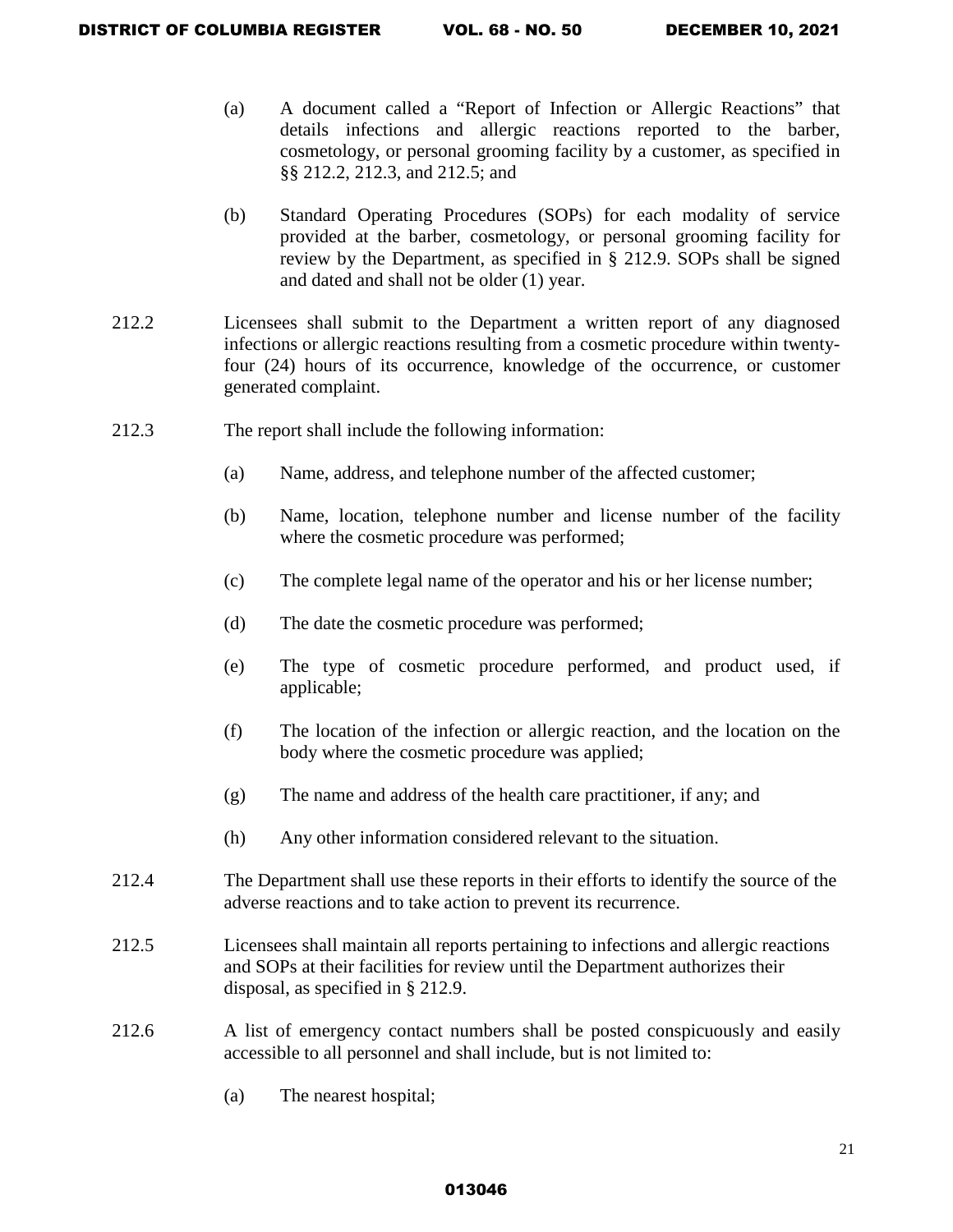- (a) A document called a "Report of Infection or Allergic Reactions" that details infections and allergic reactions reported to the barber, cosmetology, or personal grooming facility by a customer, as specified in §§ 212.2, 212.3, and 212.5; and
- (b) Standard Operating Procedures (SOPs) for each modality of service provided at the barber, cosmetology, or personal grooming facility for review by the Department, as specified in § 212.9. SOPs shall be signed and dated and shall not be older (1) year.
- 212.2 Licensees shall submit to the Department a written report of any diagnosed infections or allergic reactions resulting from a cosmetic procedure within twentyfour (24) hours of its occurrence, knowledge of the occurrence, or customer generated complaint.
- 212.3 The report shall include the following information:
	- (a) Name, address, and telephone number of the affected customer;
	- (b) Name, location, telephone number and license number of the facility where the cosmetic procedure was performed;
	- (c) The complete legal name of the operator and his or her license number;
	- (d) The date the cosmetic procedure was performed;
	- (e) The type of cosmetic procedure performed, and product used, if applicable;
	- (f) The location of the infection or allergic reaction, and the location on the body where the cosmetic procedure was applied;
	- (g) The name and address of the health care practitioner, if any; and
	- (h) Any other information considered relevant to the situation.
- 212.4 The Department shall use these reports in their efforts to identify the source of the adverse reactions and to take action to prevent its recurrence.
- 212.5 Licensees shall maintain all reports pertaining to infections and allergic reactions and SOPs at their facilities for review until the Department authorizes their disposal, as specified in § 212.9.
- 212.6 A list of emergency contact numbers shall be posted conspicuously and easily accessible to all personnel and shall include, but is not limited to:
	- (a) The nearest hospital;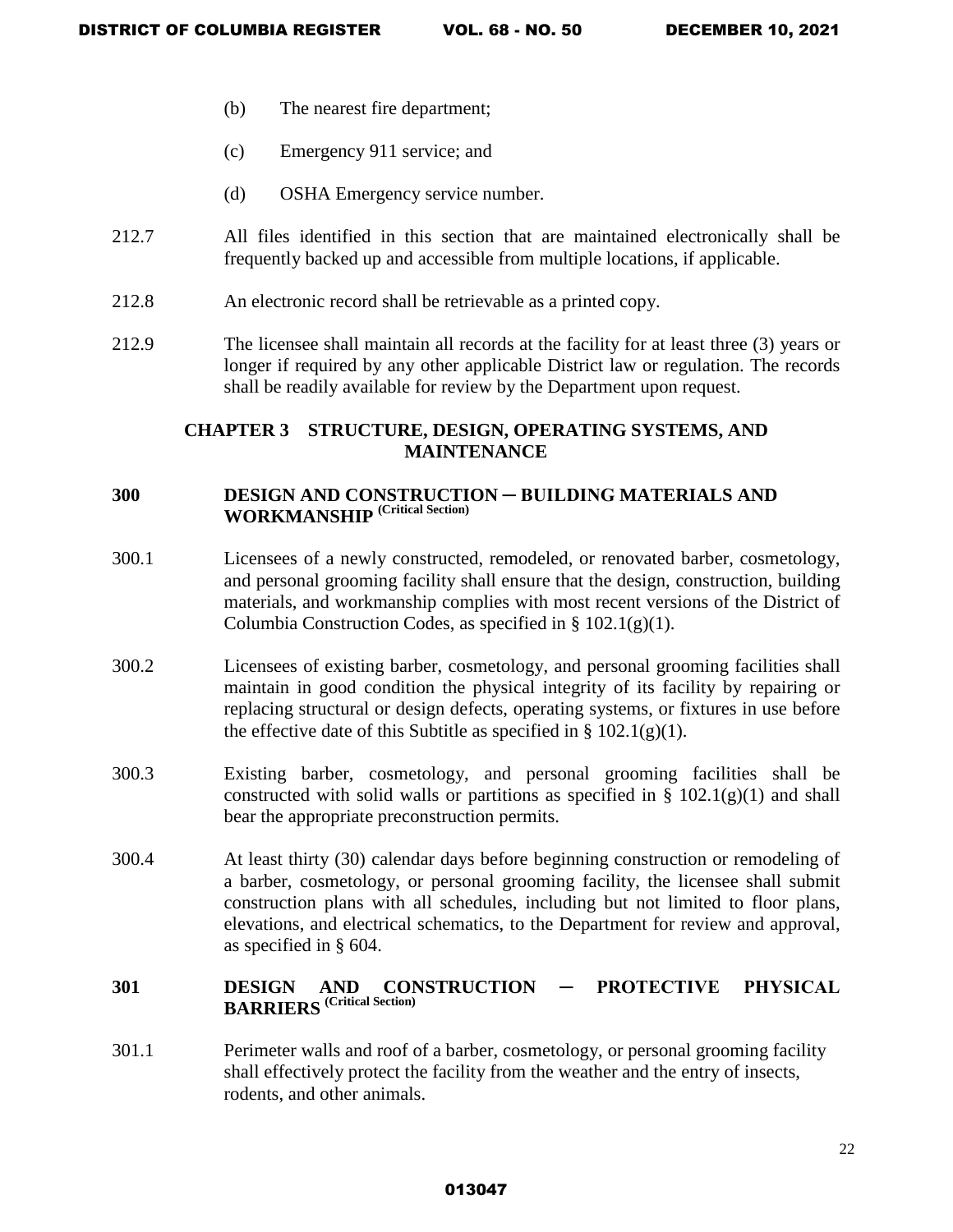- (b) The nearest fire department;
- (c) Emergency 911 service; and
- (d) OSHA Emergency service number.
- 212.7 All files identified in this section that are maintained electronically shall be frequently backed up and accessible from multiple locations, if applicable.
- 212.8 An electronic record shall be retrievable as a printed copy.
- 212.9 The licensee shall maintain all records at the facility for at least three (3) years or longer if required by any other applicable District law or regulation. The records shall be readily available for review by the Department upon request.

# **CHAPTER 3 STRUCTURE, DESIGN, OPERATING SYSTEMS, AND MAINTENANCE**

# **300 DESIGN AND CONSTRUCTION ─ BUILDING MATERIALS AND WORKMANSHIP (Critical Section)**

- 300.1 Licensees of a newly constructed, remodeled, or renovated barber, cosmetology, and personal grooming facility shall ensure that the design, construction, building materials, and workmanship complies with most recent versions of the District of Columbia Construction Codes, as specified in  $\S 102.1(g)(1)$ .
- 300.2 Licensees of existing barber, cosmetology, and personal grooming facilities shall maintain in good condition the physical integrity of its facility by repairing or replacing structural or design defects, operating systems, or fixtures in use before the effective date of this Subtitle as specified in  $\S 102.1(g)(1)$ .
- 300.3 Existing barber, cosmetology, and personal grooming facilities shall be constructed with solid walls or partitions as specified in  $\S$  102.1(g)(1) and shall bear the appropriate preconstruction permits.
- 300.4 At least thirty (30) calendar days before beginning construction or remodeling of a barber, cosmetology, or personal grooming facility, the licensee shall submit construction plans with all schedules, including but not limited to floor plans, elevations, and electrical schematics, to the Department for review and approval, as specified in § 604.

# **301 DESIGN AND CONSTRUCTION ─ PROTECTIVE PHYSICAL BARRIERS (Critical Section)**

301.1 Perimeter walls and roof of a barber, cosmetology, or personal grooming facility shall effectively protect the facility from the weather and the entry of insects, rodents, and other animals.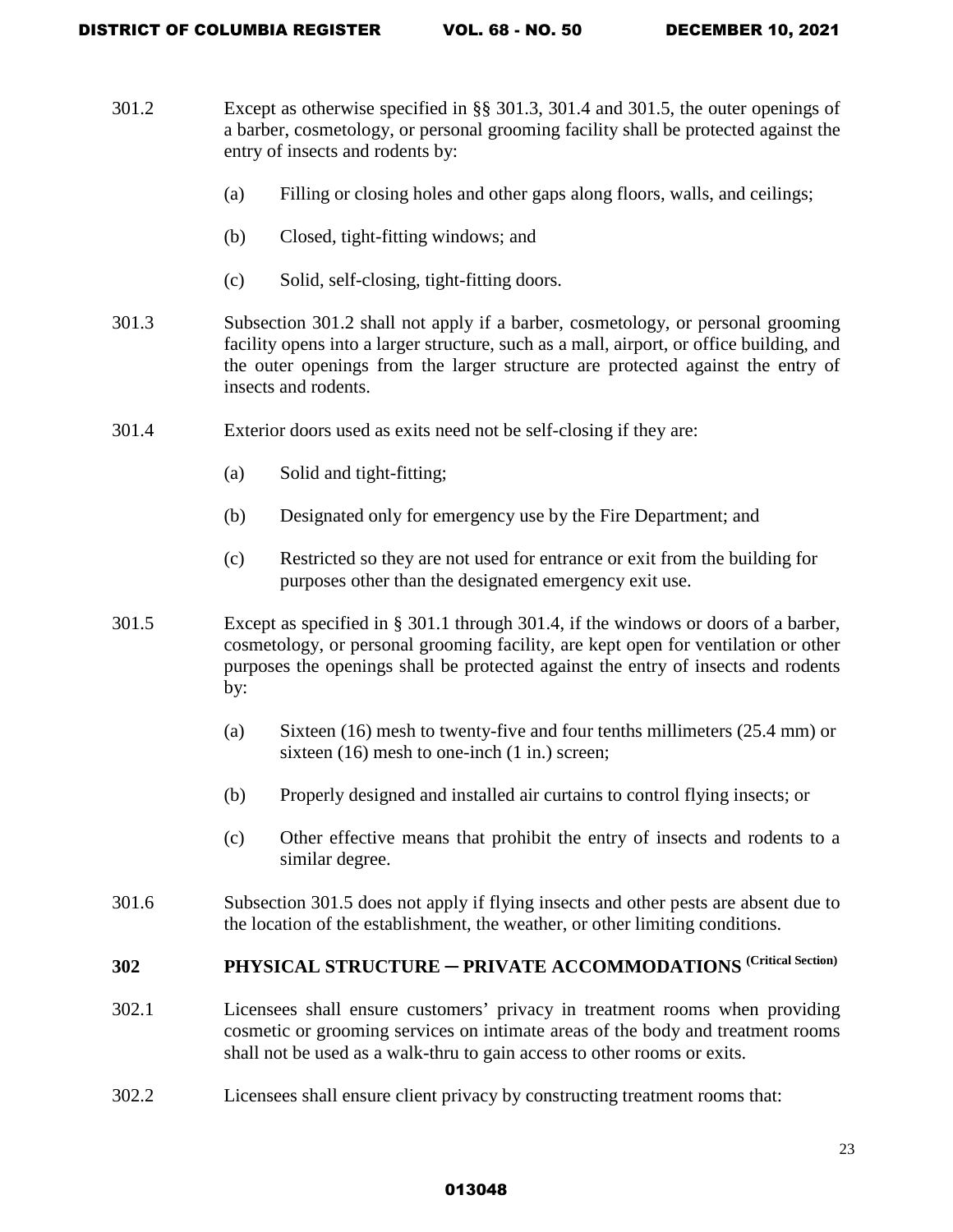| 301.2 | Except as otherwise specified in $\S$ 301.3, 301.4 and 301.5, the outer openings of<br>a barber, cosmetology, or personal grooming facility shall be protected against the<br>entry of insects and rodents by:                                                                         |                                                                                                                                                    |  |  |  |
|-------|----------------------------------------------------------------------------------------------------------------------------------------------------------------------------------------------------------------------------------------------------------------------------------------|----------------------------------------------------------------------------------------------------------------------------------------------------|--|--|--|
|       | (a)                                                                                                                                                                                                                                                                                    | Filling or closing holes and other gaps along floors, walls, and ceilings;                                                                         |  |  |  |
|       | (b)                                                                                                                                                                                                                                                                                    | Closed, tight-fitting windows; and                                                                                                                 |  |  |  |
|       | (c)                                                                                                                                                                                                                                                                                    | Solid, self-closing, tight-fitting doors.                                                                                                          |  |  |  |
| 301.3 | Subsection 301.2 shall not apply if a barber, cosmetology, or personal grooming<br>facility opens into a larger structure, such as a mall, airport, or office building, and<br>the outer openings from the larger structure are protected against the entry of<br>insects and rodents. |                                                                                                                                                    |  |  |  |
| 301.4 |                                                                                                                                                                                                                                                                                        | Exterior doors used as exits need not be self-closing if they are:                                                                                 |  |  |  |
|       | (a)                                                                                                                                                                                                                                                                                    | Solid and tight-fitting;                                                                                                                           |  |  |  |
|       | (b)                                                                                                                                                                                                                                                                                    | Designated only for emergency use by the Fire Department; and                                                                                      |  |  |  |
|       | (c)                                                                                                                                                                                                                                                                                    | Restricted so they are not used for entrance or exit from the building for<br>purposes other than the designated emergency exit use.               |  |  |  |
| 301.5 | Except as specified in § 301.1 through 301.4, if the windows or doors of a barber,<br>cosmetology, or personal grooming facility, are kept open for ventilation or other<br>purposes the openings shall be protected against the entry of insects and rodents<br>by:                   |                                                                                                                                                    |  |  |  |
|       | (a)                                                                                                                                                                                                                                                                                    | Sixteen $(16)$ mesh to twenty-five and four tenths millimeters $(25.4 \text{ mm})$ or<br>sixteen $(16)$ mesh to one-inch $(1 \text{ in.})$ screen; |  |  |  |
|       | (b)                                                                                                                                                                                                                                                                                    | Properly designed and installed air curtains to control flying insects; or                                                                         |  |  |  |
|       | (c)                                                                                                                                                                                                                                                                                    | Other effective means that prohibit the entry of insects and rodents to a<br>similar degree.                                                       |  |  |  |
| 301.6 | Subsection 301.5 does not apply if flying insects and other pests are absent due to<br>the location of the establishment, the weather, or other limiting conditions.                                                                                                                   |                                                                                                                                                    |  |  |  |
| 302   | PHYSICAL STRUCTURE - PRIVATE ACCOMMODATIONS (Critical Section)                                                                                                                                                                                                                         |                                                                                                                                                    |  |  |  |
| 302.1 | Licensees shall ensure customers' privacy in treatment rooms when providing<br>cosmetic or grooming services on intimate areas of the body and treatment rooms<br>shall not be used as a walk-thru to gain access to other rooms or exits.                                             |                                                                                                                                                    |  |  |  |
| 302.2 | Licensees shall ensure client privacy by constructing treatment rooms that:                                                                                                                                                                                                            |                                                                                                                                                    |  |  |  |
|       |                                                                                                                                                                                                                                                                                        |                                                                                                                                                    |  |  |  |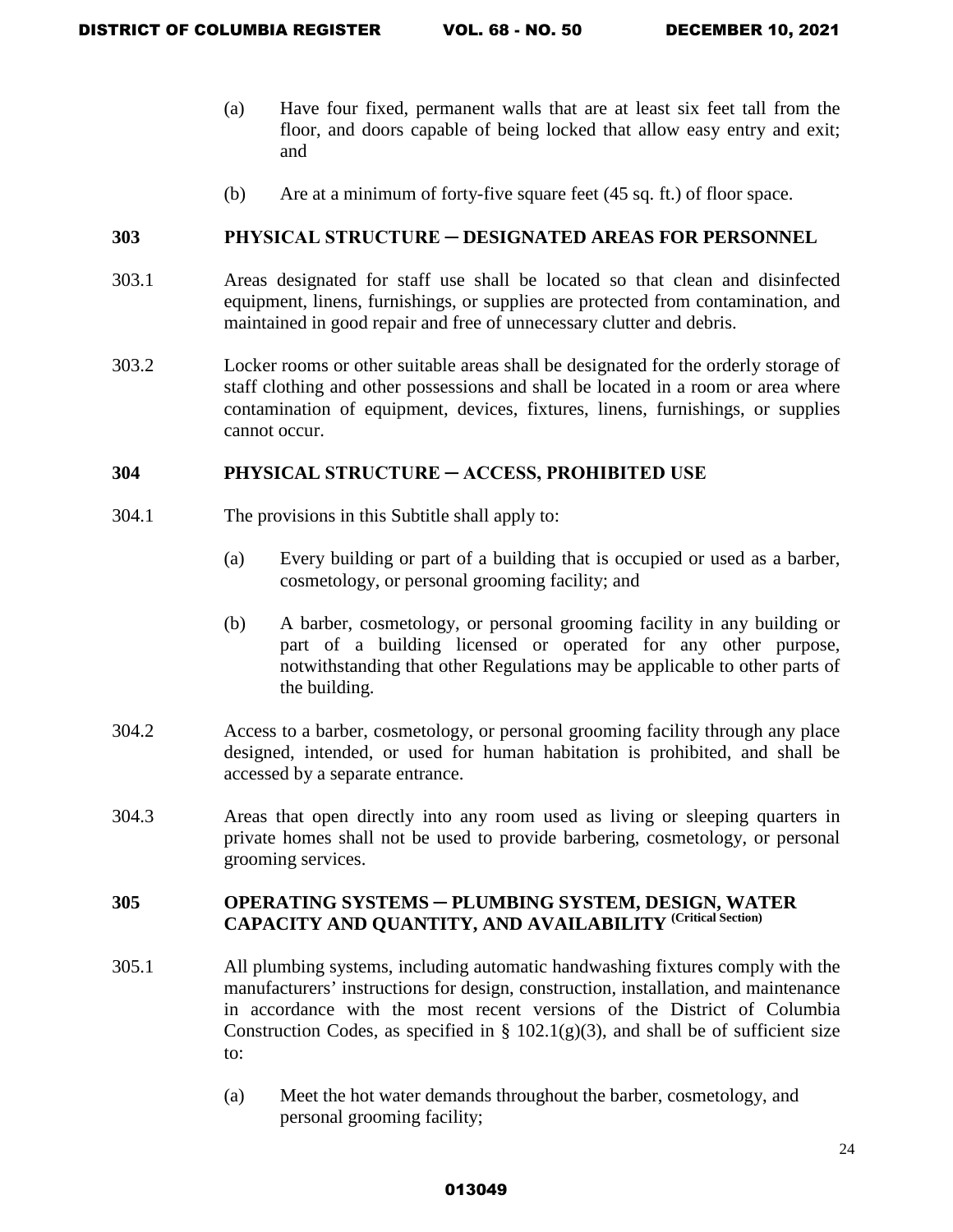- (a) Have four fixed, permanent walls that are at least six feet tall from the floor, and doors capable of being locked that allow easy entry and exit; and
- (b) Are at a minimum of forty-five square feet (45 sq. ft.) of floor space.

### **303 PHYSICAL STRUCTURE ─ DESIGNATED AREAS FOR PERSONNEL**

- 303.1 Areas designated for staff use shall be located so that clean and disinfected equipment, linens, furnishings, or supplies are protected from contamination, and maintained in good repair and free of unnecessary clutter and debris.
- 303.2 Locker rooms or other suitable areas shall be designated for the orderly storage of staff clothing and other possessions and shall be located in a room or area where contamination of equipment, devices, fixtures, linens, furnishings, or supplies cannot occur.

### **304 PHYSICAL STRUCTURE ─ ACCESS, PROHIBITED USE**

- 304.1 The provisions in this Subtitle shall apply to:
	- (a) Every building or part of a building that is occupied or used as a barber, cosmetology, or personal grooming facility; and
	- (b) A barber, cosmetology, or personal grooming facility in any building or part of a building licensed or operated for any other purpose, notwithstanding that other Regulations may be applicable to other parts of the building.
- 304.2 Access to a barber, cosmetology, or personal grooming facility through any place designed, intended, or used for human habitation is prohibited, and shall be accessed by a separate entrance.
- 304.3 Areas that open directly into any room used as living or sleeping quarters in private homes shall not be used to provide barbering, cosmetology, or personal grooming services.

# **305 OPERATING SYSTEMS** ─ **PLUMBING SYSTEM, DESIGN, WATER CAPACITY AND QUANTITY, AND AVAILABILITY (Critical Section)**

- 305.1 All plumbing systems, including automatic handwashing fixtures comply with the manufacturers' instructions for design, construction, installation, and maintenance in accordance with the most recent versions of the District of Columbia Construction Codes, as specified in  $\S$  102.1(g)(3), and shall be of sufficient size to:
	- (a) Meet the hot water demands throughout the barber, cosmetology, and personal grooming facility;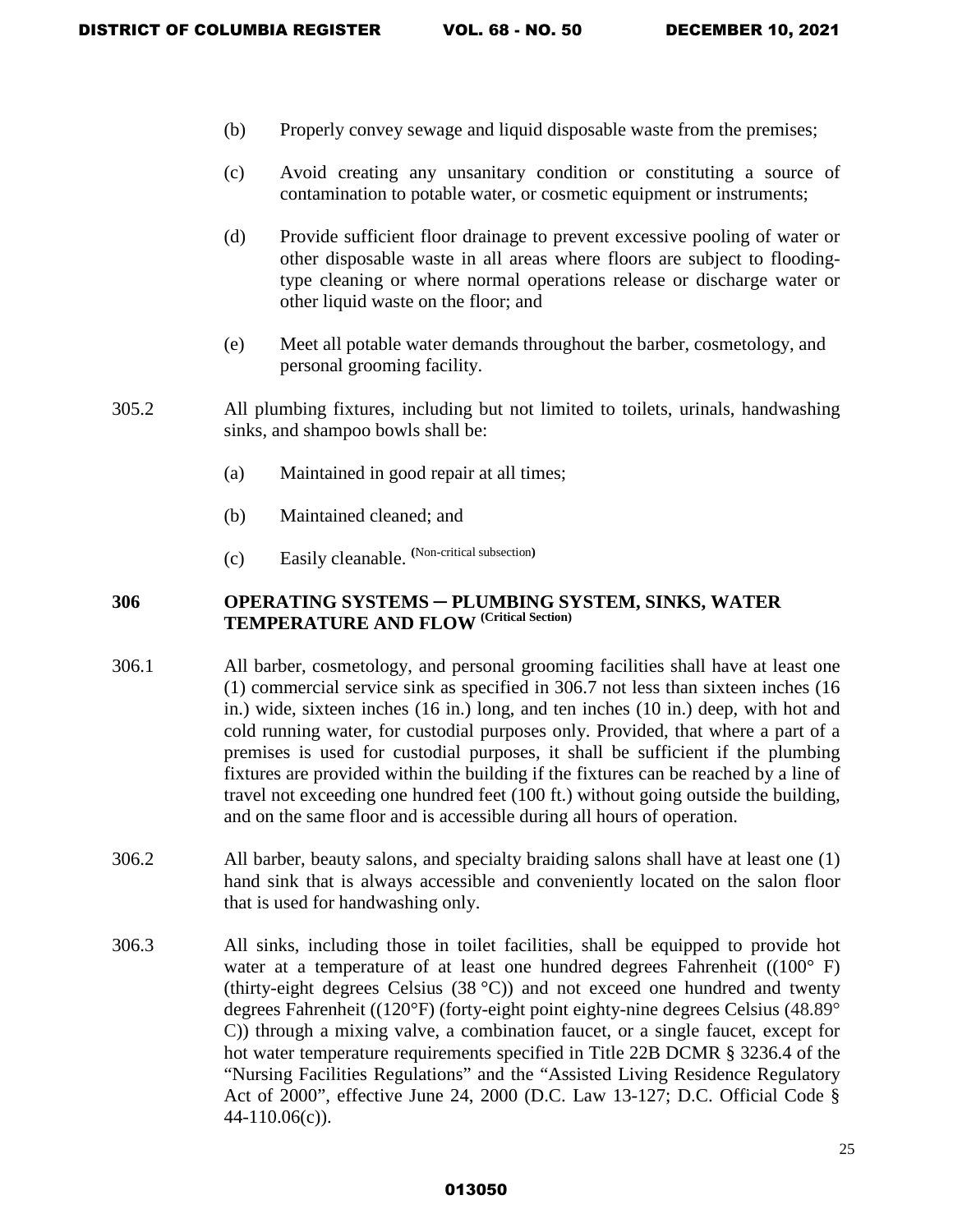- (b) Properly convey sewage and liquid disposable waste from the premises;
- (c) Avoid creating any unsanitary condition or constituting a source of contamination to potable water, or cosmetic equipment or instruments;
- (d) Provide sufficient floor drainage to prevent excessive pooling of water or other disposable waste in all areas where floors are subject to floodingtype cleaning or where normal operations release or discharge water or other liquid waste on the floor; and
- (e) Meet all potable water demands throughout the barber, cosmetology, and personal grooming facility.
- 305.2 All plumbing fixtures, including but not limited to toilets, urinals, handwashing sinks, and shampoo bowls shall be:
	- (a) Maintained in good repair at all times;
	- (b) Maintained cleaned; and
	- (c) Easily cleanable. **(**Non-critical subsection**)**

# **306 OPERATING SYSTEMS** ─ **PLUMBING SYSTEM, SINKS, WATER TEMPERATURE AND FLOW (Critical Section)**

- 306.1 All barber, cosmetology, and personal grooming facilities shall have at least one (1) commercial service sink as specified in 306.7 not less than sixteen inches (16 in.) wide, sixteen inches (16 in.) long, and ten inches (10 in.) deep, with hot and cold running water, for custodial purposes only. Provided, that where a part of a premises is used for custodial purposes, it shall be sufficient if the plumbing fixtures are provided within the building if the fixtures can be reached by a line of travel not exceeding one hundred feet (100 ft.) without going outside the building, and on the same floor and is accessible during all hours of operation.
- 306.2 All barber, beauty salons, and specialty braiding salons shall have at least one (1) hand sink that is always accessible and conveniently located on the salon floor that is used for handwashing only.
- 306.3 All sinks, including those in toilet facilities, shall be equipped to provide hot water at a temperature of at least one hundred degrees Fahrenheit ((100° F) (thirty-eight degrees Celsius  $(38 \degree C)$ ) and not exceed one hundred and twenty degrees Fahrenheit ((120°F) (forty-eight point eighty-nine degrees Celsius (48.89° C)) through a mixing valve, a combination faucet, or a single faucet, except for hot water temperature requirements specified in Title 22B DCMR § 3236.4 of the "Nursing Facilities Regulations" and the "Assisted Living Residence Regulatory Act of 2000", effective June 24, 2000 (D.C. Law 13-127; D.C. Official Code § 44-110.06(c)).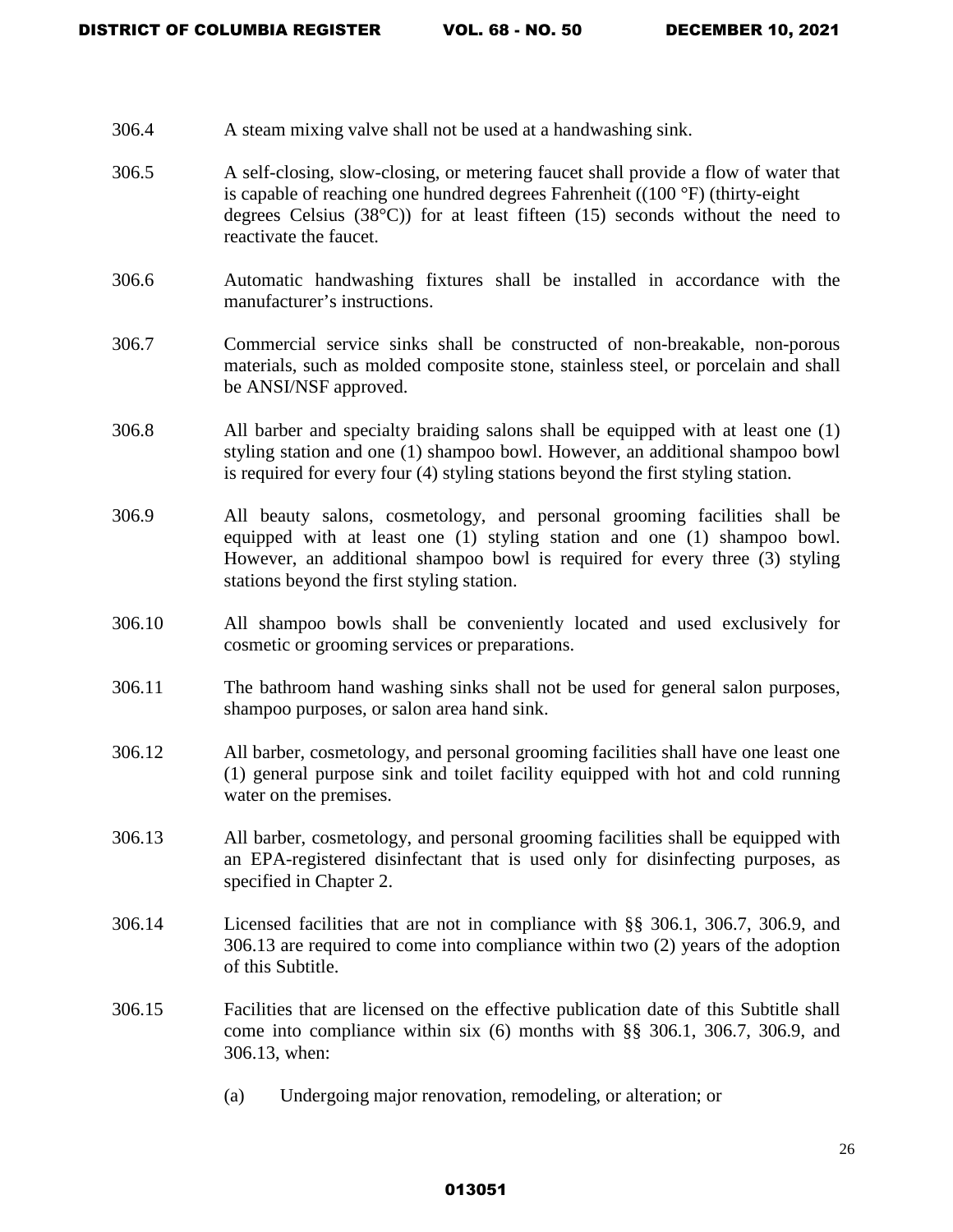- 306.4 A steam mixing valve shall not be used at a handwashing sink.
- 306.5 A self-closing, slow-closing, or metering faucet shall provide a flow of water that is capable of reaching one hundred degrees Fahrenheit ((100 °F) (thirty-eight degrees Celsius  $(38^{\circ}C)$  for at least fifteen  $(15)$  seconds without the need to reactivate the faucet.
- 306.6 Automatic handwashing fixtures shall be installed in accordance with the manufacturer's instructions.
- 306.7 Commercial service sinks shall be constructed of non-breakable, non-porous materials, such as molded composite stone, stainless steel, or porcelain and shall be ANSI/NSF approved.
- 306.8 All barber and specialty braiding salons shall be equipped with at least one (1) styling station and one (1) shampoo bowl. However, an additional shampoo bowl is required for every four (4) styling stations beyond the first styling station.
- 306.9 All beauty salons, cosmetology, and personal grooming facilities shall be equipped with at least one (1) styling station and one (1) shampoo bowl. However, an additional shampoo bowl is required for every three (3) styling stations beyond the first styling station.
- 306.10 All shampoo bowls shall be conveniently located and used exclusively for cosmetic or grooming services or preparations.
- 306.11 The bathroom hand washing sinks shall not be used for general salon purposes, shampoo purposes, or salon area hand sink.
- 306.12 All barber, cosmetology, and personal grooming facilities shall have one least one (1) general purpose sink and toilet facility equipped with hot and cold running water on the premises.
- 306.13 All barber, cosmetology, and personal grooming facilities shall be equipped with an EPA-registered disinfectant that is used only for disinfecting purposes, as specified in Chapter 2.
- 306.14 Licensed facilities that are not in compliance with §§ 306.1, 306.7, 306.9, and 306.13 are required to come into compliance within two (2) years of the adoption of this Subtitle.
- 306.15 Facilities that are licensed on the effective publication date of this Subtitle shall come into compliance within six (6) months with §§ 306.1, 306.7, 306.9, and 306.13, when:
	- (a) Undergoing major renovation, remodeling, or alteration; or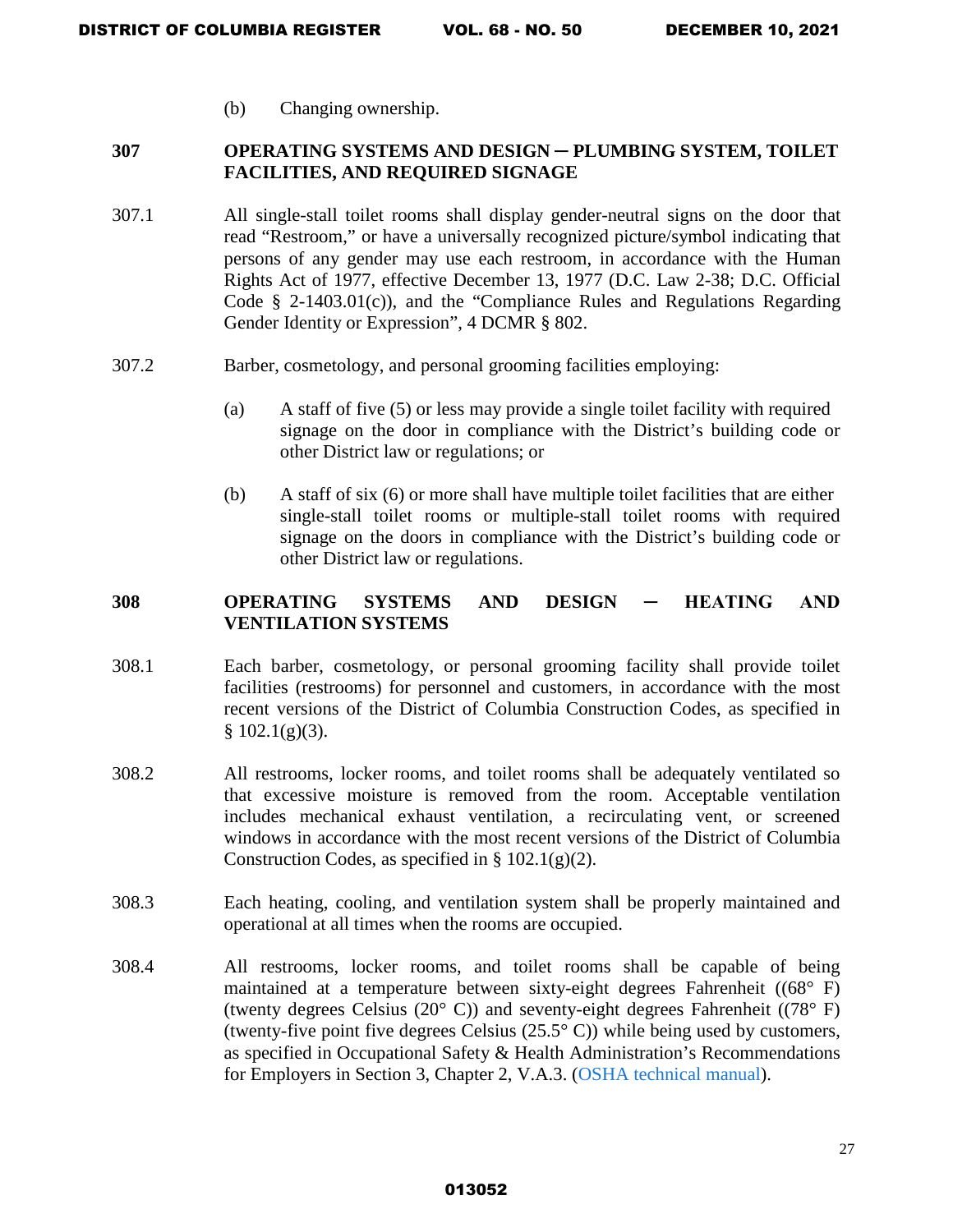(b) Changing ownership.

### **307 OPERATING SYSTEMS AND DESIGN** ─ **PLUMBING SYSTEM, TOILET FACILITIES, AND REQUIRED SIGNAGE**

- 307.1 All single-stall toilet rooms shall display gender-neutral signs on the door that read "Restroom," or have a universally recognized picture/symbol indicating that persons of any gender may use each restroom, in accordance with the Human Rights Act of 1977, effective December 13, 1977 (D.C. Law 2-38; D.C. Official Code § 2-1403.01(c)), and the "Compliance Rules and Regulations Regarding Gender Identity or Expression", 4 DCMR § 802.
- 307.2 Barber, cosmetology, and personal grooming facilities employing:
	- (a) A staff of five (5) or less may provide a single toilet facility with required signage on the door in compliance with the District's building code or other District law or regulations; or
	- (b) A staff of six (6) or more shall have multiple toilet facilities that are either single-stall toilet rooms or multiple-stall toilet rooms with required signage on the doors in compliance with the District's building code or other District law or regulations.

# **308 OPERATING SYSTEMS AND DESIGN ─ HEATING AND VENTILATION SYSTEMS**

- 308.1 Each barber, cosmetology, or personal grooming facility shall provide toilet facilities (restrooms) for personnel and customers, in accordance with the most recent versions of the District of Columbia Construction Codes, as specified in  $§ 102.1(g)(3).$
- 308.2 All restrooms, locker rooms, and toilet rooms shall be adequately ventilated so that excessive moisture is removed from the room. Acceptable ventilation includes mechanical exhaust ventilation, a recirculating vent, or screened windows in accordance with the most recent versions of the District of Columbia Construction Codes, as specified in  $\S 102.1(g)(2)$ .
- 308.3 Each heating, cooling, and ventilation system shall be properly maintained and operational at all times when the rooms are occupied.
- 308.4 All restrooms, locker rooms, and toilet rooms shall be capable of being maintained at a temperature between sixty-eight degrees Fahrenheit ((68° F) (twenty degrees Celsius (20° C)) and seventy-eight degrees Fahrenheit ((78° F) (twenty-five point five degrees Celsius  $(25.5^{\circ} \text{ C})$ ) while being used by customers, as specified in Occupational Safety & Health Administration's Recommendations for Employers in Section 3, Chapter 2, V.A.3. [\(OSHA technical manual\)](https://www.osha.gov/dts/osta/otm/otm_iii/otm_iii_2.html#5).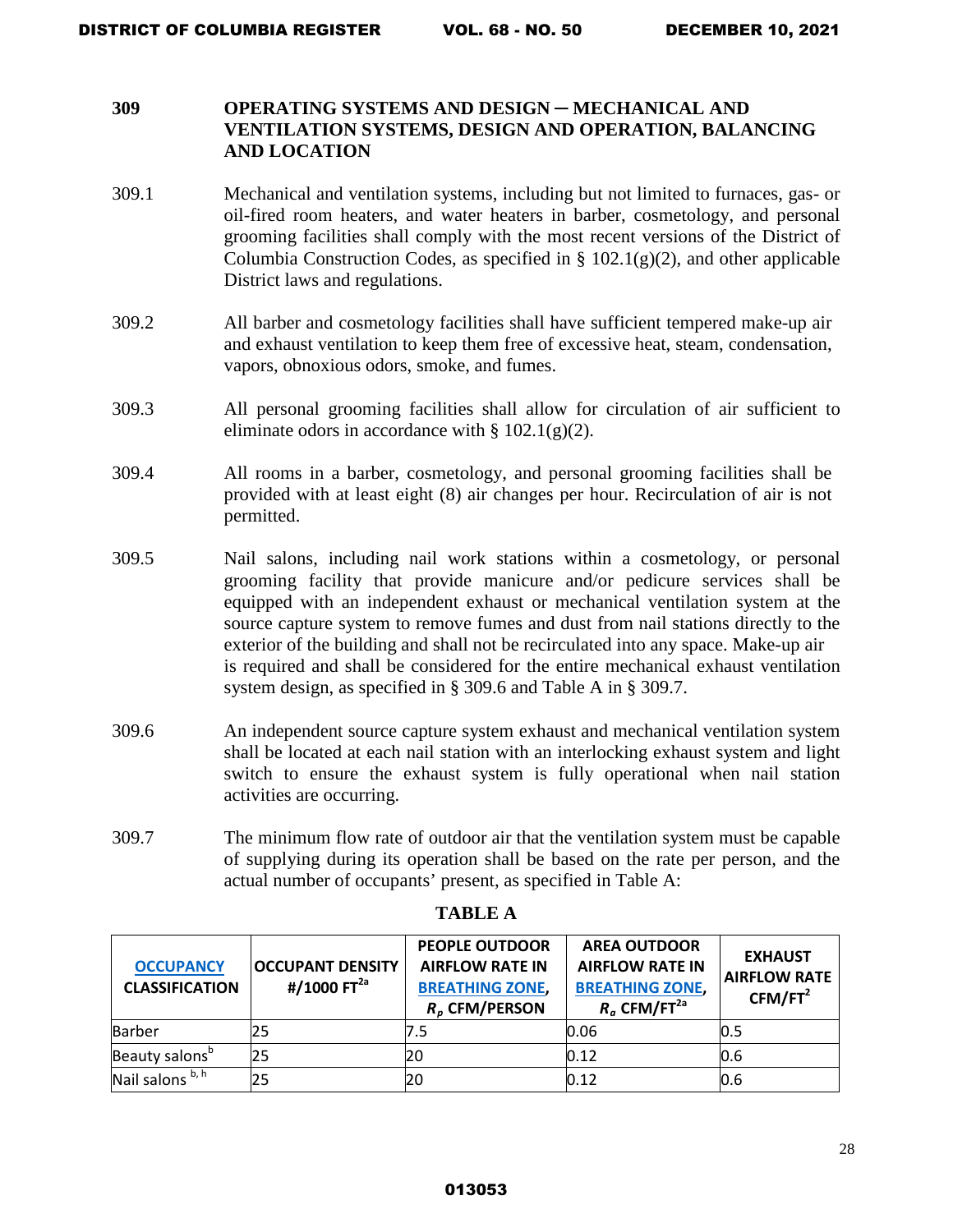### **309 OPERATING SYSTEMS AND DESIGN** ─ **MECHANICAL AND VENTILATION SYSTEMS, DESIGN AND OPERATION, BALANCING AND LOCATION**

- 309.1 Mechanical and ventilation systems, including but not limited to furnaces, gas- or oil-fired room heaters, and water heaters in barber, cosmetology, and personal grooming facilities shall comply with the most recent versions of the District of Columbia Construction Codes, as specified in §  $102.1(g)(2)$ , and other applicable District laws and regulations.
- 309.2 All barber and cosmetology facilities shall have sufficient tempered make-up air and exhaust ventilation to keep them free of excessive heat, steam, condensation, vapors, obnoxious odors, smoke, and fumes.
- 309.3 All personal grooming facilities shall allow for circulation of air sufficient to eliminate odors in accordance with  $\S 102.1(g)(2)$ .
- 309.4 All rooms in a barber, cosmetology, and personal grooming facilities shall be provided with at least eight (8) air changes per hour. Recirculation of air is not permitted.
- 309.5 Nail salons, including nail work stations within a cosmetology, or personal grooming facility that provide manicure and/or pedicure services shall be equipped with an independent exhaust or mechanical ventilation system at the source capture system to remove fumes and dust from nail stations directly to the exterior of the building and shall not be recirculated into any space. Make-up air is required and shall be considered for the entire mechanical exhaust ventilation system design, as specified in § 309.6 and Table A in § 309.7.
- 309.6 An independent source capture system exhaust and mechanical ventilation system shall be located at each nail station with an interlocking exhaust system and light switch to ensure the exhaust system is fully operational when nail station activities are occurring.
- 309.7 The minimum flow rate of outdoor air that the ventilation system must be capable of supplying during its operation shall be based on the rate per person, and the actual number of occupants' present, as specified in Table A:

| <b>OCCUPANCY</b><br><b>CLASSIFICATION</b> | <b>OCCUPANT DENSITY</b><br>#/1000 $FT2a$ | <b>PEOPLE OUTDOOR</b><br><b>AIRFLOW RATE IN</b><br><b>BREATHING ZONE,</b><br>$Rp$ CFM/PERSON | <b>AREA OUTDOOR</b><br><b>AIRFLOW RATE IN</b><br><b>BREATHING ZONE,</b><br>$R_a$ CFM/FT <sup>2a</sup> | <b>EXHAUST</b><br><b>AIRFLOW RATE</b><br>CFM/FT <sup>2</sup> |
|-------------------------------------------|------------------------------------------|----------------------------------------------------------------------------------------------|-------------------------------------------------------------------------------------------------------|--------------------------------------------------------------|
| <b>Barber</b>                             | 25                                       | 7.5                                                                                          | 0.06                                                                                                  | 0.5                                                          |
| Beauty salons <sup>b</sup>                | 25                                       | 20                                                                                           | 0.12                                                                                                  | 0.6                                                          |
| Nail salons b, h                          | 25                                       | 20                                                                                           | 0.12                                                                                                  | 0.6                                                          |

### **TABLE A**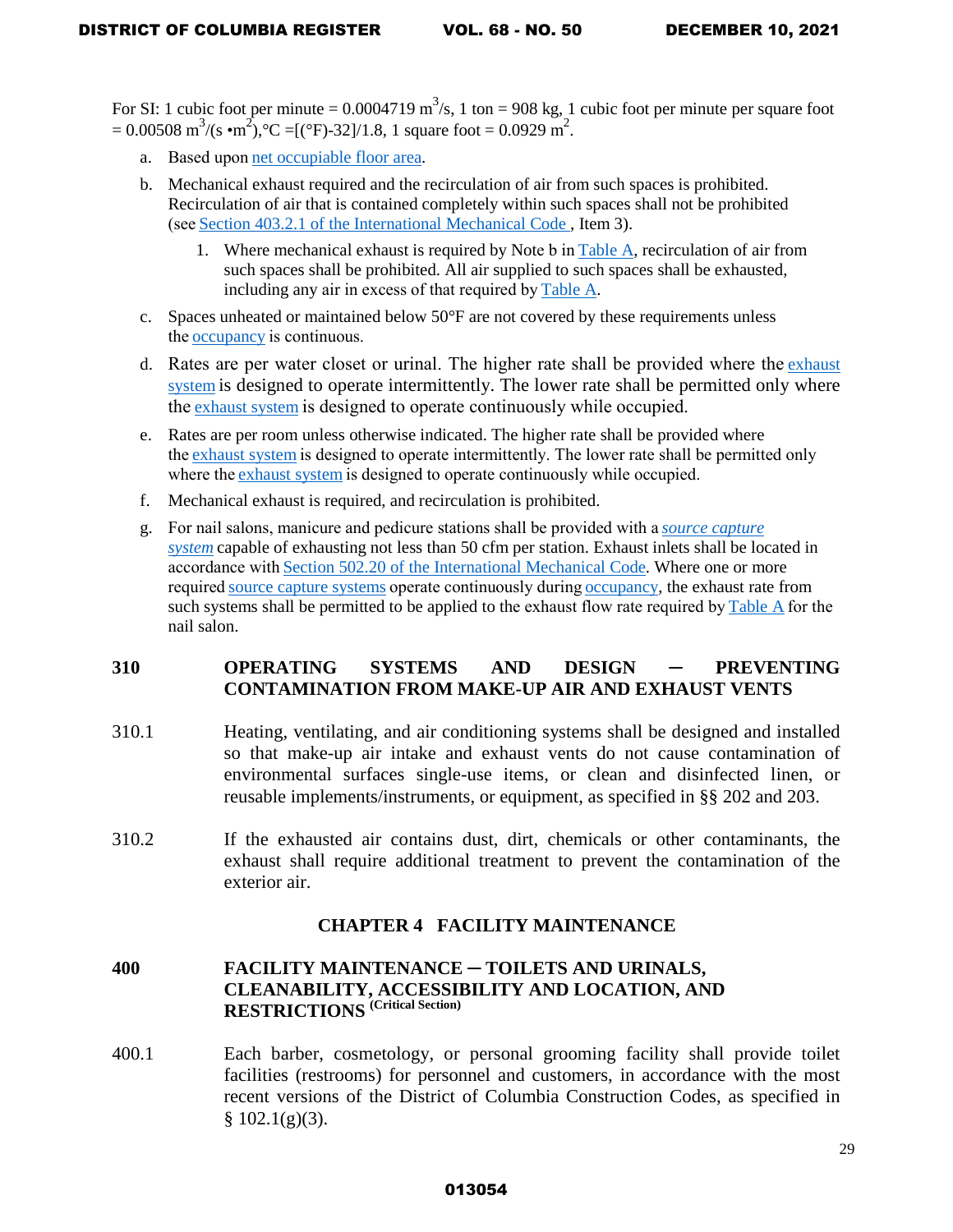For SI: 1 cubic foot per minute =  $0.0004719 \text{ m}^3/\text{s}$ , 1 ton = 908 kg, 1 cubic foot per minute per square foot  $= 0.00508 \text{ m}^3/(\text{s} \cdot \text{m}^2)$ , °C =[(°F)-32]/1.8, 1 square foot = 0.0929 m<sup>2</sup>.

- a. Based upon [net occupiable floor area.](https://up.codes/viewer/washington/imc-2015/chapter/2/definitions#net_occupiable_floor_area)
- b. Mechanical exhaust required and the recirculation of air from such spaces is prohibited. Recirculation of air that is contained completely within such spaces shall not be prohibited (see [Section 403.2.1](https://up.codes/viewer/washington/imc-2015/chapter/4/ventilation#403.2.1) of the International Mechanical Code , Item 3).
	- 1. Where mechanical exhaust is required by Note b in [Table A,](https://up.codes/viewer/washington/imc-2015/chapter/4/ventilation#table_403.3.1.1) recirculation of air from such spaces shall be prohibited. All air supplied to such spaces shall be exhausted, including any air in excess of that required by [Table A.](https://up.codes/viewer/washington/imc-2015/chapter/4/ventilation#table_403.3.1.1)
- c. Spaces unheated or maintained below  $50^{\circ}$  F are not covered by these requirements unless the [occupancy](https://up.codes/viewer/washington/imc-2015/chapter/2/definitions#occupancy) is continuous.
- d. Rates are per water closet or urinal. The higher rate shall be provided where the [exhaust](https://up.codes/viewer/washington/imc-2015/chapter/2/definitions#exhaust_system)  [system](https://up.codes/viewer/washington/imc-2015/chapter/2/definitions#exhaust_system) is designed to operate intermittently. The lower rate shall be permitted only where the [exhaust system](https://up.codes/viewer/washington/imc-2015/chapter/2/definitions#exhaust_system) is designed to operate continuously while occupied.
- e. Rates are per room unless otherwise indicated. The higher rate shall be provided where the [exhaust system](https://up.codes/viewer/washington/imc-2015/chapter/2/definitions#exhaust_system) is designed to operate intermittently. The lower rate shall be permitted only where the [exhaust system](https://up.codes/viewer/washington/imc-2015/chapter/2/definitions#exhaust_system) is designed to operate continuously while occupied.
- f. Mechanical exhaust is required, and recirculation is prohibited.
- g. For nail salons, manicure and pedicure stations shall be provided with a *[source capture](https://up.codes/viewer/washington/imc-2015/chapter/2/definitions#source_capture_system)  [system](https://up.codes/viewer/washington/imc-2015/chapter/2/definitions#source_capture_system)* capable of exhausting not less than 50 cfm per station. Exhaust inlets shall be located in accordance with [Section 502.20](https://up.codes/viewer/washington/imc-2015/chapter/5/exhaust-systems#502.20) of the International Mechanical Code. Where one or more required [source capture systems](https://up.codes/viewer/washington/imc-2015/chapter/2/definitions#source_capture_system) operate continuously during [occupancy,](https://up.codes/viewer/washington/imc-2015/chapter/2/definitions#occupancy) the exhaust rate from such systems shall be permitted to be applied to the exhaust flow rate required by [Table A](https://up.codes/viewer/washington/imc-2015/chapter/4/ventilation#table_403.3.1.1) for the nail salon.

# **310 OPERATING SYSTEMS AND DESIGN** ─ **PREVENTING CONTAMINATION FROM MAKE-UP AIR AND EXHAUST VENTS**

- 310.1 Heating, ventilating, and air conditioning systems shall be designed and installed so that make-up air intake and exhaust vents do not cause contamination of environmental surfaces single-use items, or clean and disinfected linen, or reusable implements/instruments, or equipment, as specified in §§ 202 and 203.
- 310.2 If the exhausted air contains dust, dirt, chemicals or other contaminants, the exhaust shall require additional treatment to prevent the contamination of the exterior air.

### **CHAPTER 4 FACILITY MAINTENANCE**

# **400 FACILITY MAINTENANCE** ─ **TOILETS AND URINALS, CLEANABILITY, ACCESSIBILITY AND LOCATION, AND RESTRICTIONS (Critical Section)**

400.1 Each barber, cosmetology, or personal grooming facility shall provide toilet facilities (restrooms) for personnel and customers, in accordance with the most recent versions of the District of Columbia Construction Codes, as specified in  $§ 102.1(g)(3).$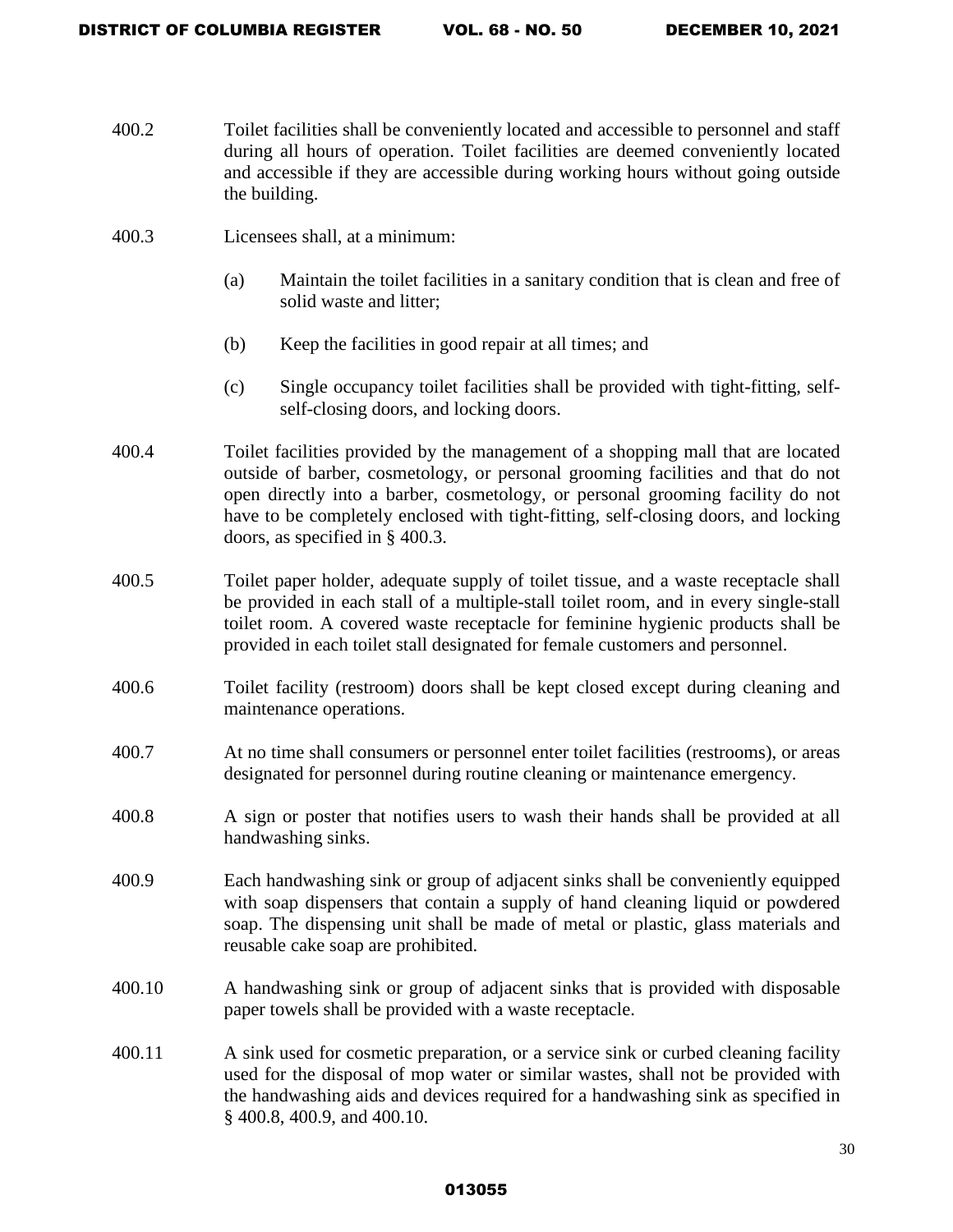- 400.2 Toilet facilities shall be conveniently located and accessible to personnel and staff during all hours of operation. Toilet facilities are deemed conveniently located and accessible if they are accessible during working hours without going outside the building.
- 400.3 Licensees shall, at a minimum:
	- (a) Maintain the toilet facilities in a sanitary condition that is clean and free of solid waste and litter;
	- (b) Keep the facilities in good repair at all times; and
	- (c) Single occupancy toilet facilities shall be provided with tight-fitting, selfself-closing doors, and locking doors.
- 400.4 Toilet facilities provided by the management of a shopping mall that are located outside of barber, cosmetology, or personal grooming facilities and that do not open directly into a barber, cosmetology, or personal grooming facility do not have to be completely enclosed with tight-fitting, self-closing doors, and locking doors, as specified in § 400.3.
- 400.5 Toilet paper holder, adequate supply of toilet tissue, and a waste receptacle shall be provided in each stall of a multiple-stall toilet room, and in every single-stall toilet room. A covered waste receptacle for feminine hygienic products shall be provided in each toilet stall designated for female customers and personnel.
- 400.6 Toilet facility (restroom) doors shall be kept closed except during cleaning and maintenance operations.
- 400.7 At no time shall consumers or personnel enter toilet facilities (restrooms), or areas designated for personnel during routine cleaning or maintenance emergency.
- 400.8 A sign or poster that notifies users to wash their hands shall be provided at all handwashing sinks.
- 400.9 Each handwashing sink or group of adjacent sinks shall be conveniently equipped with soap dispensers that contain a supply of hand cleaning liquid or powdered soap. The dispensing unit shall be made of metal or plastic, glass materials and reusable cake soap are prohibited.
- 400.10 A handwashing sink or group of adjacent sinks that is provided with disposable paper towels shall be provided with a waste receptacle.
- 400.11 A sink used for cosmetic preparation, or a service sink or curbed cleaning facility used for the disposal of mop water or similar wastes, shall not be provided with the handwashing aids and devices required for a handwashing sink as specified in § 400.8, 400.9, and 400.10.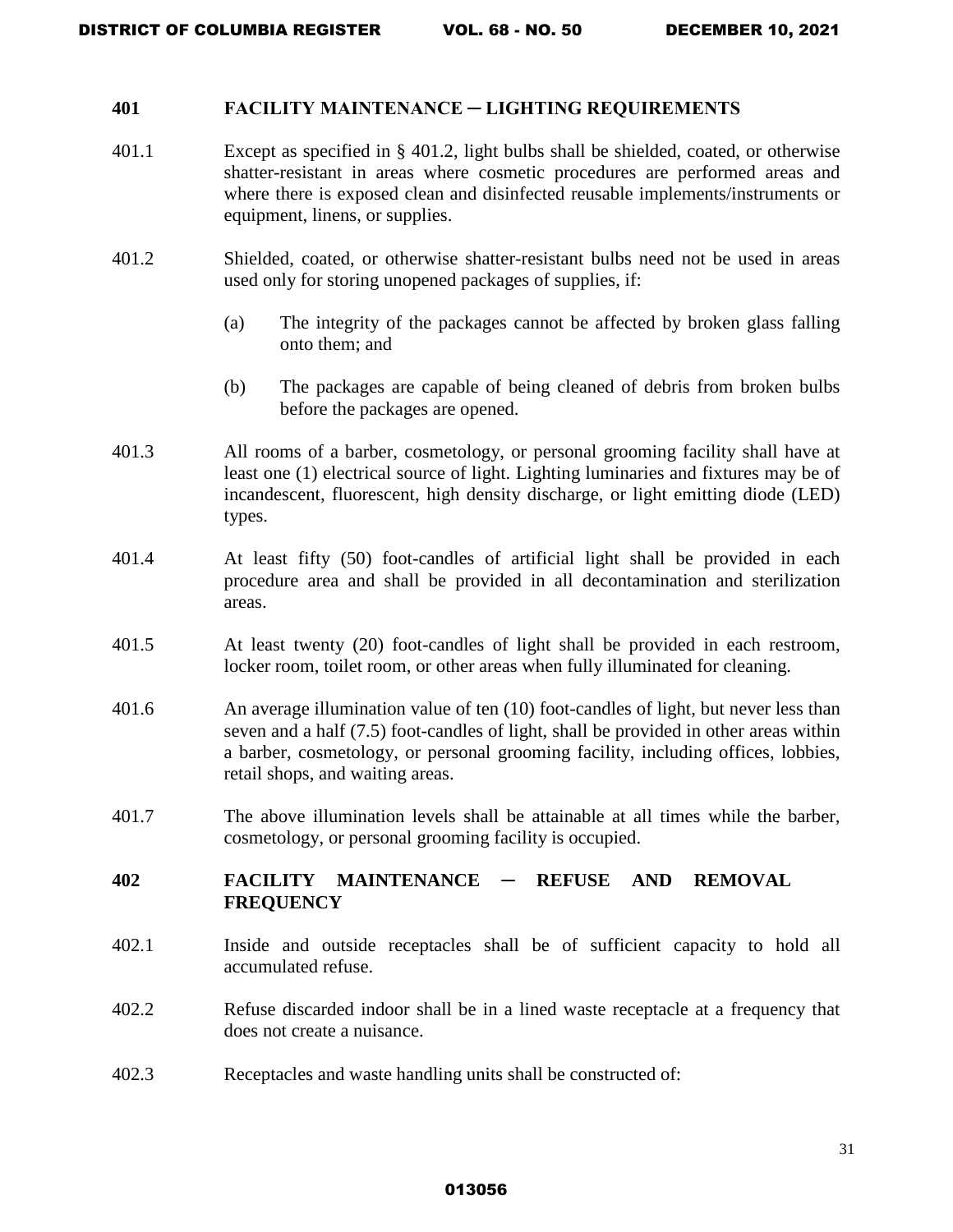#### **401 FACILITY MAINTENANCE ─ LIGHTING REQUIREMENTS**

- 401.1 Except as specified in § 401.2, light bulbs shall be shielded, coated, or otherwise shatter-resistant in areas where cosmetic procedures are performed areas and where there is exposed clean and disinfected reusable implements/instruments or equipment, linens, or supplies.
- 401.2 Shielded, coated, or otherwise shatter-resistant bulbs need not be used in areas used only for storing unopened packages of supplies, if:
	- (a) The integrity of the packages cannot be affected by broken glass falling onto them; and
	- (b) The packages are capable of being cleaned of debris from broken bulbs before the packages are opened.
- 401.3 All rooms of a barber, cosmetology, or personal grooming facility shall have at least one (1) electrical source of light. Lighting luminaries and fixtures may be of incandescent, fluorescent, high density discharge, or light emitting diode (LED) types.
- 401.4 At least fifty (50) foot-candles of artificial light shall be provided in each procedure area and shall be provided in all decontamination and sterilization areas.
- 401.5 At least twenty (20) foot-candles of light shall be provided in each restroom, locker room, toilet room, or other areas when fully illuminated for cleaning.
- 401.6 An average illumination value of ten (10) foot-candles of light, but never less than seven and a half (7.5) foot-candles of light, shall be provided in other areas within a barber, cosmetology, or personal grooming facility, including offices, lobbies, retail shops, and waiting areas.
- 401.7 The above illumination levels shall be attainable at all times while the barber, cosmetology, or personal grooming facility is occupied.

# **402 FACILITY MAINTENANCE** ─ **REFUSE AND REMOVAL FREQUENCY**

- 402.1 Inside and outside receptacles shall be of sufficient capacity to hold all accumulated refuse.
- 402.2 Refuse discarded indoor shall be in a lined waste receptacle at a frequency that does not create a nuisance.
- 402.3 Receptacles and waste handling units shall be constructed of: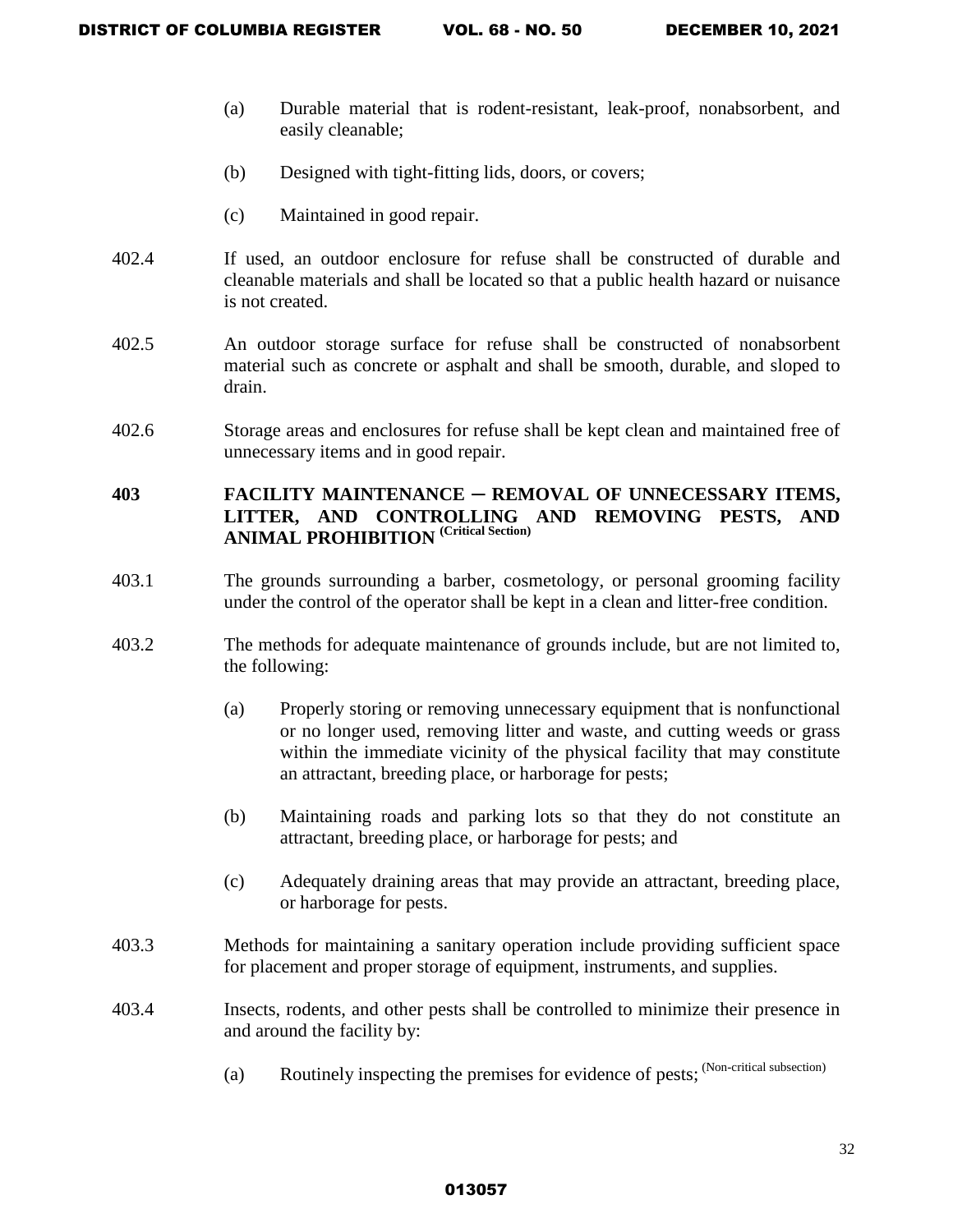- (a) Durable material that is rodent-resistant, leak-proof, nonabsorbent, and easily cleanable;
- (b) Designed with tight-fitting lids, doors, or covers;
- (c) Maintained in good repair.
- 402.4 If used, an outdoor enclosure for refuse shall be constructed of durable and cleanable materials and shall be located so that a public health hazard or nuisance is not created.
- 402.5 An outdoor storage surface for refuse shall be constructed of nonabsorbent material such as concrete or asphalt and shall be smooth, durable, and sloped to drain.
- 402.6 Storage areas and enclosures for refuse shall be kept clean and maintained free of unnecessary items and in good repair.

# **403 FACILITY MAINTENANCE** ─ **REMOVAL OF UNNECESSARY ITEMS, LITTER, AND CONTROLLING AND REMOVING PESTS, AND ANIMAL PROHIBITION (Critical Section)**

- 403.1 The grounds surrounding a barber, cosmetology, or personal grooming facility under the control of the operator shall be kept in a clean and litter-free condition.
- 403.2 The methods for adequate maintenance of grounds include, but are not limited to, the following:
	- (a) Properly storing or removing unnecessary equipment that is nonfunctional or no longer used, removing litter and waste, and cutting weeds or grass within the immediate vicinity of the physical facility that may constitute an attractant, breeding place, or harborage for pests;
	- (b) Maintaining roads and parking lots so that they do not constitute an attractant, breeding place, or harborage for pests; and
	- (c) Adequately draining areas that may provide an attractant, breeding place, or harborage for pests.
- 403.3 Methods for maintaining a sanitary operation include providing sufficient space for placement and proper storage of equipment, instruments, and supplies.
- 403.4 Insects, rodents, and other pests shall be controlled to minimize their presence in and around the facility by:
	- (a) Routinely inspecting the premises for evidence of pests; (Non-critical subsection)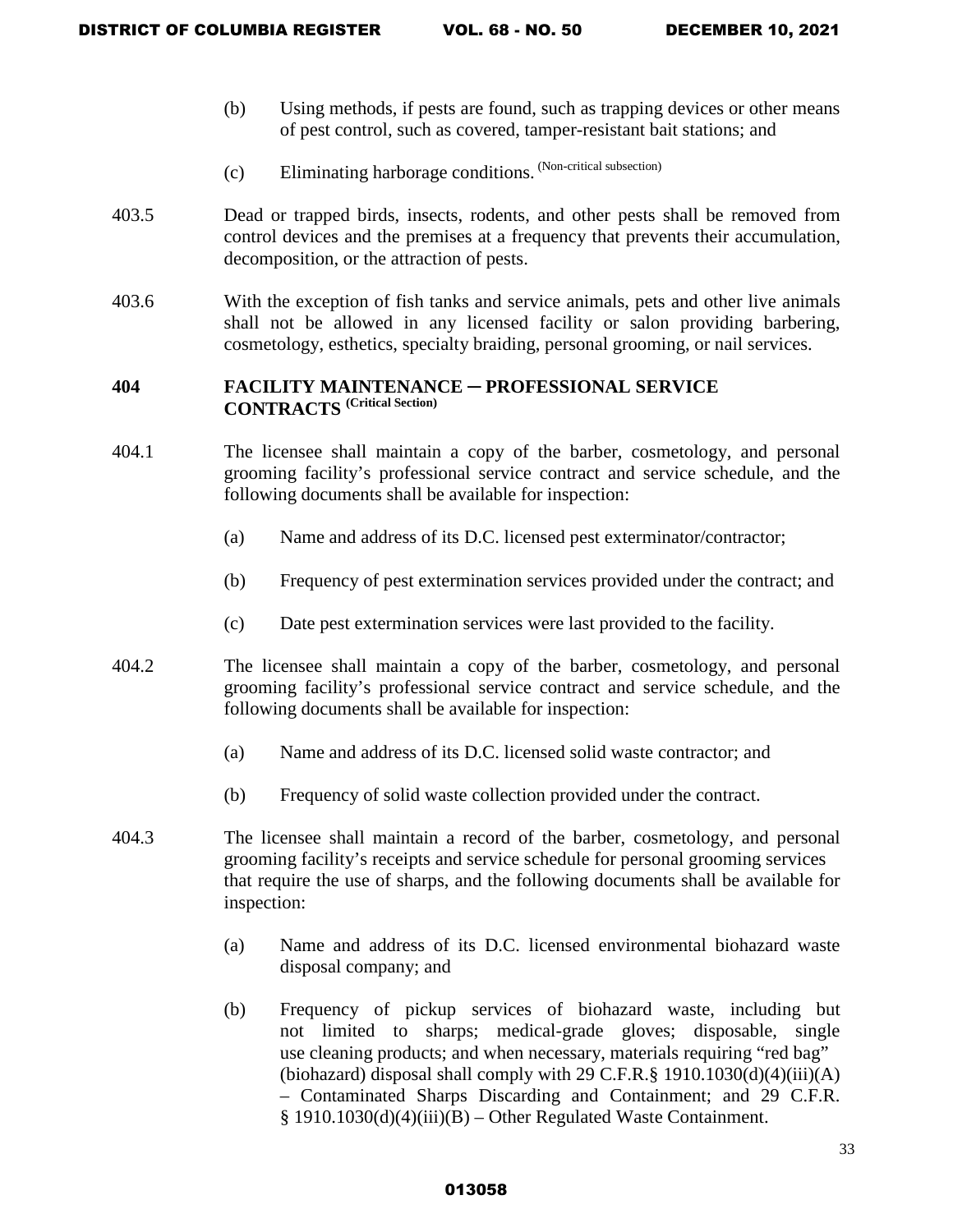- (b) Using methods, if pests are found, such as trapping devices or other means of pest control, such as covered, tamper-resistant bait stations; and
- (c) Eliminating harborage conditions. (Non-critical subsection)
- 403.5 Dead or trapped birds, insects, rodents, and other pests shall be removed from control devices and the premises at a frequency that prevents their accumulation, decomposition, or the attraction of pests.
- 403.6 With the exception of fish tanks and service animals, pets and other live animals shall not be allowed in any licensed facility or salon providing barbering, cosmetology, esthetics, specialty braiding, personal grooming, or nail services.

# **404 FACILITY MAINTENANCE** ─ **PROFESSIONAL SERVICE CONTRACTS (Critical Section)**

- 404.1 The licensee shall maintain a copy of the barber, cosmetology, and personal grooming facility's professional service contract and service schedule, and the following documents shall be available for inspection:
	- (a) Name and address of its D.C. licensed pest exterminator/contractor;
	- (b) Frequency of pest extermination services provided under the contract; and
	- (c) Date pest extermination services were last provided to the facility.
- 404.2 The licensee shall maintain a copy of the barber, cosmetology, and personal grooming facility's professional service contract and service schedule, and the following documents shall be available for inspection:
	- (a) Name and address of its D.C. licensed solid waste contractor; and
	- (b) Frequency of solid waste collection provided under the contract.
- 404.3 The licensee shall maintain a record of the barber, cosmetology, and personal grooming facility's receipts and service schedule for personal grooming services that require the use of sharps, and the following documents shall be available for inspection:
	- (a) Name and address of its D.C. licensed environmental biohazard waste disposal company; and
	- (b) Frequency of pickup services of biohazard waste, including but not limited to sharps; medical-grade gloves; disposable, single use cleaning products; and when necessary, materials requiring "red bag" (biohazard) disposal shall comply with 29 C.F.R. $\S$  1910.1030(d)(4)(iii)(A) – Contaminated Sharps Discarding and Containment; and 29 C.F.R. § 1910.1030(d)(4)(iii)(B) – Other Regulated Waste Containment.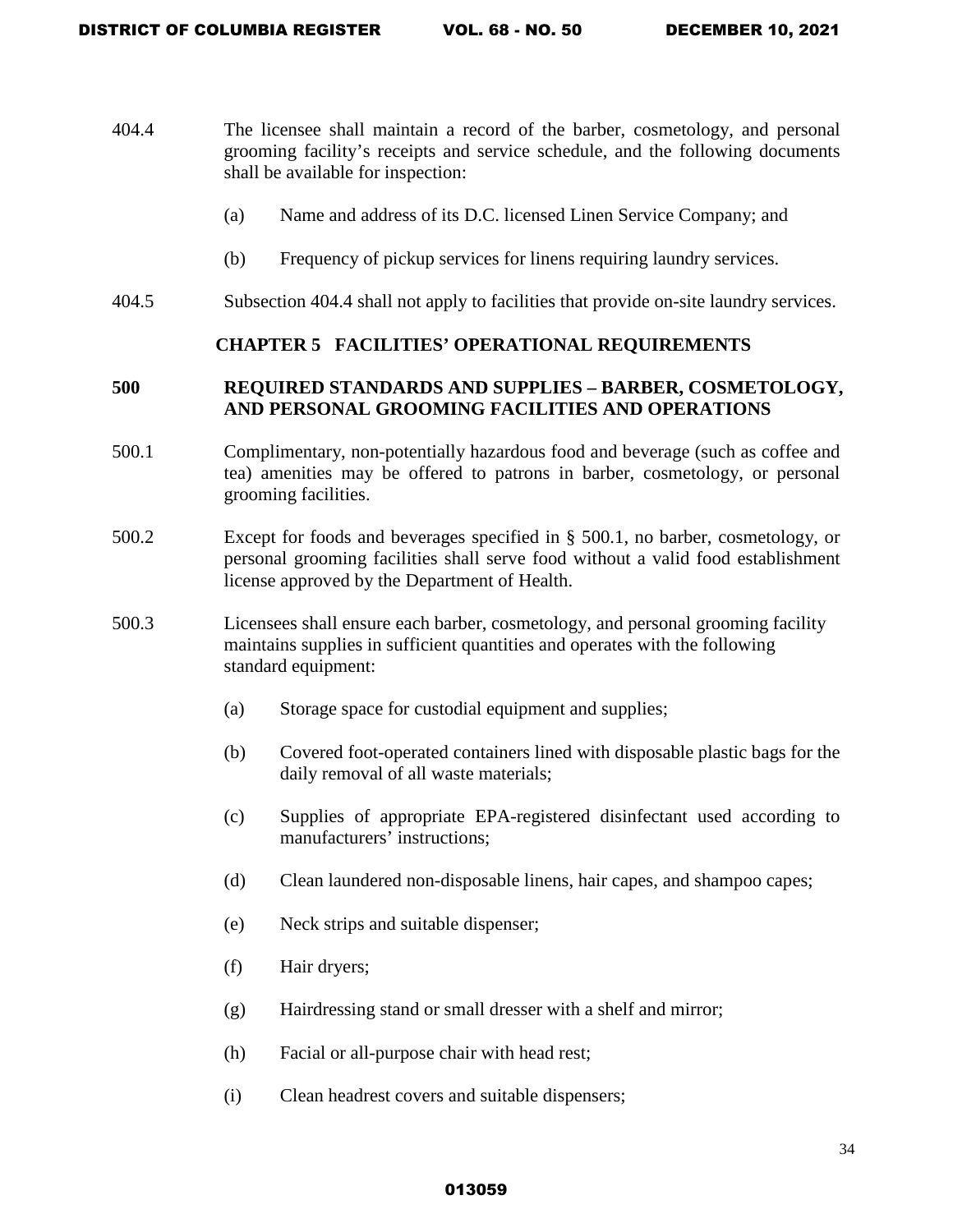- 404.4 The licensee shall maintain a record of the barber, cosmetology, and personal grooming facility's receipts and service schedule, and the following documents shall be available for inspection:
	- (a) Name and address of its D.C. licensed Linen Service Company; and
	- (b) Frequency of pickup services for linens requiring laundry services.
- 404.5 Subsection 404.4 shall not apply to facilities that provide on-site laundry services.

### **CHAPTER 5 FACILITIES' OPERATIONAL REQUIREMENTS**

# **500 REQUIRED STANDARDS AND SUPPLIES – BARBER, COSMETOLOGY, AND PERSONAL GROOMING FACILITIES AND OPERATIONS**

- 500.1 Complimentary, non-potentially hazardous food and beverage (such as coffee and tea) amenities may be offered to patrons in barber, cosmetology, or personal grooming facilities.
- 500.2 Except for foods and beverages specified in § 500.1, no barber, cosmetology, or personal grooming facilities shall serve food without a valid food establishment license approved by the Department of Health.
- 500.3 Licensees shall ensure each barber, cosmetology, and personal grooming facility maintains supplies in sufficient quantities and operates with the following standard equipment:
	- (a) Storage space for custodial equipment and supplies;
	- (b) Covered foot-operated containers lined with disposable plastic bags for the daily removal of all waste materials;
	- (c) Supplies of appropriate EPA-registered disinfectant used according to manufacturers' instructions;
	- (d) Clean laundered non-disposable linens, hair capes, and shampoo capes;
	- (e) Neck strips and suitable dispenser;
	- (f) Hair dryers;
	- (g) Hairdressing stand or small dresser with a shelf and mirror;
	- (h) Facial or all-purpose chair with head rest;
	- (i) Clean headrest covers and suitable dispensers;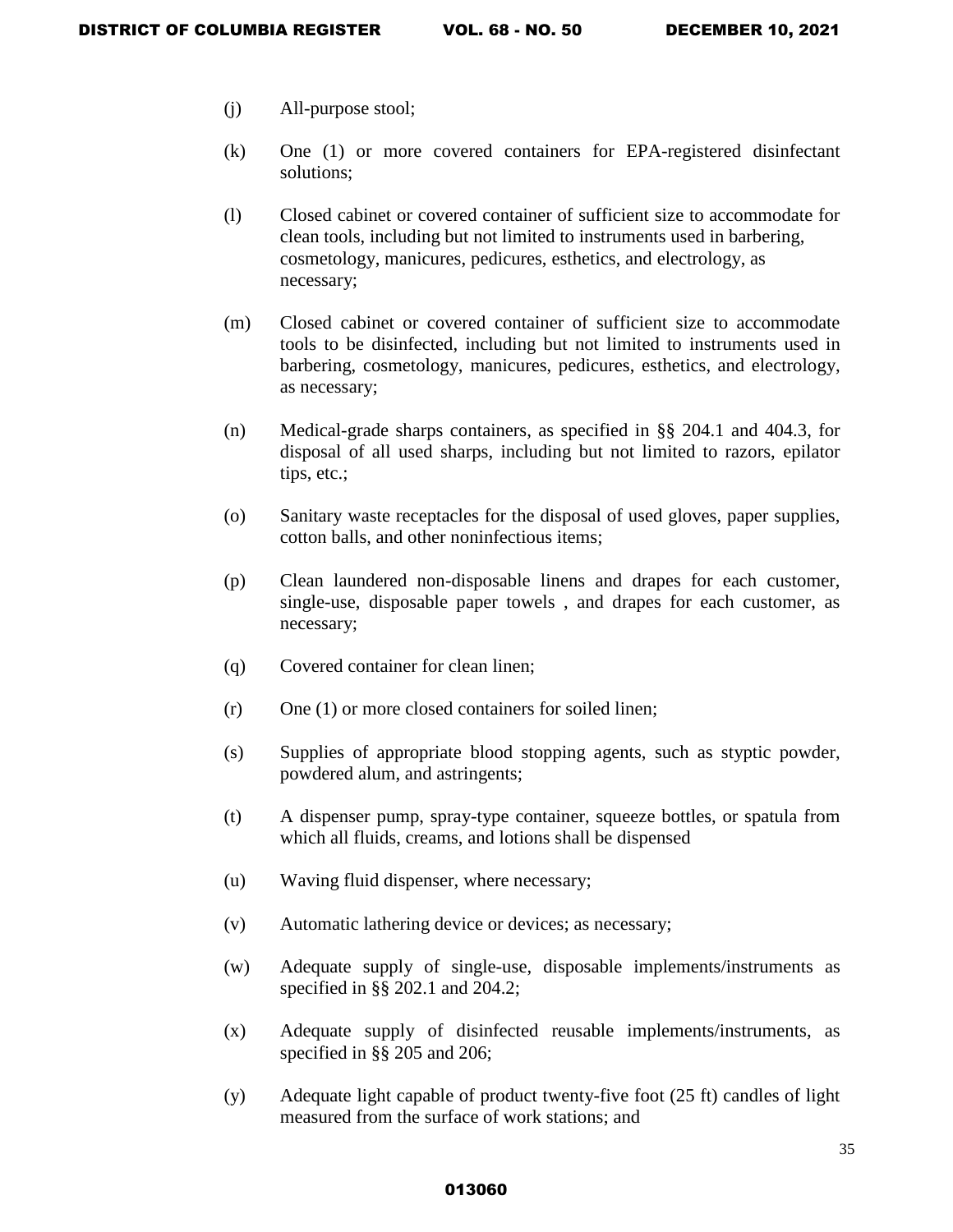- (j) All-purpose stool;
- (k) One (1) or more covered containers for EPA-registered disinfectant solutions;
- (l) Closed cabinet or covered container of sufficient size to accommodate for clean tools, including but not limited to instruments used in barbering, cosmetology, manicures, pedicures, esthetics, and electrology, as necessary;
- (m) Closed cabinet or covered container of sufficient size to accommodate tools to be disinfected, including but not limited to instruments used in barbering, cosmetology, manicures, pedicures, esthetics, and electrology, as necessary;
- (n) Medical-grade sharps containers, as specified in §§ 204.1 and 404.3, for disposal of all used sharps, including but not limited to razors, epilator tips, etc.;
- (o) Sanitary waste receptacles for the disposal of used gloves, paper supplies, cotton balls, and other noninfectious items;
- (p) Clean laundered non-disposable linens and drapes for each customer, single-use, disposable paper towels , and drapes for each customer, as necessary;
- (q) Covered container for clean linen;
- (r) One (1) or more closed containers for soiled linen;
- (s) Supplies of appropriate blood stopping agents, such as styptic powder, powdered alum, and astringents;
- (t) A dispenser pump, spray-type container, squeeze bottles, or spatula from which all fluids, creams, and lotions shall be dispensed
- (u) Waving fluid dispenser, where necessary;
- (v) Automatic lathering device or devices; as necessary;
- (w) Adequate supply of single-use, disposable implements/instruments as specified in §§ 202.1 and 204.2;
- (x) Adequate supply of disinfected reusable implements/instruments, as specified in §§ 205 and 206;
- (y) Adequate light capable of product twenty-five foot (25 ft) candles of light measured from the surface of work stations; and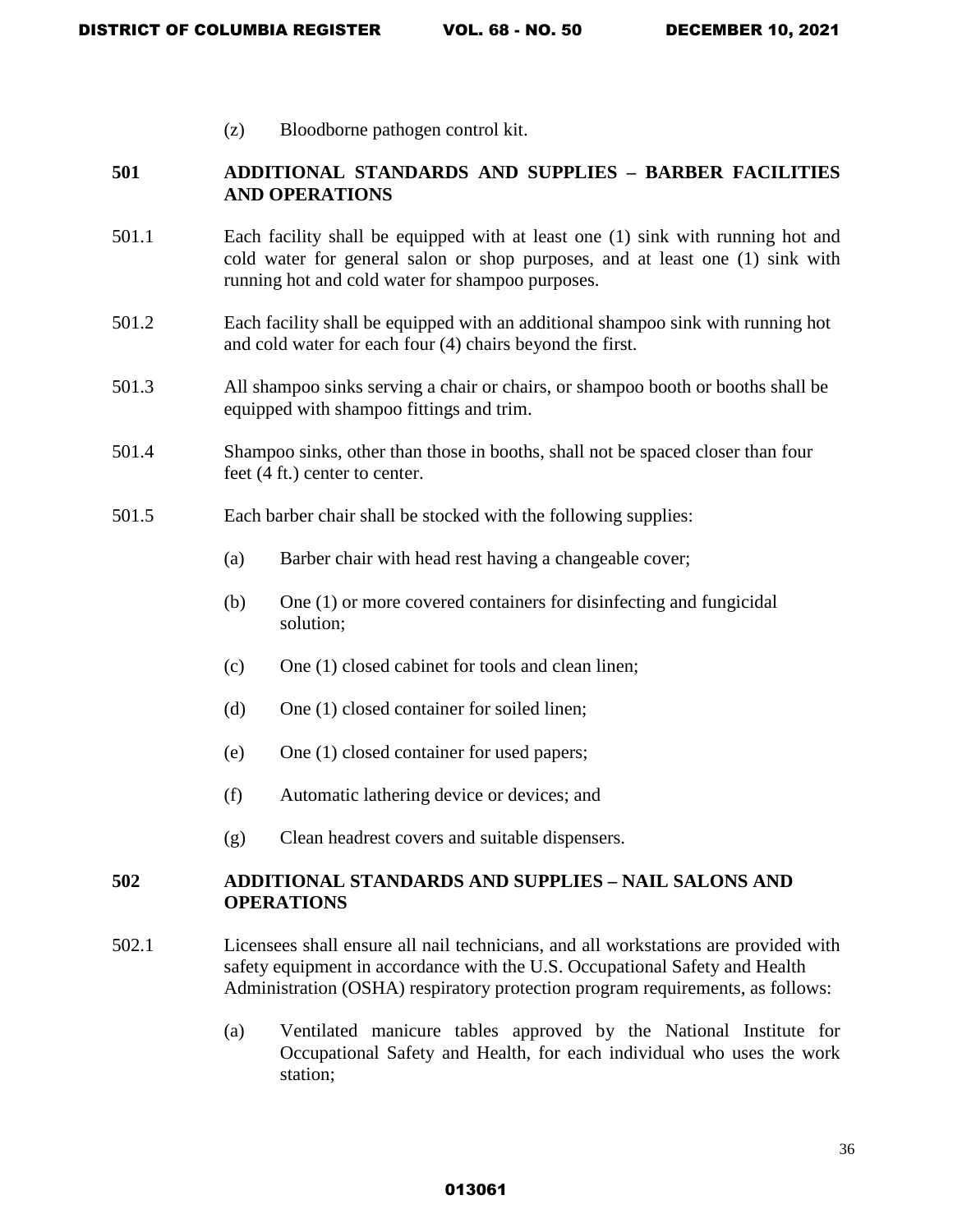(z) Bloodborne pathogen control kit.

# **501 ADDITIONAL STANDARDS AND SUPPLIES – BARBER FACILITIES AND OPERATIONS**

- 501.1 Each facility shall be equipped with at least one (1) sink with running hot and cold water for general salon or shop purposes, and at least one (1) sink with running hot and cold water for shampoo purposes.
- 501.2 Each facility shall be equipped with an additional shampoo sink with running hot and cold water for each four (4) chairs beyond the first.
- 501.3 All shampoo sinks serving a chair or chairs, or shampoo booth or booths shall be equipped with shampoo fittings and trim.
- 501.4 Shampoo sinks, other than those in booths, shall not be spaced closer than four feet (4 ft.) center to center.
- 501.5 Each barber chair shall be stocked with the following supplies:
	- (a) Barber chair with head rest having a changeable cover;
	- (b) One (1) or more covered containers for disinfecting and fungicidal solution;
	- (c) One (1) closed cabinet for tools and clean linen;
	- (d) One (1) closed container for soiled linen;
	- (e) One (1) closed container for used papers;
	- (f) Automatic lathering device or devices; and
	- (g) Clean headrest covers and suitable dispensers.

### **502 ADDITIONAL STANDARDS AND SUPPLIES – NAIL SALONS AND OPERATIONS**

- 502.1 Licensees shall ensure all nail technicians, and all workstations are provided with safety equipment in accordance with the U.S. Occupational Safety and Health Administration (OSHA) respiratory protection program requirements, as follows:
	- (a) Ventilated manicure tables approved by the National Institute for Occupational Safety and Health, for each individual who uses the work station;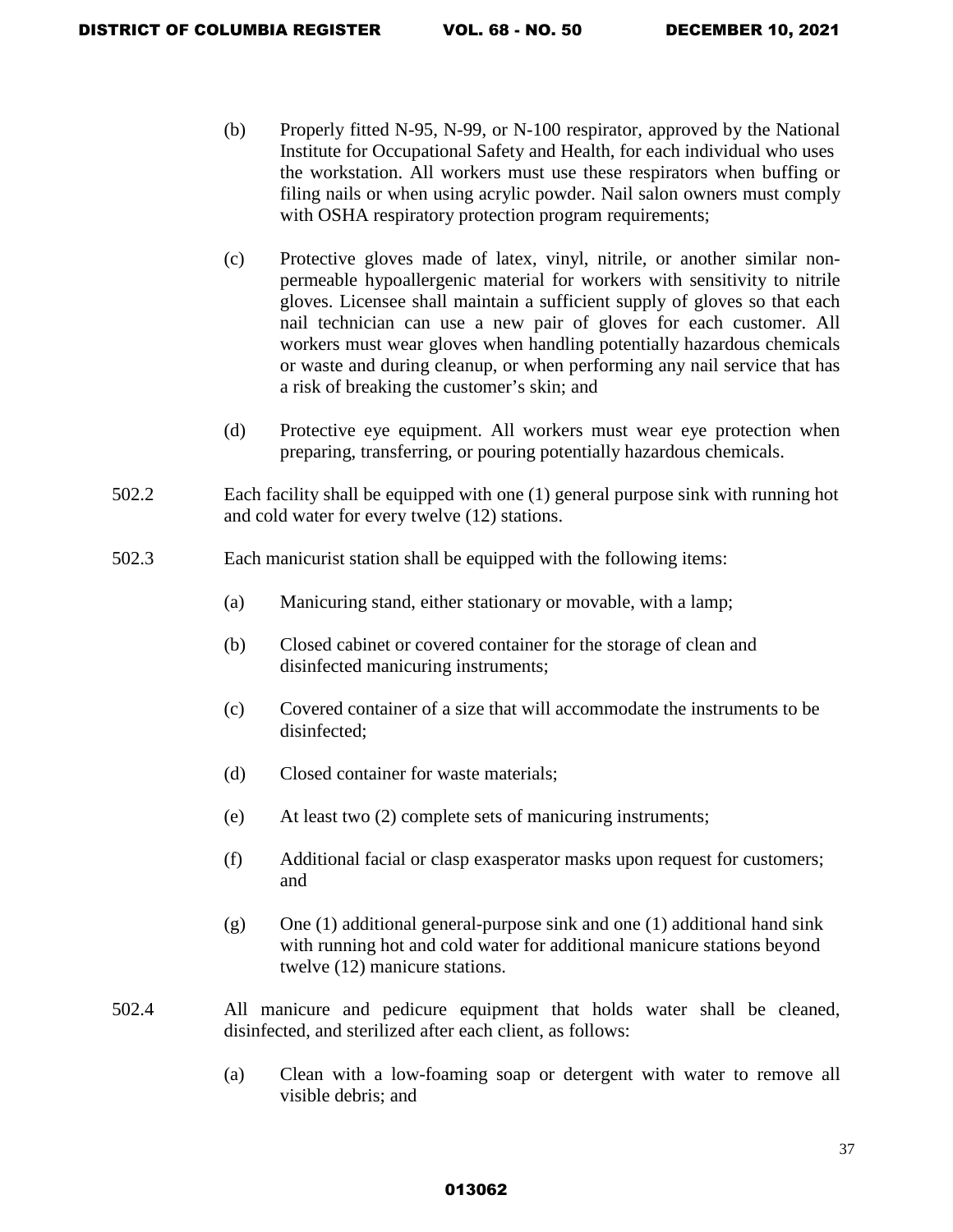- (b) Properly fitted N-95, N-99, or N-100 respirator, approved by the National Institute for Occupational Safety and Health, for each individual who uses the workstation. All workers must use these respirators when buffing or filing nails or when using acrylic powder. Nail salon owners must comply with OSHA respiratory protection program requirements;
- (c) Protective gloves made of latex, vinyl, nitrile, or another similar nonpermeable hypoallergenic material for workers with sensitivity to nitrile gloves. Licensee shall maintain a sufficient supply of gloves so that each nail technician can use a new pair of gloves for each customer. All workers must wear gloves when handling potentially hazardous chemicals or waste and during cleanup, or when performing any nail service that has a risk of breaking the customer's skin; and
- (d) Protective eye equipment. All workers must wear eye protection when preparing, transferring, or pouring potentially hazardous chemicals.
- 502.2 Each facility shall be equipped with one (1) general purpose sink with running hot and cold water for every twelve (12) stations.
- 502.3 Each manicurist station shall be equipped with the following items:
	- (a) Manicuring stand, either stationary or movable, with a lamp;
	- (b) Closed cabinet or covered container for the storage of clean and disinfected manicuring instruments;
	- (c) Covered container of a size that will accommodate the instruments to be disinfected;
	- (d) Closed container for waste materials;
	- (e) At least two (2) complete sets of manicuring instruments;
	- (f) Additional facial or clasp exasperator masks upon request for customers; and
	- $(g)$  One (1) additional general-purpose sink and one (1) additional hand sink with running hot and cold water for additional manicure stations beyond twelve (12) manicure stations.
- 502.4 All manicure and pedicure equipment that holds water shall be cleaned, disinfected, and sterilized after each client, as follows:
	- (a) Clean with a low-foaming soap or detergent with water to remove all visible debris; and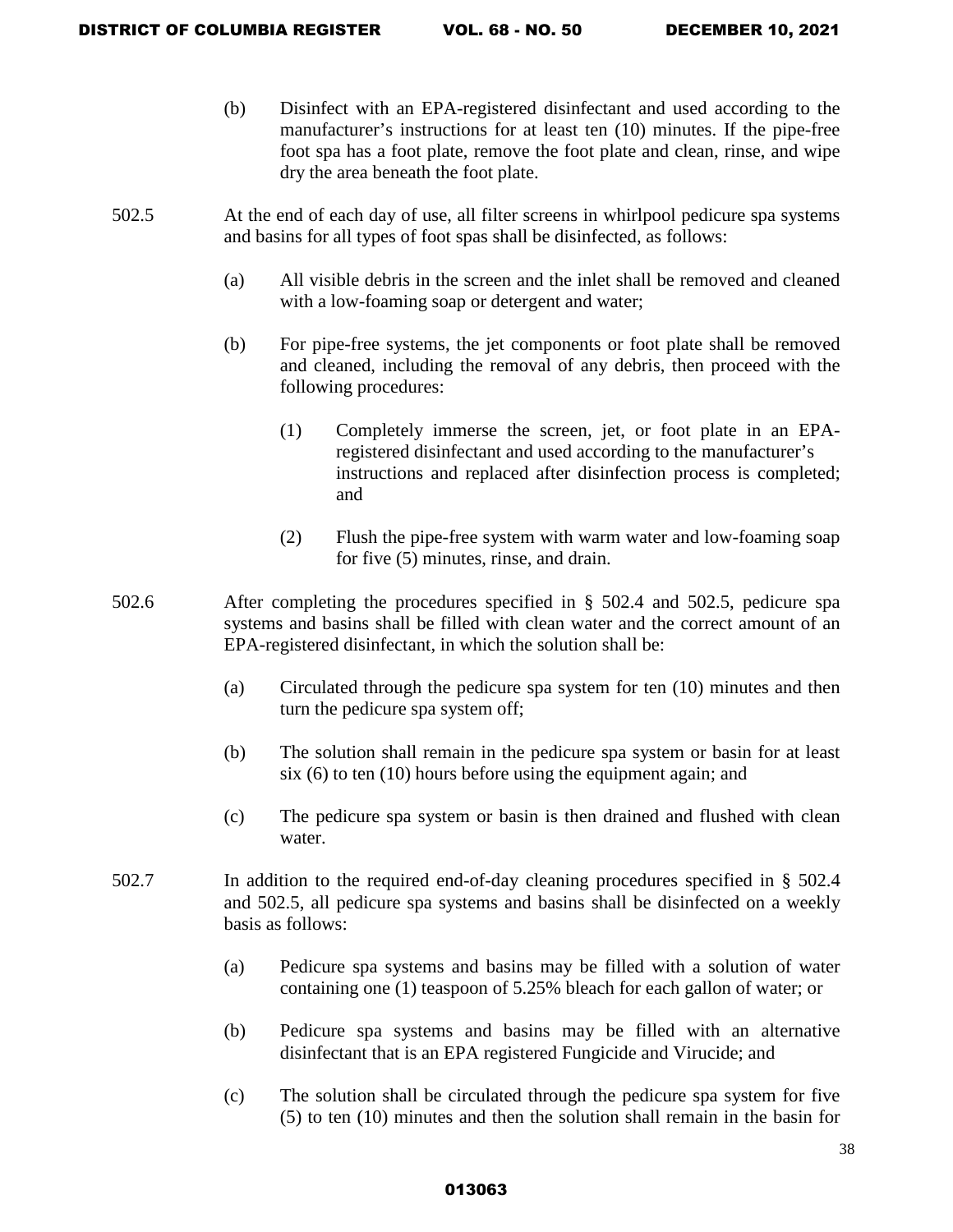- (b) Disinfect with an EPA-registered disinfectant and used according to the manufacturer's instructions for at least ten (10) minutes. If the pipe-free foot spa has a foot plate, remove the foot plate and clean, rinse, and wipe dry the area beneath the foot plate.
- 502.5 At the end of each day of use, all filter screens in whirlpool pedicure spa systems and basins for all types of foot spas shall be disinfected, as follows:
	- (a) All visible debris in the screen and the inlet shall be removed and cleaned with a low-foaming soap or detergent and water;
	- (b) For pipe-free systems, the jet components or foot plate shall be removed and cleaned, including the removal of any debris, then proceed with the following procedures:
		- (1) Completely immerse the screen, jet, or foot plate in an EPAregistered disinfectant and used according to the manufacturer's instructions and replaced after disinfection process is completed; and
		- (2) Flush the pipe-free system with warm water and low-foaming soap for five (5) minutes, rinse, and drain.
- 502.6 After completing the procedures specified in § 502.4 and 502.5, pedicure spa systems and basins shall be filled with clean water and the correct amount of an EPA-registered disinfectant, in which the solution shall be:
	- (a) Circulated through the pedicure spa system for ten (10) minutes and then turn the pedicure spa system off;
	- (b) The solution shall remain in the pedicure spa system or basin for at least six (6) to ten (10) hours before using the equipment again; and
	- (c) The pedicure spa system or basin is then drained and flushed with clean water.
- 502.7 In addition to the required end-of-day cleaning procedures specified in § 502.4 and 502.5, all pedicure spa systems and basins shall be disinfected on a weekly basis as follows:
	- (a) Pedicure spa systems and basins may be filled with a solution of water containing one (1) teaspoon of 5.25% bleach for each gallon of water; or
	- (b) Pedicure spa systems and basins may be filled with an alternative disinfectant that is an EPA registered Fungicide and Virucide; and
	- (c) The solution shall be circulated through the pedicure spa system for five (5) to ten (10) minutes and then the solution shall remain in the basin for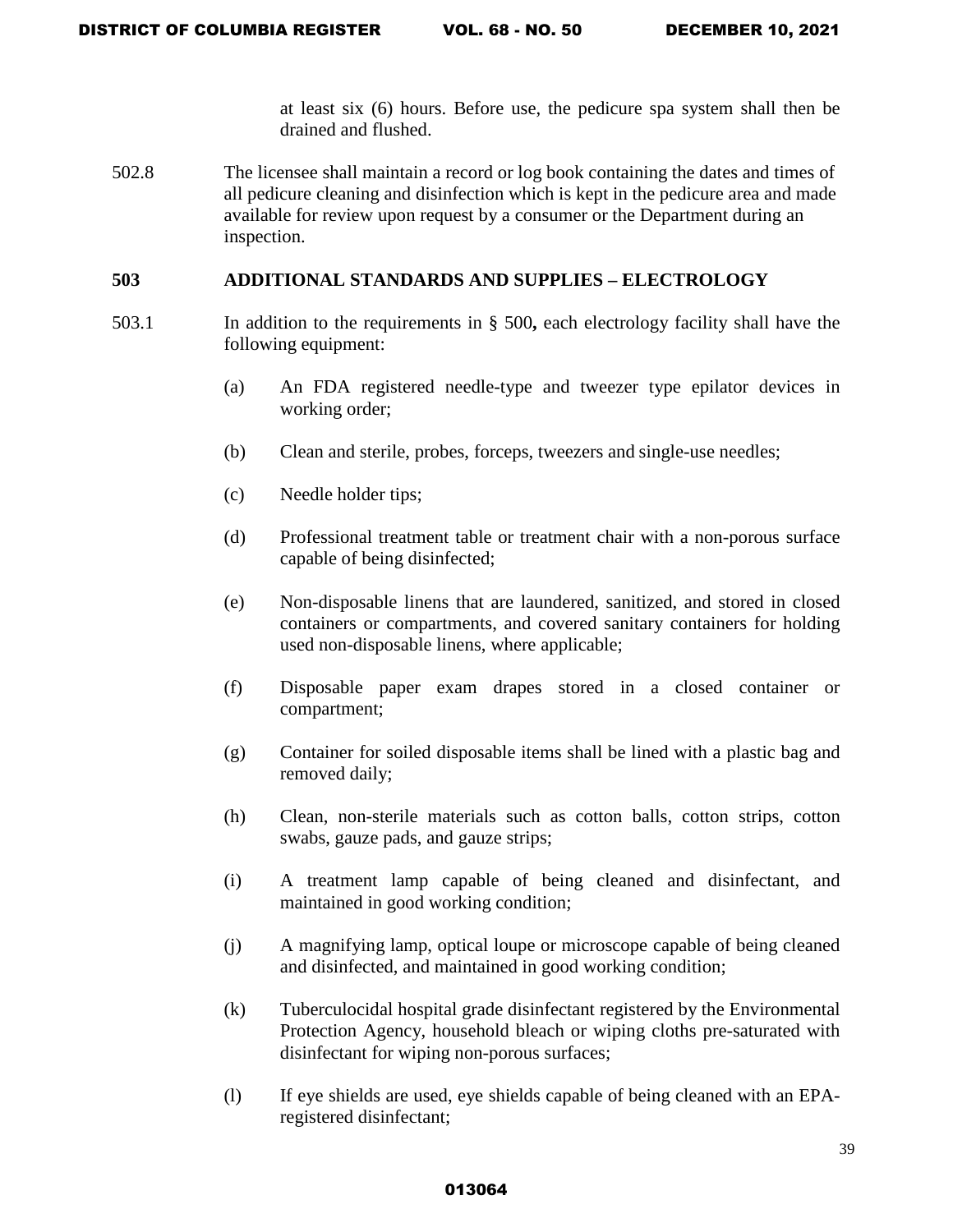at least six (6) hours. Before use, the pedicure spa system shall then be drained and flushed.

502.8 The licensee shall maintain a record or log book containing the dates and times of all pedicure cleaning and disinfection which is kept in the pedicure area and made available for review upon request by a consumer or the Department during an inspection.

### **503 ADDITIONAL STANDARDS AND SUPPLIES – ELECTROLOGY**

- 503.1 In addition to the requirements in § 500**,** each electrology facility shall have the following equipment:
	- (a) An FDA registered needle-type and tweezer type epilator devices in working order;
	- (b) Clean and sterile, probes, forceps, tweezers and single-use needles;
	- (c) Needle holder tips;
	- (d) Professional treatment table or treatment chair with a non-porous surface capable of being disinfected;
	- (e) Non-disposable linens that are laundered, sanitized, and stored in closed containers or compartments, and covered sanitary containers for holding used non-disposable linens, where applicable;
	- (f) Disposable paper exam drapes stored in a closed container or compartment;
	- (g) Container for soiled disposable items shall be lined with a plastic bag and removed daily;
	- (h) Clean, non-sterile materials such as cotton balls, cotton strips, cotton swabs, gauze pads, and gauze strips;
	- (i) A treatment lamp capable of being cleaned and disinfectant, and maintained in good working condition;
	- (j) A magnifying lamp, optical loupe or microscope capable of being cleaned and disinfected, and maintained in good working condition;
	- (k) Tuberculocidal hospital grade disinfectant registered by the Environmental Protection Agency, household bleach or wiping cloths pre-saturated with disinfectant for wiping non-porous surfaces;
	- (l) If eye shields are used, eye shields capable of being cleaned with an EPAregistered disinfectant;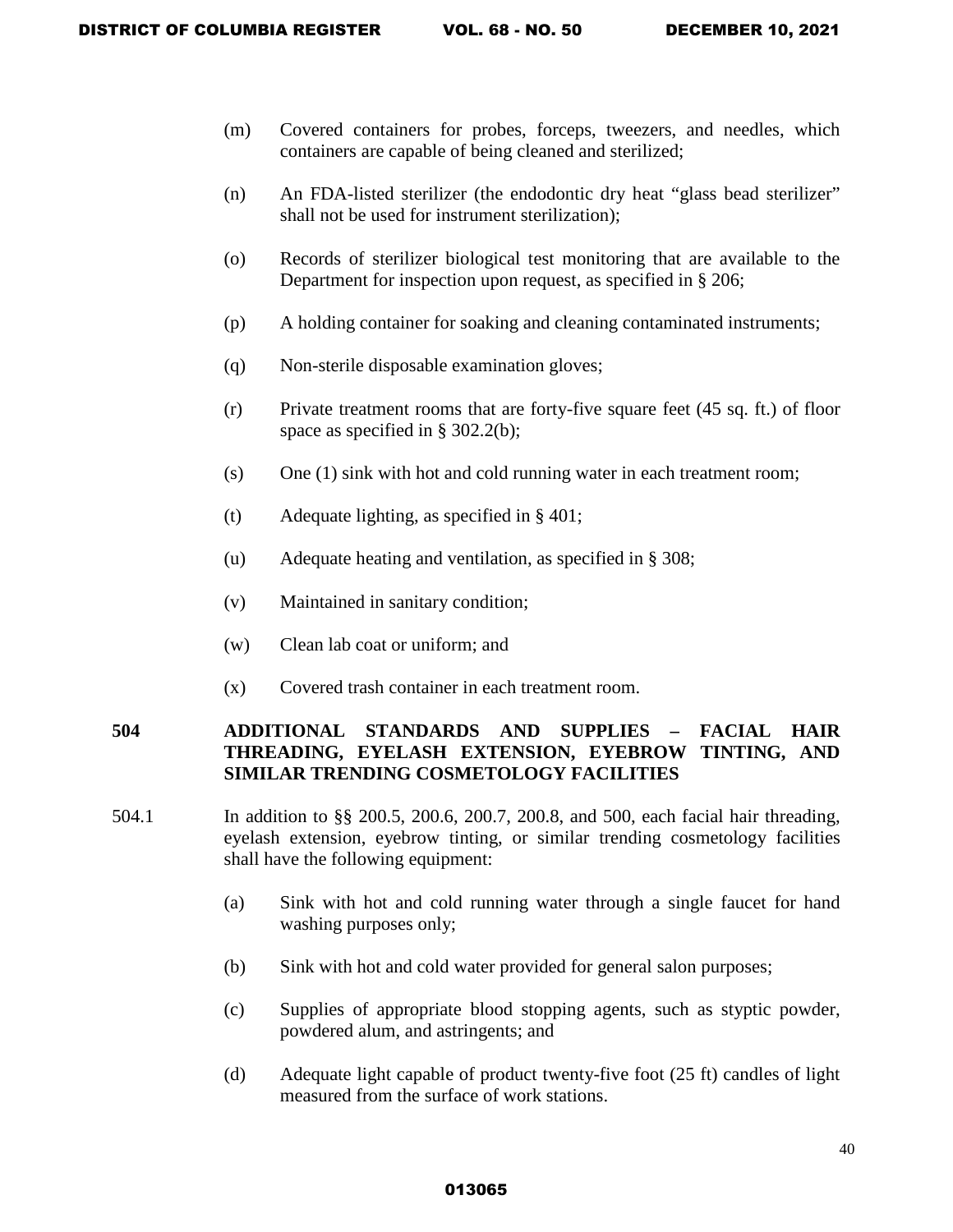- (m) Covered containers for probes, forceps, tweezers, and needles, which containers are capable of being cleaned and sterilized;
- (n) An FDA-listed sterilizer (the endodontic dry heat "glass bead sterilizer" shall not be used for instrument sterilization);
- (o) Records of sterilizer biological test monitoring that are available to the Department for inspection upon request, as specified in § 206;
- (p) A holding container for soaking and cleaning contaminated instruments;
- (q) Non-sterile disposable examination gloves;
- (r) Private treatment rooms that are forty-five square feet (45 sq. ft.) of floor space as specified in § 302.2(b);
- (s) One (1) sink with hot and cold running water in each treatment room;
- (t) Adequate lighting, as specified in § 401;
- (u) Adequate heating and ventilation, as specified in § 308;
- (v) Maintained in sanitary condition;
- (w) Clean lab coat or uniform; and
- (x) Covered trash container in each treatment room.

# **504 ADDITIONAL STANDARDS AND SUPPLIES – FACIAL HAIR THREADING, EYELASH EXTENSION, EYEBROW TINTING, AND SIMILAR TRENDING COSMETOLOGY FACILITIES**

- 504.1 In addition to §§ 200.5, 200.6, 200.7, 200.8, and 500, each facial hair threading, eyelash extension, eyebrow tinting, or similar trending cosmetology facilities shall have the following equipment:
	- (a) Sink with hot and cold running water through a single faucet for hand washing purposes only;
	- (b) Sink with hot and cold water provided for general salon purposes;
	- (c) Supplies of appropriate blood stopping agents, such as styptic powder, powdered alum, and astringents; and
	- (d) Adequate light capable of product twenty-five foot (25 ft) candles of light measured from the surface of work stations.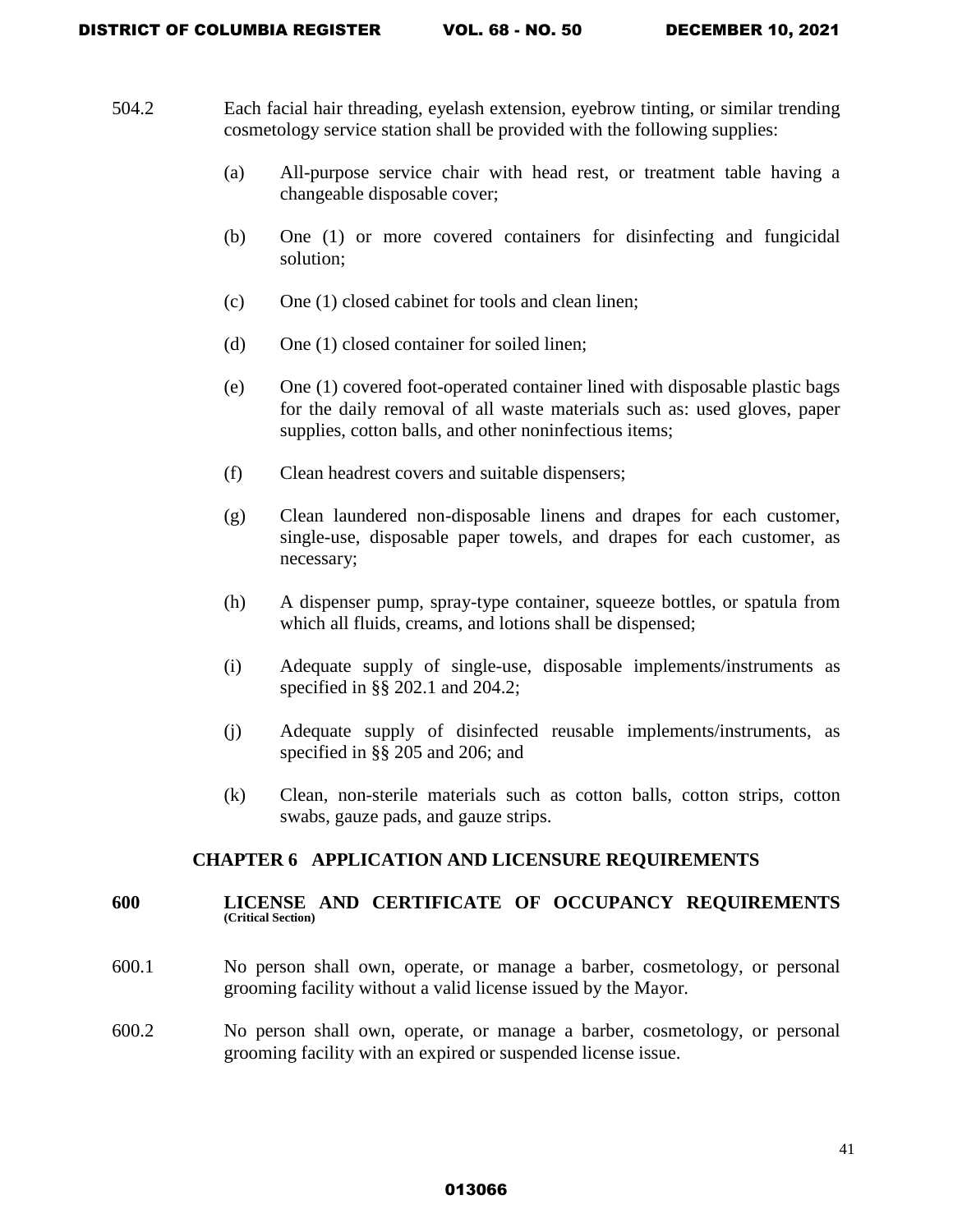- 504.2 Each facial hair threading, eyelash extension, eyebrow tinting, or similar trending cosmetology service station shall be provided with the following supplies:
	- (a) All-purpose service chair with head rest, or treatment table having a changeable disposable cover;
	- (b) One (1) or more covered containers for disinfecting and fungicidal solution;
	- (c) One (1) closed cabinet for tools and clean linen;
	- (d) One (1) closed container for soiled linen;
	- (e) One (1) covered foot-operated container lined with disposable plastic bags for the daily removal of all waste materials such as: used gloves, paper supplies, cotton balls, and other noninfectious items;
	- (f) Clean headrest covers and suitable dispensers;
	- (g) Clean laundered non-disposable linens and drapes for each customer, single-use, disposable paper towels, and drapes for each customer, as necessary;
	- (h) A dispenser pump, spray-type container, squeeze bottles, or spatula from which all fluids, creams, and lotions shall be dispensed;
	- (i) Adequate supply of single-use, disposable implements/instruments as specified in §§ 202.1 and 204.2;
	- (j) Adequate supply of disinfected reusable implements/instruments, as specified in §§ 205 and 206; and
	- (k) Clean, non-sterile materials such as cotton balls, cotton strips, cotton swabs, gauze pads, and gauze strips.

### **CHAPTER 6 APPLICATION AND LICENSURE REQUIREMENTS**

#### **600 LICENSE AND CERTIFICATE OF OCCUPANCY REQUIREMENTS (Critical Section)**

- 600.1 No person shall own, operate, or manage a barber, cosmetology, or personal grooming facility without a valid license issued by the Mayor.
- 600.2 No person shall own, operate, or manage a barber, cosmetology, or personal grooming facility with an expired or suspended license issue.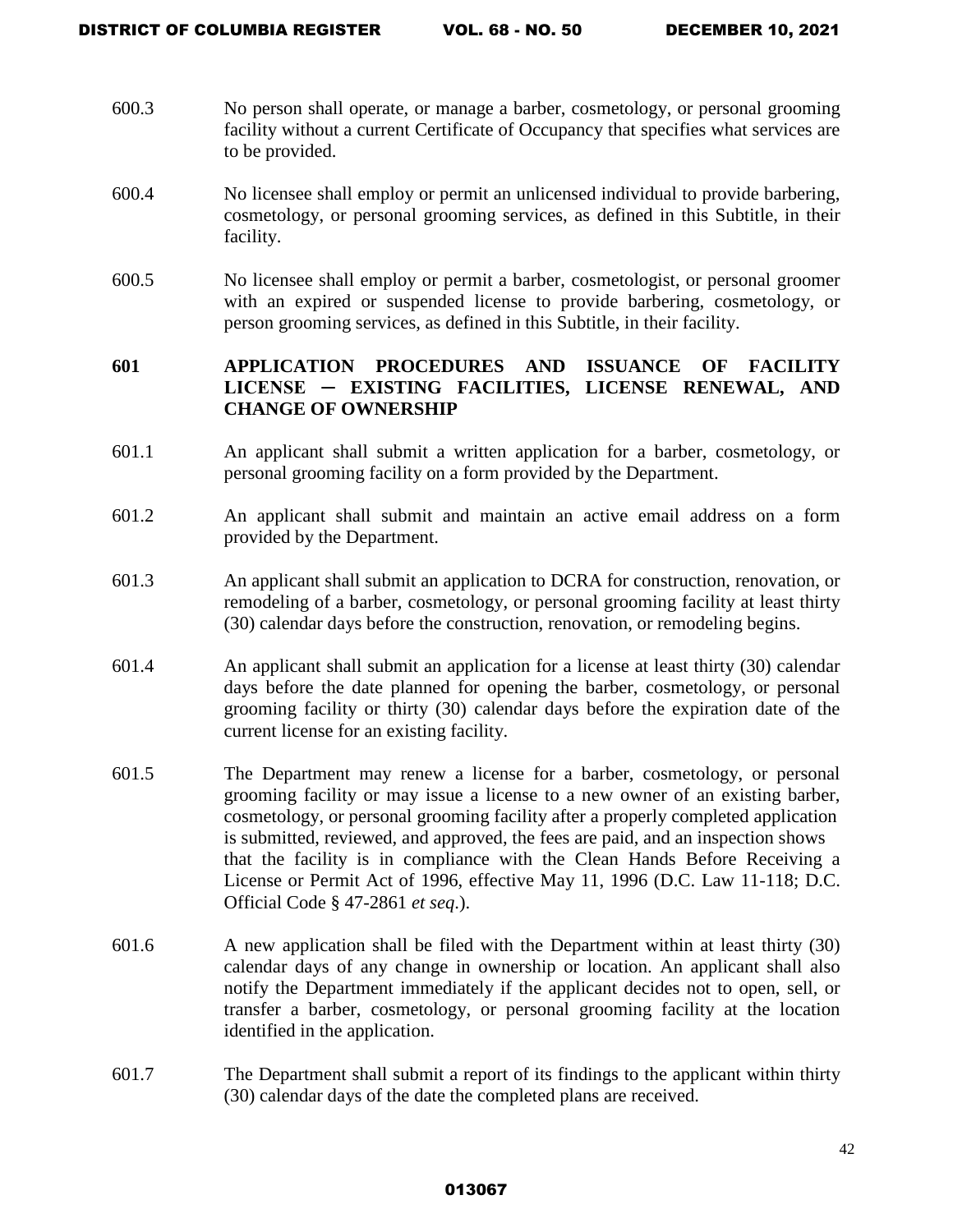- 600.3 No person shall operate, or manage a barber, cosmetology, or personal grooming facility without a current Certificate of Occupancy that specifies what services are to be provided.
- 600.4 No licensee shall employ or permit an unlicensed individual to provide barbering, cosmetology, or personal grooming services, as defined in this Subtitle, in their facility.
- 600.5 No licensee shall employ or permit a barber, cosmetologist, or personal groomer with an expired or suspended license to provide barbering, cosmetology, or person grooming services, as defined in this Subtitle, in their facility.

# **601 APPLICATION PROCEDURES AND ISSUANCE OF FACILITY LICENSE ─ EXISTING FACILITIES, LICENSE RENEWAL, AND CHANGE OF OWNERSHIP**

- 601.1 An applicant shall submit a written application for a barber, cosmetology, or personal grooming facility on a form provided by the Department.
- 601.2 An applicant shall submit and maintain an active email address on a form provided by the Department.
- 601.3 An applicant shall submit an application to DCRA for construction, renovation, or remodeling of a barber, cosmetology, or personal grooming facility at least thirty (30) calendar days before the construction, renovation, or remodeling begins.
- 601.4 An applicant shall submit an application for a license at least thirty (30) calendar days before the date planned for opening the barber, cosmetology, or personal grooming facility or thirty (30) calendar days before the expiration date of the current license for an existing facility.
- 601.5 The Department may renew a license for a barber, cosmetology, or personal grooming facility or may issue a license to a new owner of an existing barber, cosmetology, or personal grooming facility after a properly completed application is submitted, reviewed, and approved, the fees are paid, and an inspection shows that the facility is in compliance with the Clean Hands Before Receiving a License or Permit Act of 1996, effective May 11, 1996 (D.C. Law 11-118; D.C. Official Code § 47-2861 *et seq*.).
- 601.6 A new application shall be filed with the Department within at least thirty (30) calendar days of any change in ownership or location. An applicant shall also notify the Department immediately if the applicant decides not to open, sell, or transfer a barber, cosmetology, or personal grooming facility at the location identified in the application.
- 601.7 The Department shall submit a report of its findings to the applicant within thirty (30) calendar days of the date the completed plans are received.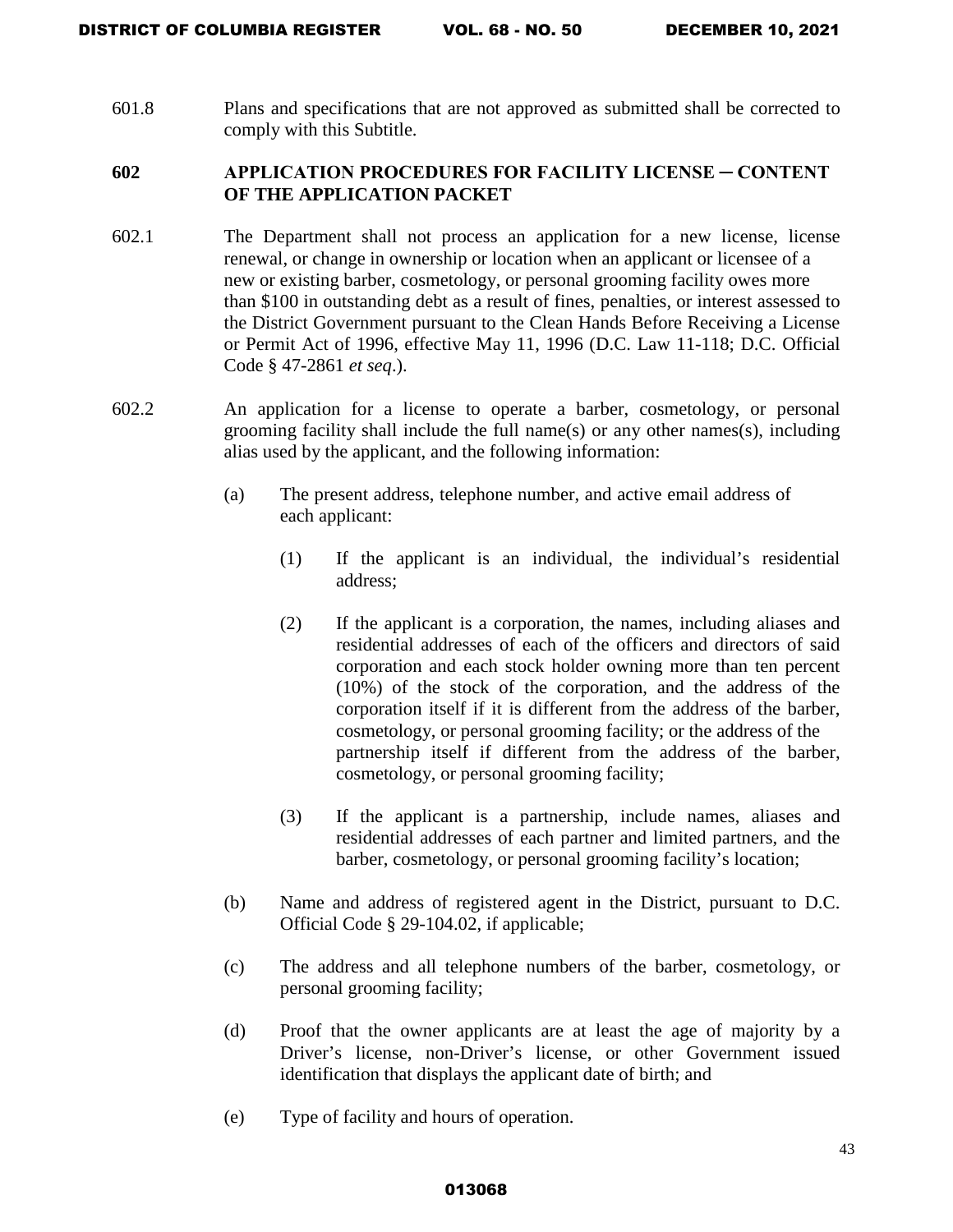601.8 Plans and specifications that are not approved as submitted shall be corrected to comply with this Subtitle.

# **602 APPLICATION PROCEDURES FOR FACILITY LICENSE ─ CONTENT OF THE APPLICATION PACKET**

- 602.1 The Department shall not process an application for a new license, license renewal, or change in ownership or location when an applicant or licensee of a new or existing barber, cosmetology, or personal grooming facility owes more than \$100 in outstanding debt as a result of fines, penalties, or interest assessed to the District Government pursuant to the Clean Hands Before Receiving a License or Permit Act of 1996, effective May 11, 1996 (D.C. Law 11-118; D.C. Official Code § 47-2861 *et seq*.).
- 602.2 An application for a license to operate a barber, cosmetology, or personal grooming facility shall include the full name(s) or any other names(s), including alias used by the applicant, and the following information:
	- (a) The present address, telephone number, and active email address of each applicant:
		- (1) If the applicant is an individual, the individual's residential address;
		- (2) If the applicant is a corporation, the names, including aliases and residential addresses of each of the officers and directors of said corporation and each stock holder owning more than ten percent (10%) of the stock of the corporation, and the address of the corporation itself if it is different from the address of the barber, cosmetology, or personal grooming facility; or the address of the partnership itself if different from the address of the barber, cosmetology, or personal grooming facility;
		- (3) If the applicant is a partnership, include names, aliases and residential addresses of each partner and limited partners, and the barber, cosmetology, or personal grooming facility's location;
	- (b) Name and address of registered agent in the District, pursuant to D.C. Official Code § 29-104.02, if applicable;
	- (c) The address and all telephone numbers of the barber, cosmetology, or personal grooming facility;
	- (d) Proof that the owner applicants are at least the age of majority by a Driver's license, non-Driver's license, or other Government issued identification that displays the applicant date of birth; and
	- (e) Type of facility and hours of operation.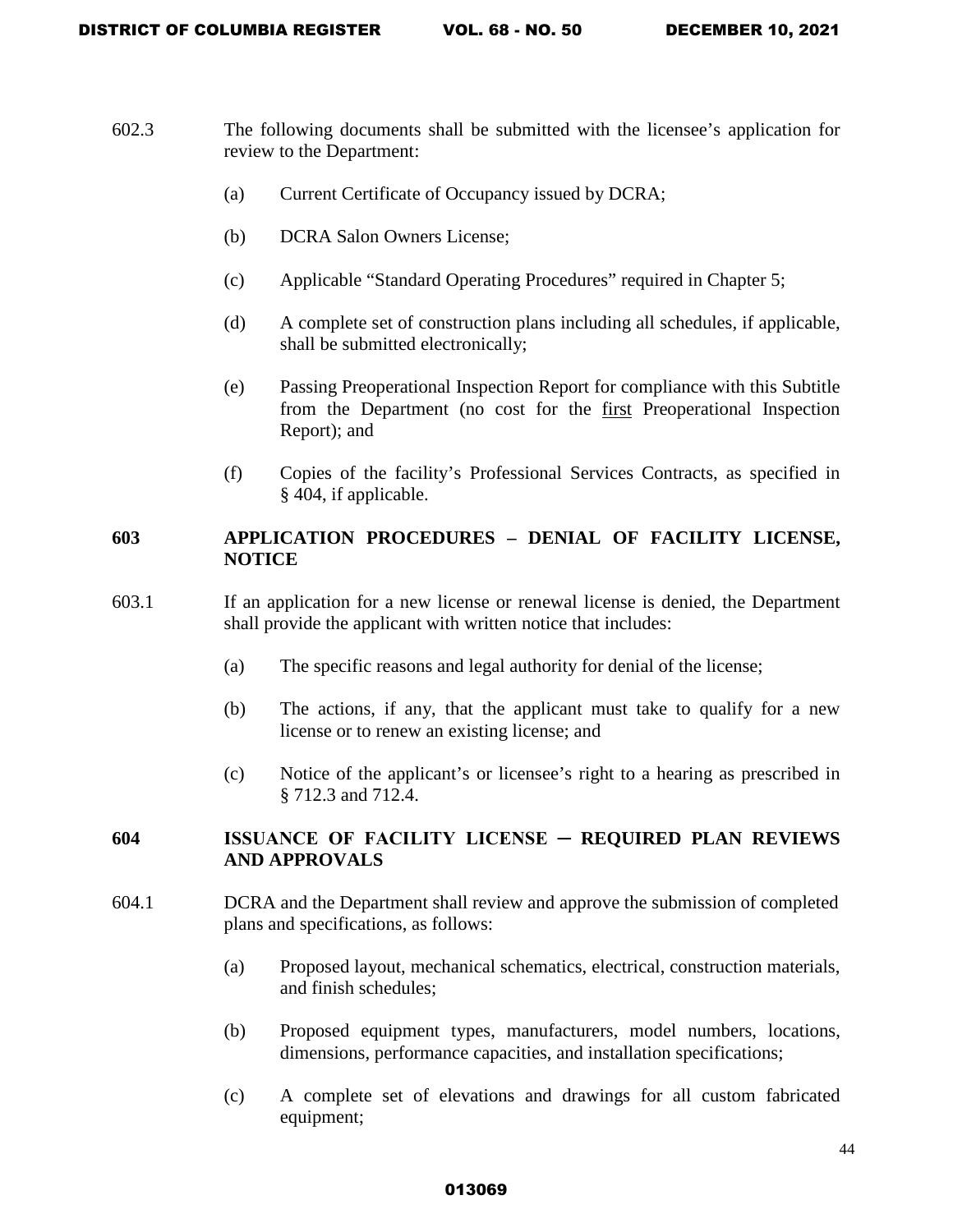- 602.3 The following documents shall be submitted with the licensee's application for review to the Department:
	- (a) Current Certificate of Occupancy issued by DCRA;
	- (b) DCRA Salon Owners License;
	- (c) Applicable "Standard Operating Procedures" required in Chapter 5;
	- (d) A complete set of construction plans including all schedules, if applicable, shall be submitted electronically;
	- (e) Passing Preoperational Inspection Report for compliance with this Subtitle from the Department (no cost for the first Preoperational Inspection Report); and
	- (f) Copies of the facility's Professional Services Contracts, as specified in § 404, if applicable.

### **603 APPLICATION PROCEDURES – DENIAL OF FACILITY LICENSE, NOTICE**

- 603.1 If an application for a new license or renewal license is denied, the Department shall provide the applicant with written notice that includes:
	- (a) The specific reasons and legal authority for denial of the license;
	- (b) The actions, if any, that the applicant must take to qualify for a new license or to renew an existing license; and
	- (c) Notice of the applicant's or licensee's right to a hearing as prescribed in § 712.3 and 712.4.

# **604 ISSUANCE OF FACILITY LICENSE ─ REQUIRED PLAN REVIEWS AND APPROVALS**

- 604.1 DCRA and the Department shall review and approve the submission of completed plans and specifications, as follows:
	- (a) Proposed layout, mechanical schematics, electrical, construction materials, and finish schedules;
	- (b) Proposed equipment types, manufacturers, model numbers, locations, dimensions, performance capacities, and installation specifications;
	- (c) A complete set of elevations and drawings for all custom fabricated equipment;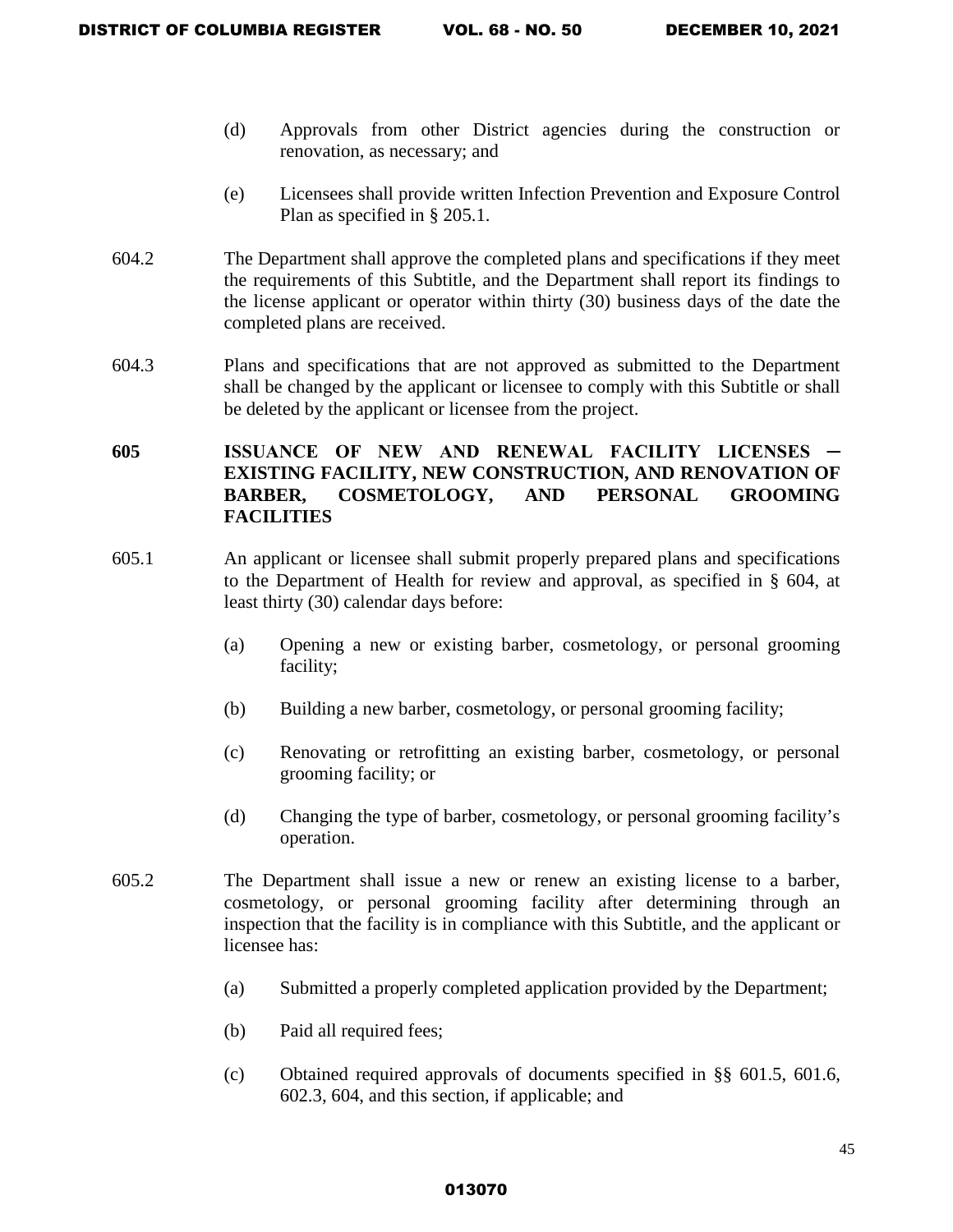- (d) Approvals from other District agencies during the construction or renovation, as necessary; and
- (e) Licensees shall provide written Infection Prevention and Exposure Control Plan as specified in § 205.1.
- 604.2 The Department shall approve the completed plans and specifications if they meet the requirements of this Subtitle, and the Department shall report its findings to the license applicant or operator within thirty (30) business days of the date the completed plans are received.
- 604.3 Plans and specifications that are not approved as submitted to the Department shall be changed by the applicant or licensee to comply with this Subtitle or shall be deleted by the applicant or licensee from the project.

# **605 ISSUANCE OF NEW AND RENEWAL FACILITY LICENSES ─ EXISTING FACILITY, NEW CONSTRUCTION, AND RENOVATION OF BARBER, COSMETOLOGY, AND PERSONAL GROOMING FACILITIES**

- 605.1 An applicant or licensee shall submit properly prepared plans and specifications to the Department of Health for review and approval, as specified in § 604, at least thirty (30) calendar days before:
	- (a) Opening a new or existing barber, cosmetology, or personal grooming facility;
	- (b) Building a new barber, cosmetology, or personal grooming facility;
	- (c) Renovating or retrofitting an existing barber, cosmetology, or personal grooming facility; or
	- (d) Changing the type of barber, cosmetology, or personal grooming facility's operation.
- 605.2 The Department shall issue a new or renew an existing license to a barber, cosmetology, or personal grooming facility after determining through an inspection that the facility is in compliance with this Subtitle, and the applicant or licensee has:
	- (a) Submitted a properly completed application provided by the Department;
	- (b) Paid all required fees;
	- (c) Obtained required approvals of documents specified in §§ 601.5, 601.6, 602.3, 604, and this section, if applicable; and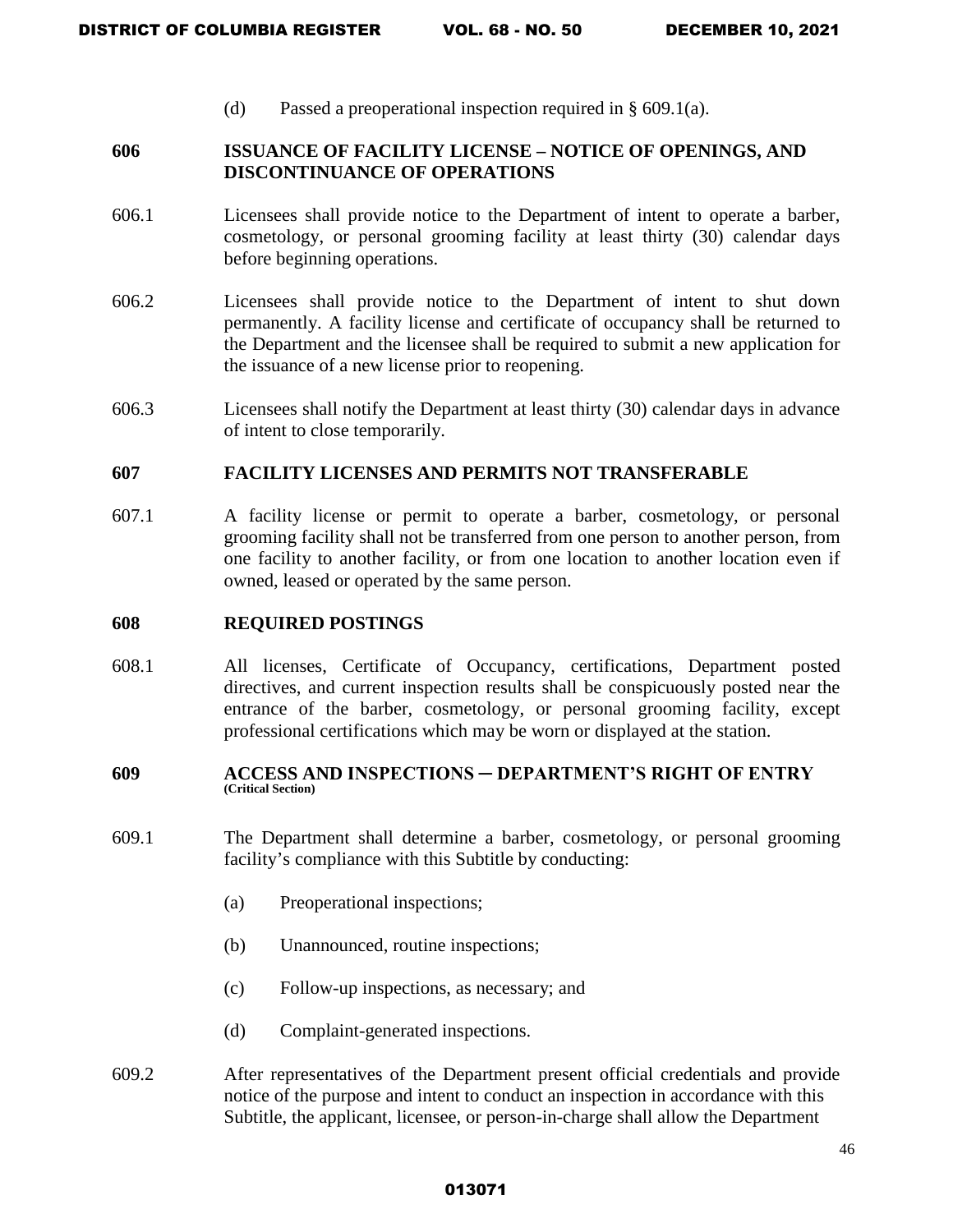(d) Passed a preoperational inspection required in § 609.1(a).

### **606 ISSUANCE OF FACILITY LICENSE – NOTICE OF OPENINGS, AND DISCONTINUANCE OF OPERATIONS**

- 606.1 Licensees shall provide notice to the Department of intent to operate a barber, cosmetology, or personal grooming facility at least thirty (30) calendar days before beginning operations.
- 606.2 Licensees shall provide notice to the Department of intent to shut down permanently. A facility license and certificate of occupancy shall be returned to the Department and the licensee shall be required to submit a new application for the issuance of a new license prior to reopening.
- 606.3 Licensees shall notify the Department at least thirty (30) calendar days in advance of intent to close temporarily.

### **607 FACILITY LICENSES AND PERMITS NOT TRANSFERABLE**

607.1 A facility license or permit to operate a barber, cosmetology, or personal grooming facility shall not be transferred from one person to another person, from one facility to another facility, or from one location to another location even if owned, leased or operated by the same person.

### **608 REQUIRED POSTINGS**

608.1 All licenses, Certificate of Occupancy, certifications, Department posted directives, and current inspection results shall be conspicuously posted near the entrance of the barber, cosmetology, or personal grooming facility, except professional certifications which may be worn or displayed at the station.

#### **609 ACCESS AND INSPECTIONS ─ DEPARTMENT'S RIGHT OF ENTRY (Critical Section)**

- 609.1 The Department shall determine a barber, cosmetology, or personal grooming facility's compliance with this Subtitle by conducting:
	- (a) Preoperational inspections;
	- (b) Unannounced, routine inspections;
	- (c) Follow-up inspections, as necessary; and
	- (d) Complaint-generated inspections.
- 609.2 After representatives of the Department present official credentials and provide notice of the purpose and intent to conduct an inspection in accordance with this Subtitle, the applicant, licensee, or person-in-charge shall allow the Department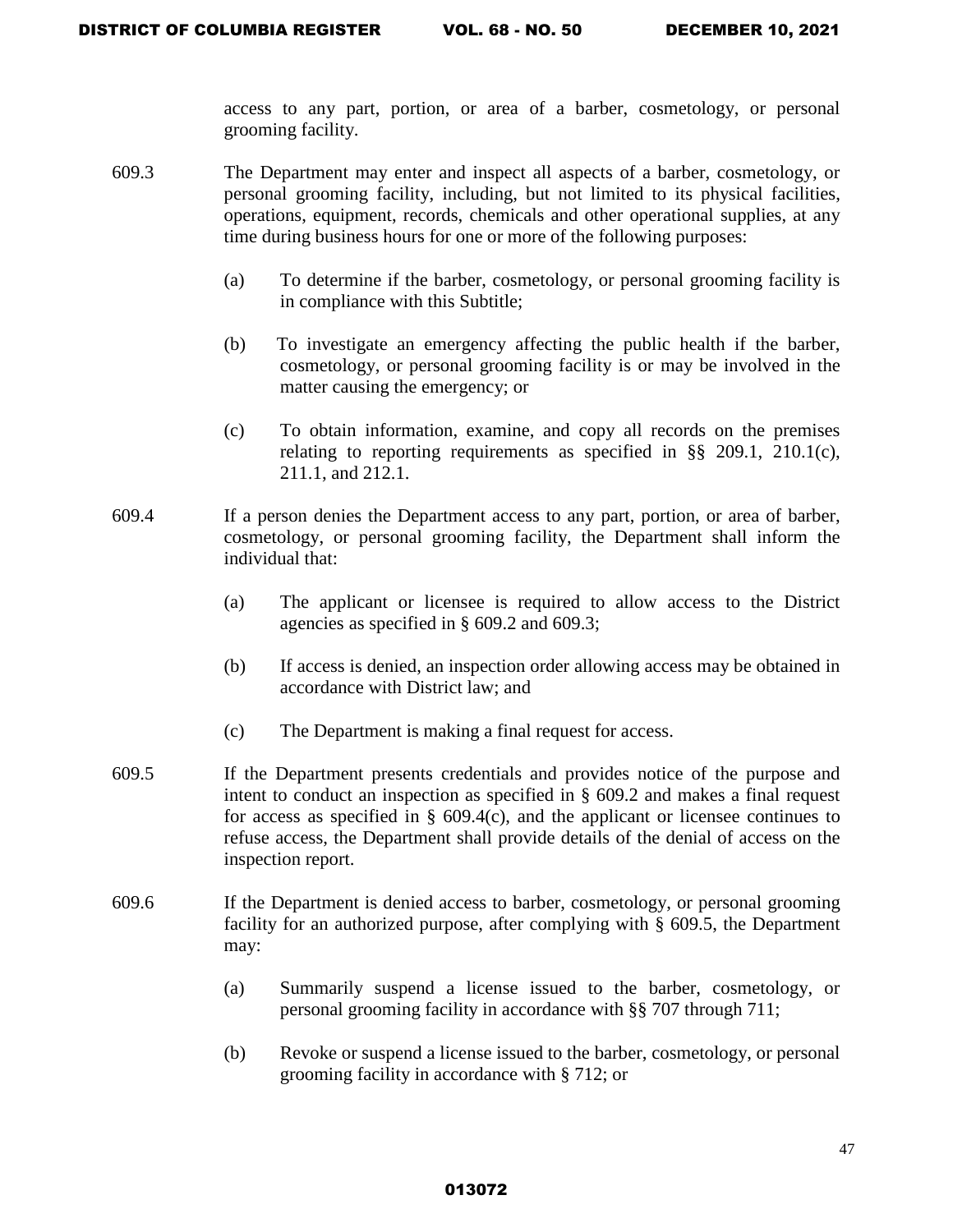access to any part, portion, or area of a barber, cosmetology, or personal grooming facility.

- 609.3 The Department may enter and inspect all aspects of a barber, cosmetology, or personal grooming facility, including, but not limited to its physical facilities, operations, equipment, records, chemicals and other operational supplies, at any time during business hours for one or more of the following purposes:
	- (a) To determine if the barber, cosmetology, or personal grooming facility is in compliance with this Subtitle;
	- (b) To investigate an emergency affecting the public health if the barber, cosmetology, or personal grooming facility is or may be involved in the matter causing the emergency; or
	- (c) To obtain information, examine, and copy all records on the premises relating to reporting requirements as specified in §§ 209.1, 210.1(c), 211.1, and 212.1.
- 609.4 If a person denies the Department access to any part, portion, or area of barber, cosmetology, or personal grooming facility, the Department shall inform the individual that:
	- (a) The applicant or licensee is required to allow access to the District agencies as specified in § 609.2 and 609.3;
	- (b) If access is denied, an inspection order allowing access may be obtained in accordance with District law; and
	- (c) The Department is making a final request for access.
- 609.5 If the Department presents credentials and provides notice of the purpose and intent to conduct an inspection as specified in § 609.2 and makes a final request for access as specified in  $\S$  609.4(c), and the applicant or licensee continues to refuse access, the Department shall provide details of the denial of access on the inspection report.
- 609.6 If the Department is denied access to barber, cosmetology, or personal grooming facility for an authorized purpose, after complying with § 609.5, the Department may:
	- (a) Summarily suspend a license issued to the barber, cosmetology, or personal grooming facility in accordance with §§ 707 through 711;
	- (b) Revoke or suspend a license issued to the barber, cosmetology, or personal grooming facility in accordance with § 712; or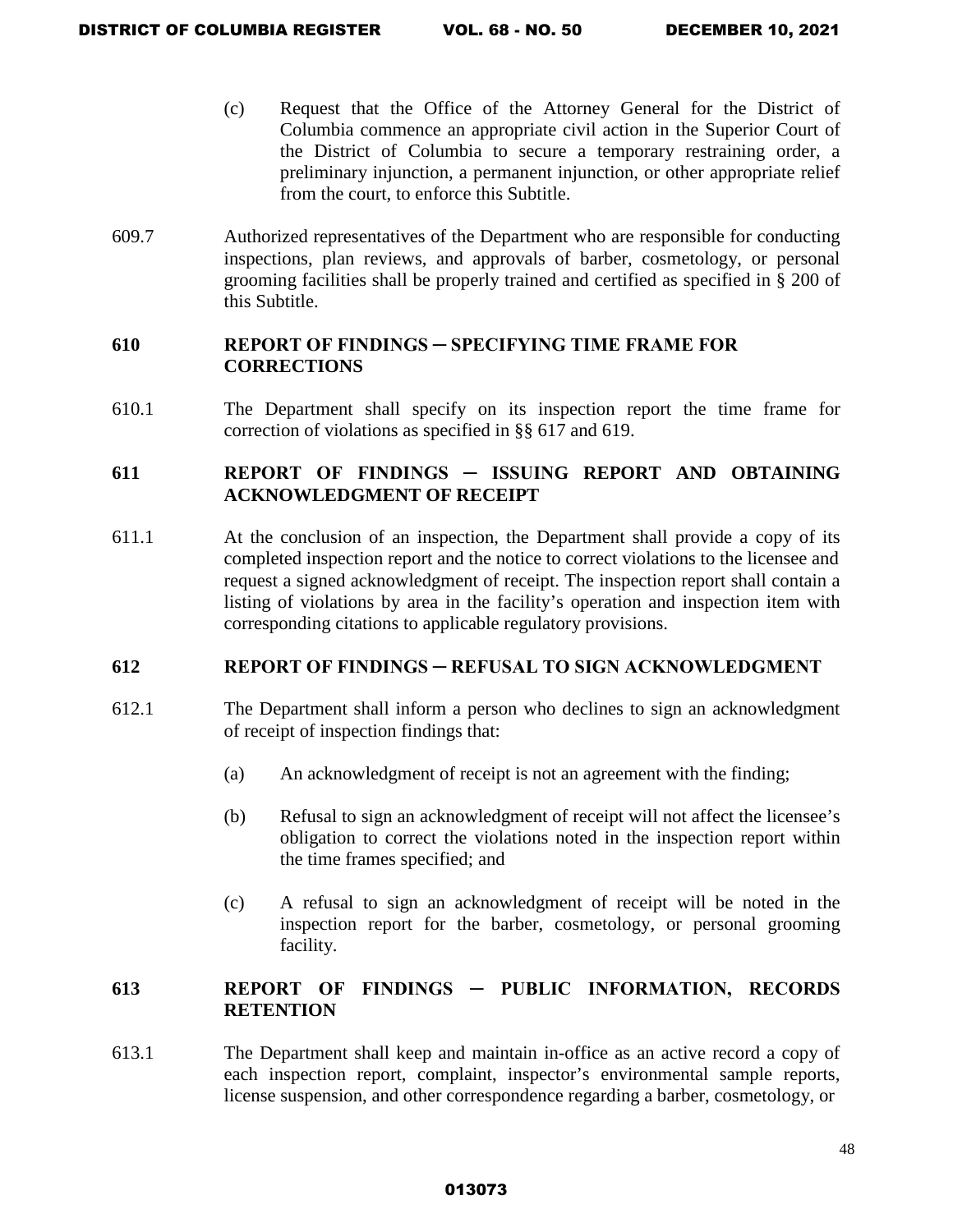- (c) Request that the Office of the Attorney General for the District of Columbia commence an appropriate civil action in the Superior Court of the District of Columbia to secure a temporary restraining order, a preliminary injunction, a permanent injunction, or other appropriate relief from the court, to enforce this Subtitle.
- 609.7 Authorized representatives of the Department who are responsible for conducting inspections, plan reviews, and approvals of barber, cosmetology, or personal grooming facilities shall be properly trained and certified as specified in § 200 of this Subtitle.

### **610 REPORT OF FINDINGS ─ SPECIFYING TIME FRAME FOR CORRECTIONS**

610.1 The Department shall specify on its inspection report the time frame for correction of violations as specified in §§ 617 and 619.

### **611 REPORT OF FINDINGS ─ ISSUING REPORT AND OBTAINING ACKNOWLEDGMENT OF RECEIPT**

611.1 At the conclusion of an inspection, the Department shall provide a copy of its completed inspection report and the notice to correct violations to the licensee and request a signed acknowledgment of receipt. The inspection report shall contain a listing of violations by area in the facility's operation and inspection item with corresponding citations to applicable regulatory provisions.

## **612 REPORT OF FINDINGS ─ REFUSAL TO SIGN ACKNOWLEDGMENT**

- 612.1 The Department shall inform a person who declines to sign an acknowledgment of receipt of inspection findings that:
	- (a) An acknowledgment of receipt is not an agreement with the finding;
	- (b) Refusal to sign an acknowledgment of receipt will not affect the licensee's obligation to correct the violations noted in the inspection report within the time frames specified; and
	- (c) A refusal to sign an acknowledgment of receipt will be noted in the inspection report for the barber, cosmetology, or personal grooming facility.

### **613 REPORT OF FINDINGS ─ PUBLIC INFORMATION, RECORDS RETENTION**

613.1 The Department shall keep and maintain in-office as an active record a copy of each inspection report, complaint, inspector's environmental sample reports, license suspension, and other correspondence regarding a barber, cosmetology, or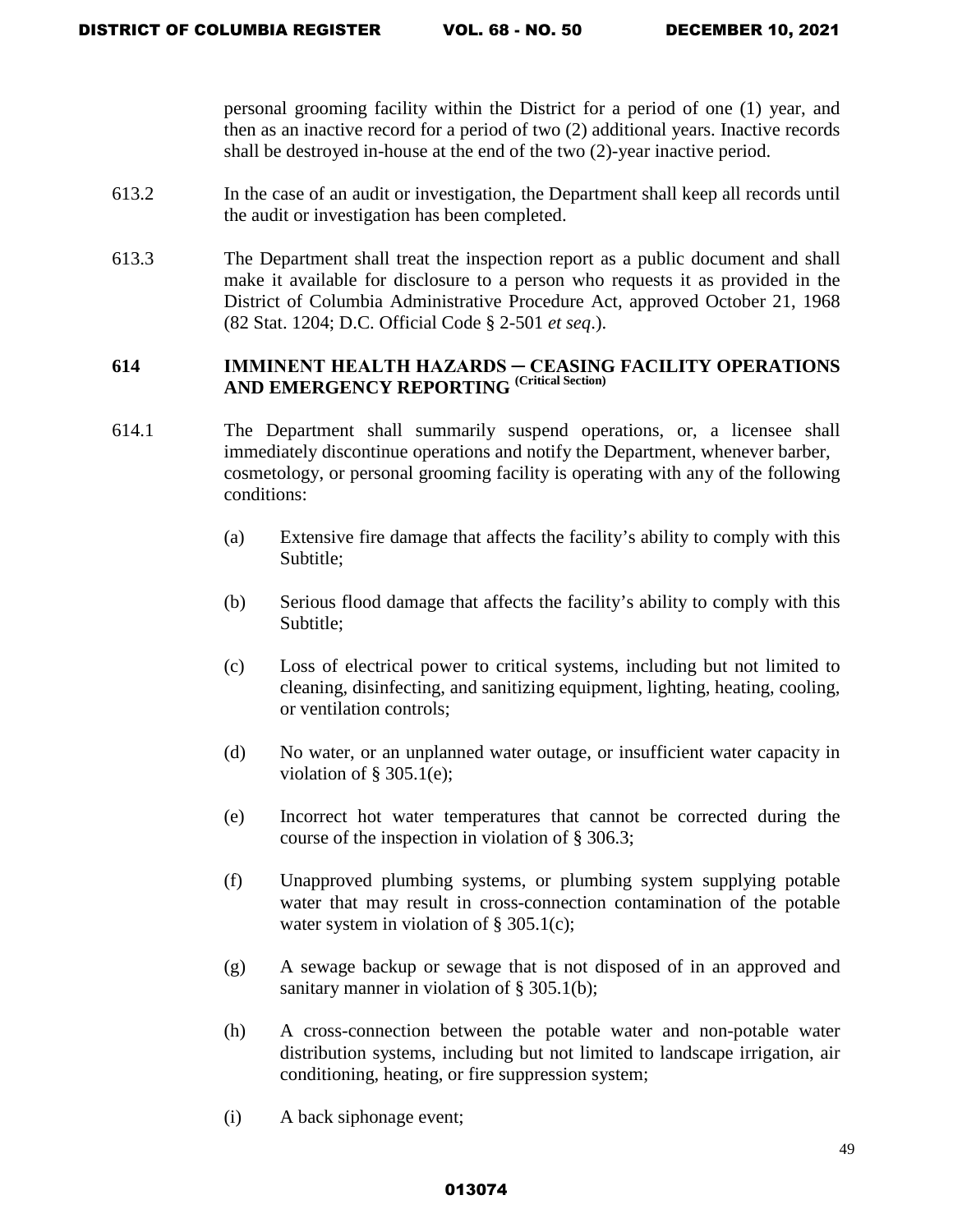personal grooming facility within the District for a period of one (1) year, and then as an inactive record for a period of two (2) additional years. Inactive records shall be destroyed in-house at the end of the two (2)-year inactive period.

- 613.2 In the case of an audit or investigation, the Department shall keep all records until the audit or investigation has been completed.
- 613.3 The Department shall treat the inspection report as a public document and shall make it available for disclosure to a person who requests it as provided in the District of Columbia Administrative Procedure Act, approved October 21, 1968 (82 Stat. 1204; D.C. Official Code § 2-501 *et seq*.).

# **614 IMMINENT HEALTH HAZARDS ─ CEASING FACILITY OPERATIONS AND EMERGENCY REPORTING (Critical Section)**

- 614.1 The Department shall summarily suspend operations, or, a licensee shall immediately discontinue operations and notify the Department, whenever barber, cosmetology, or personal grooming facility is operating with any of the following conditions:
	- (a) Extensive fire damage that affects the facility's ability to comply with this Subtitle;
	- (b) Serious flood damage that affects the facility's ability to comply with this Subtitle;
	- (c) Loss of electrical power to critical systems, including but not limited to cleaning, disinfecting, and sanitizing equipment, lighting, heating, cooling, or ventilation controls;
	- (d) No water, or an unplanned water outage, or insufficient water capacity in violation of  $\S 305.1(e)$ ;
	- (e) Incorrect hot water temperatures that cannot be corrected during the course of the inspection in violation of § 306.3;
	- (f) Unapproved plumbing systems, or plumbing system supplying potable water that may result in cross-connection contamination of the potable water system in violation of § 305.1(c);
	- (g) A sewage backup or sewage that is not disposed of in an approved and sanitary manner in violation of § 305.1(b);
	- (h) A cross-connection between the potable water and non-potable water distribution systems, including but not limited to landscape irrigation, air conditioning, heating, or fire suppression system;
	- (i) A back siphonage event;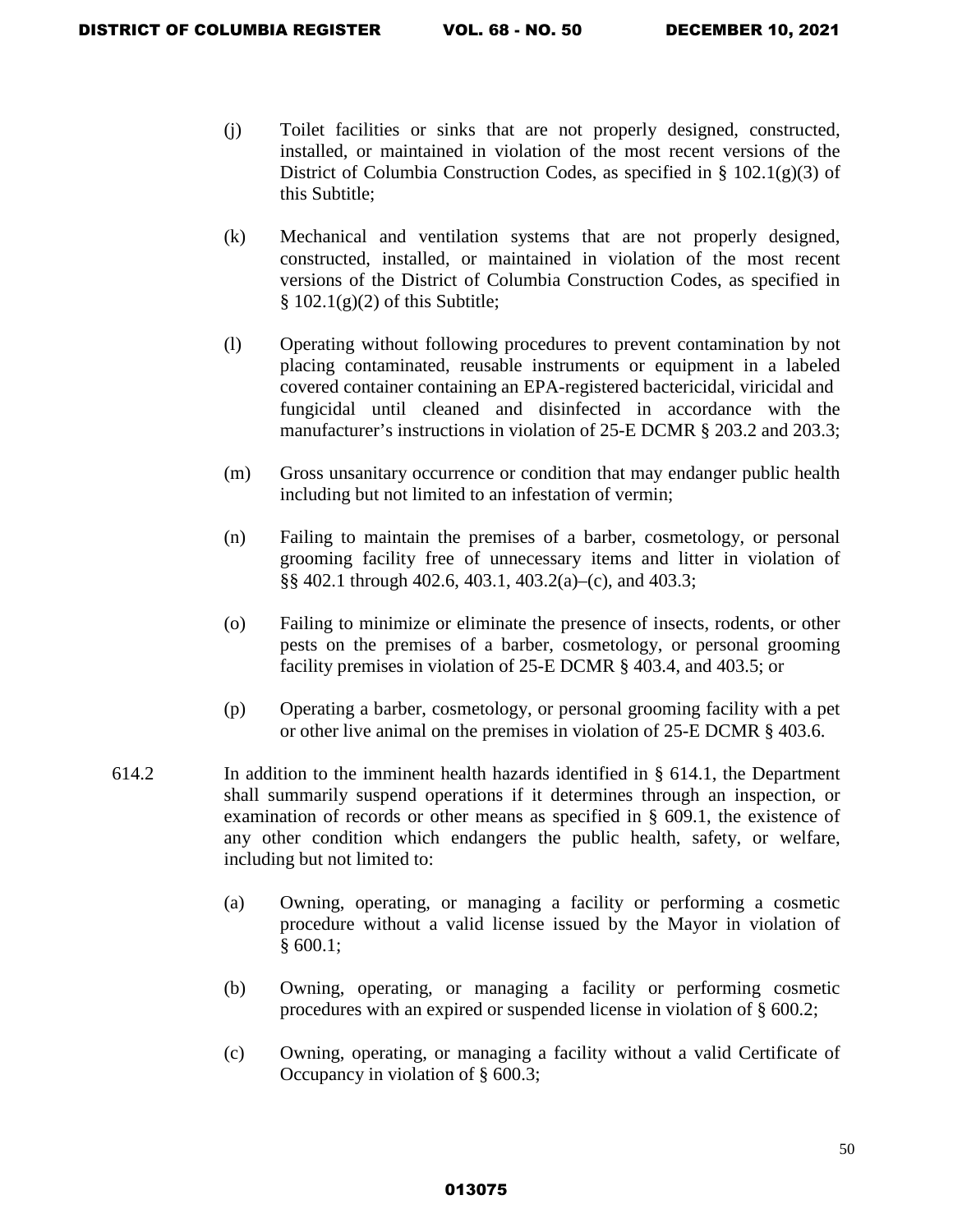- (j) Toilet facilities or sinks that are not properly designed, constructed, installed, or maintained in violation of the most recent versions of the District of Columbia Construction Codes, as specified in  $\S$  102.1(g)(3) of this Subtitle;
- (k) Mechanical and ventilation systems that are not properly designed, constructed, installed, or maintained in violation of the most recent versions of the District of Columbia Construction Codes, as specified in  $§ 102.1(g)(2)$  of this Subtitle;
- (l) Operating without following procedures to prevent contamination by not placing contaminated, reusable instruments or equipment in a labeled covered container containing an EPA-registered bactericidal, viricidal and fungicidal until cleaned and disinfected in accordance with the manufacturer's instructions in violation of 25-E DCMR § 203.2 and 203.3;
- (m) Gross unsanitary occurrence or condition that may endanger public health including but not limited to an infestation of vermin;
- (n) Failing to maintain the premises of a barber, cosmetology, or personal grooming facility free of unnecessary items and litter in violation of §§ 402.1 through 402.6, 403.1, 403.2(a)–(c), and 403.3;
- (o) Failing to minimize or eliminate the presence of insects, rodents, or other pests on the premises of a barber, cosmetology, or personal grooming facility premises in violation of 25-E DCMR § 403.4, and 403.5; or
- (p) Operating a barber, cosmetology, or personal grooming facility with a pet or other live animal on the premises in violation of 25-E DCMR § 403.6.
- 614.2 In addition to the imminent health hazards identified in § 614.1, the Department shall summarily suspend operations if it determines through an inspection, or examination of records or other means as specified in § 609.1, the existence of any other condition which endangers the public health, safety, or welfare, including but not limited to:
	- (a) Owning, operating, or managing a facility or performing a cosmetic procedure without a valid license issued by the Mayor in violation of § 600.1;
	- (b) Owning, operating, or managing a facility or performing cosmetic procedures with an expired or suspended license in violation of § 600.2;
	- (c) Owning, operating, or managing a facility without a valid Certificate of Occupancy in violation of § 600.3;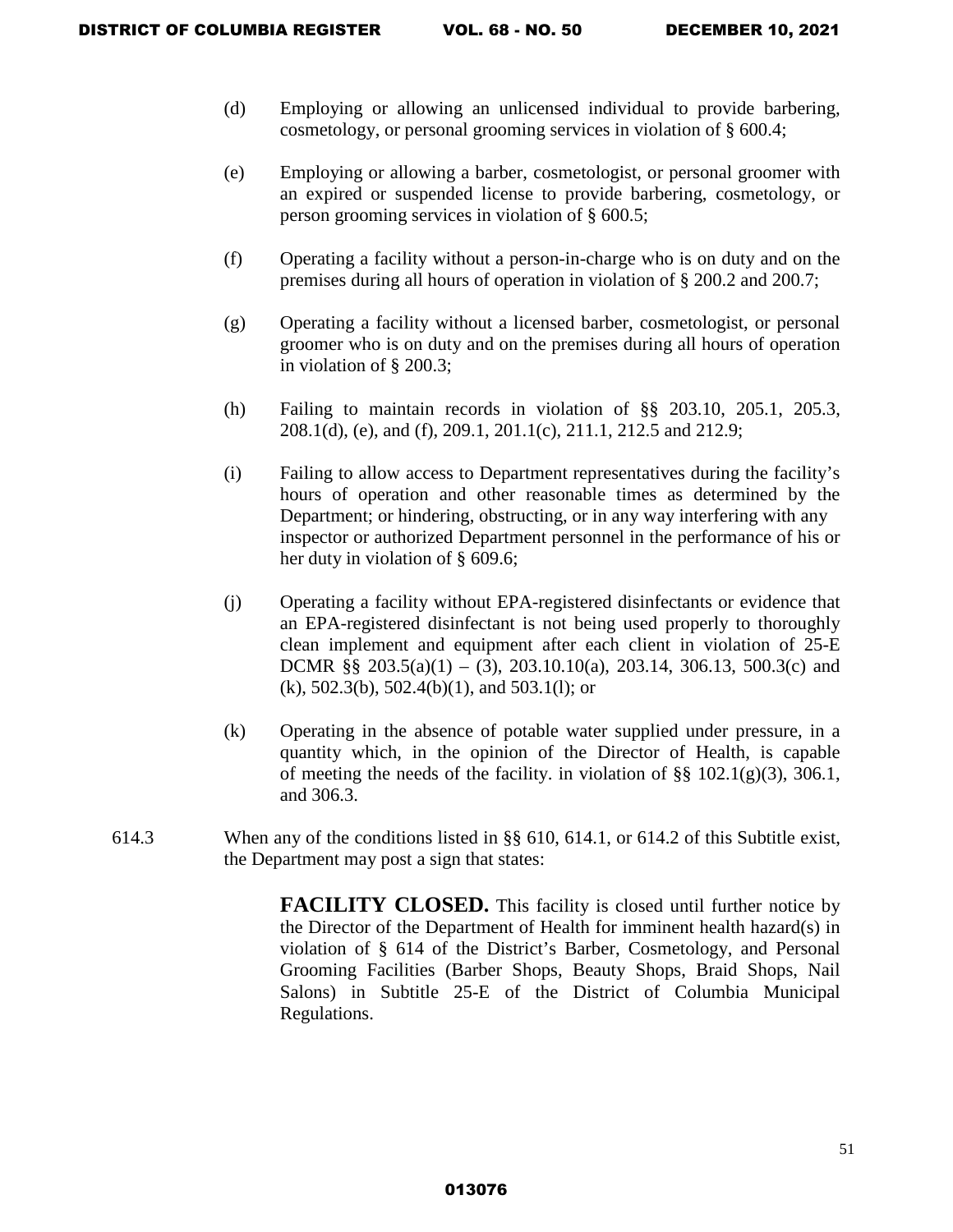- (d) Employing or allowing an unlicensed individual to provide barbering, cosmetology, or personal grooming services in violation of § 600.4;
- (e) Employing or allowing a barber, cosmetologist, or personal groomer with an expired or suspended license to provide barbering, cosmetology, or person grooming services in violation of § 600.5;
- (f) Operating a facility without a person-in-charge who is on duty and on the premises during all hours of operation in violation of § 200.2 and 200.7;
- (g) Operating a facility without a licensed barber, cosmetologist, or personal groomer who is on duty and on the premises during all hours of operation in violation of § 200.3;
- (h) Failing to maintain records in violation of §§ 203.10, 205.1, 205.3, 208.1(d), (e), and (f), 209.1, 201.1(c), 211.1, 212.5 and 212.9;
- (i) Failing to allow access to Department representatives during the facility's hours of operation and other reasonable times as determined by the Department; or hindering, obstructing, or in any way interfering with any inspector or authorized Department personnel in the performance of his or her duty in violation of § 609.6;
- (j) Operating a facility without EPA-registered disinfectants or evidence that an EPA-registered disinfectant is not being used properly to thoroughly clean implement and equipment after each client in violation of 25-E DCMR §§  $203.5(a)(1) - (3)$ ,  $203.10.10(a)$ ,  $203.14$ ,  $306.13$ ,  $500.3(c)$  and (k), 502.3(b), 502.4(b)(1), and 503.1(l); or
- (k) Operating in the absence of potable water supplied under pressure, in a quantity which, in the opinion of the Director of Health, is capable of meeting the needs of the facility. in violation of  $\S$ § 102.1(g)(3), 306.1, and 306.3.
- 614.3 When any of the conditions listed in §§ 610, 614.1, or 614.2 of this Subtitle exist, the Department may post a sign that states:

**FACILITY CLOSED.** This facility is closed until further notice by the Director of the Department of Health for imminent health hazard(s) in violation of § 614 of the District's Barber, Cosmetology, and Personal Grooming Facilities (Barber Shops, Beauty Shops, Braid Shops, Nail Salons) in Subtitle 25-E of the District of Columbia Municipal Regulations.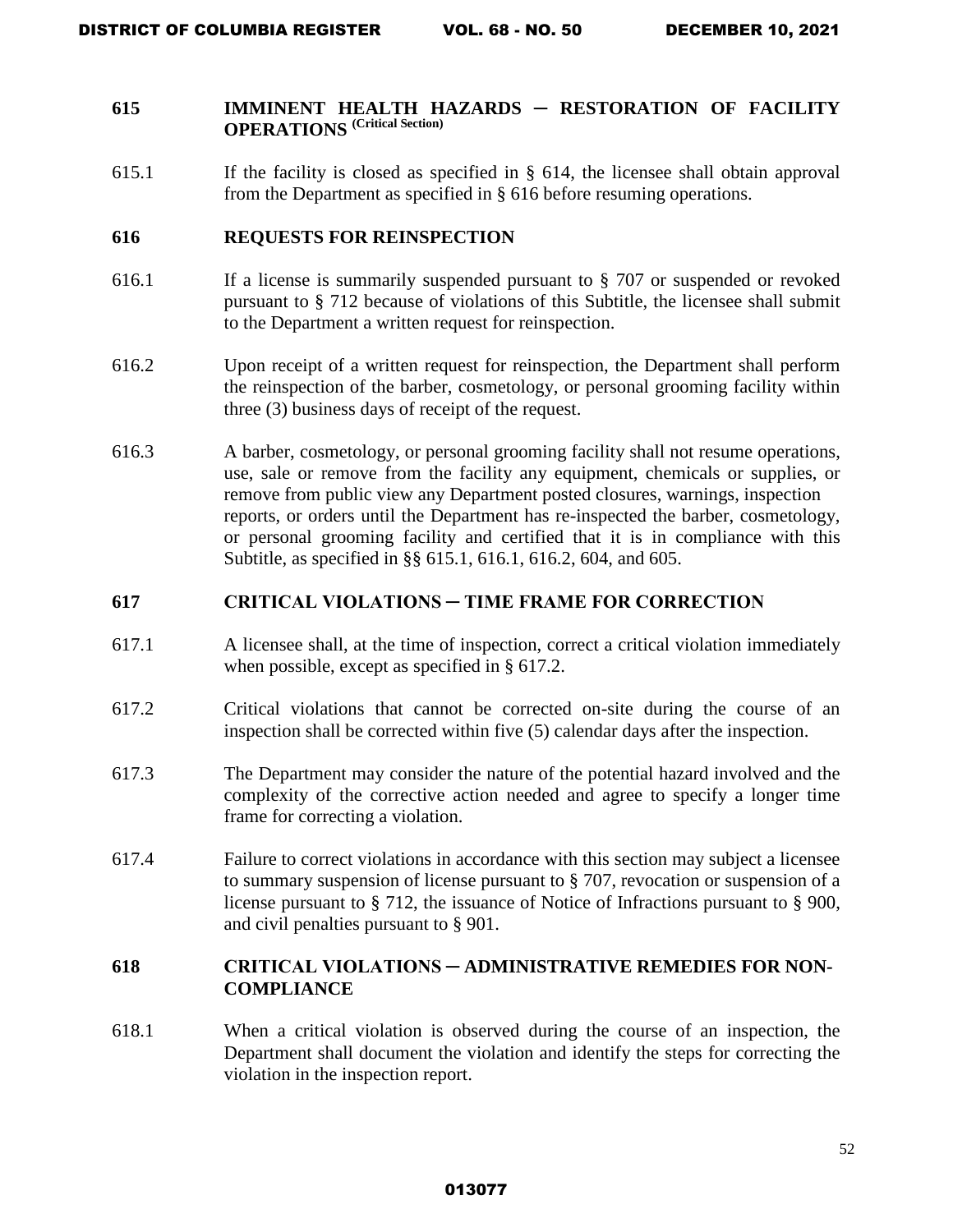# **615 IMMINENT HEALTH HAZARDS ─ RESTORATION OF FACILITY OPERATIONS (Critical Section)**

615.1 If the facility is closed as specified in § 614, the licensee shall obtain approval from the Department as specified in § 616 before resuming operations.

#### **616 REQUESTS FOR REINSPECTION**

- 616.1 If a license is summarily suspended pursuant to § 707 or suspended or revoked pursuant to § 712 because of violations of this Subtitle, the licensee shall submit to the Department a written request for reinspection.
- 616.2 Upon receipt of a written request for reinspection, the Department shall perform the reinspection of the barber, cosmetology, or personal grooming facility within three (3) business days of receipt of the request.
- 616.3 A barber, cosmetology, or personal grooming facility shall not resume operations, use, sale or remove from the facility any equipment, chemicals or supplies, or remove from public view any Department posted closures, warnings, inspection reports, or orders until the Department has re-inspected the barber, cosmetology, or personal grooming facility and certified that it is in compliance with this Subtitle, as specified in §§ 615.1, 616.1, 616.2, 604, and 605.

### **617 CRITICAL VIOLATIONS ─ TIME FRAME FOR CORRECTION**

- 617.1 A licensee shall, at the time of inspection, correct a critical violation immediately when possible, except as specified in § 617.2.
- 617.2 Critical violations that cannot be corrected on-site during the course of an inspection shall be corrected within five (5) calendar days after the inspection.
- 617.3 The Department may consider the nature of the potential hazard involved and the complexity of the corrective action needed and agree to specify a longer time frame for correcting a violation.
- 617.4 Failure to correct violations in accordance with this section may subject a licensee to summary suspension of license pursuant to § 707, revocation or suspension of a license pursuant to § 712, the issuance of Notice of Infractions pursuant to § 900, and civil penalties pursuant to § 901.

# **618 CRITICAL VIOLATIONS ─ ADMINISTRATIVE REMEDIES FOR NON-COMPLIANCE**

618.1 When a critical violation is observed during the course of an inspection, the Department shall document the violation and identify the steps for correcting the violation in the inspection report.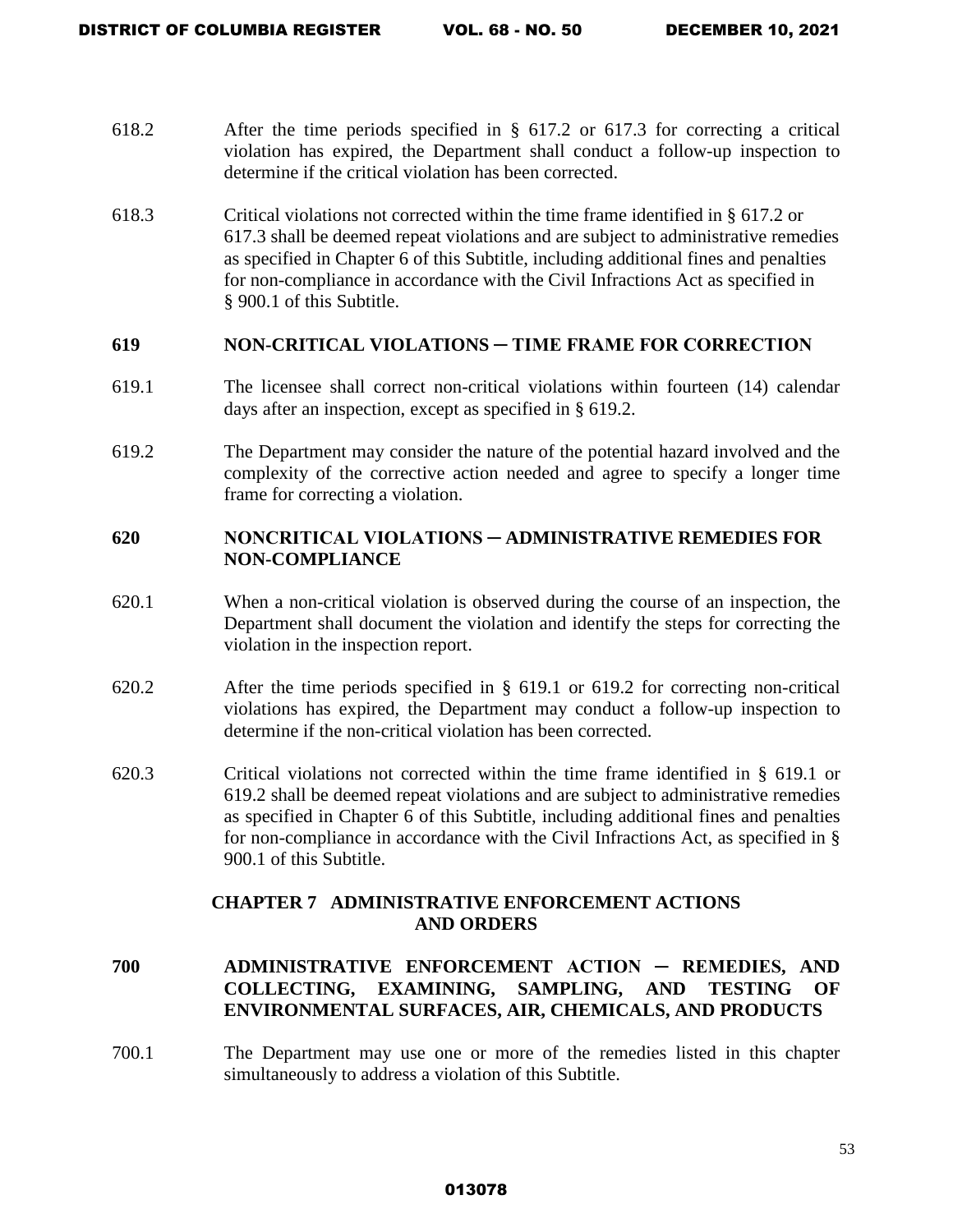- 618.2 After the time periods specified in § 617.2 or 617.3 for correcting a critical violation has expired, the Department shall conduct a follow-up inspection to determine if the critical violation has been corrected.
- 618.3 Critical violations not corrected within the time frame identified in § 617.2 or 617.3 shall be deemed repeat violations and are subject to administrative remedies as specified in Chapter 6 of this Subtitle, including additional fines and penalties for non-compliance in accordance with the Civil Infractions Act as specified in § 900.1 of this Subtitle.

### **619 NON-CRITICAL VIOLATIONS ─ TIME FRAME FOR CORRECTION**

- 619.1 The licensee shall correct non-critical violations within fourteen (14) calendar days after an inspection, except as specified in § 619.2.
- 619.2 The Department may consider the nature of the potential hazard involved and the complexity of the corrective action needed and agree to specify a longer time frame for correcting a violation.

# **620 NONCRITICAL VIOLATIONS ─ ADMINISTRATIVE REMEDIES FOR NON-COMPLIANCE**

- 620.1 When a non-critical violation is observed during the course of an inspection, the Department shall document the violation and identify the steps for correcting the violation in the inspection report.
- 620.2 After the time periods specified in § 619.1 or 619.2 for correcting non-critical violations has expired, the Department may conduct a follow-up inspection to determine if the non-critical violation has been corrected.
- 620.3 Critical violations not corrected within the time frame identified in § 619.1 or 619.2 shall be deemed repeat violations and are subject to administrative remedies as specified in Chapter 6 of this Subtitle, including additional fines and penalties for non-compliance in accordance with the Civil Infractions Act, as specified in § 900.1 of this Subtitle.

### **CHAPTER 7 ADMINISTRATIVE ENFORCEMENT ACTIONS AND ORDERS**

- **700 ADMINISTRATIVE ENFORCEMENT ACTION ─ REMEDIES, AND COLLECTING, EXAMINING, SAMPLING, AND TESTING OF ENVIRONMENTAL SURFACES, AIR, CHEMICALS, AND PRODUCTS**
- 700.1 The Department may use one or more of the remedies listed in this chapter simultaneously to address a violation of this Subtitle.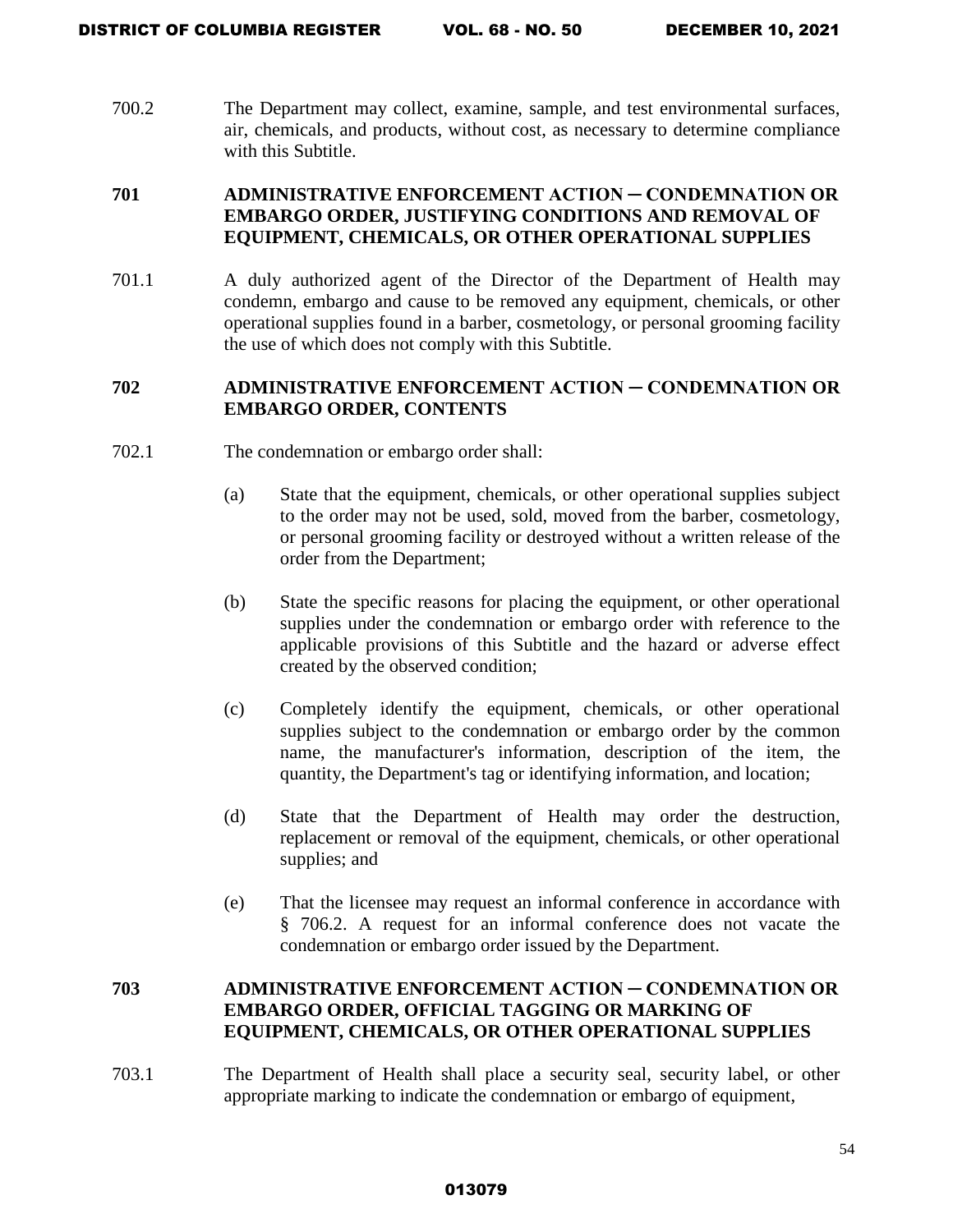700.2 The Department may collect, examine, sample, and test environmental surfaces, air, chemicals, and products, without cost, as necessary to determine compliance with this Subtitle.

# **701 ADMINISTRATIVE ENFORCEMENT ACTION ─ CONDEMNATION OR EMBARGO ORDER, JUSTIFYING CONDITIONS AND REMOVAL OF EQUIPMENT, CHEMICALS, OR OTHER OPERATIONAL SUPPLIES**

701.1 A duly authorized agent of the Director of the Department of Health may condemn, embargo and cause to be removed any equipment, chemicals, or other operational supplies found in a barber, cosmetology, or personal grooming facility the use of which does not comply with this Subtitle.

# **702 ADMINISTRATIVE ENFORCEMENT ACTION ─ CONDEMNATION OR EMBARGO ORDER, CONTENTS**

- 702.1 The condemnation or embargo order shall:
	- (a) State that the equipment, chemicals, or other operational supplies subject to the order may not be used, sold, moved from the barber, cosmetology, or personal grooming facility or destroyed without a written release of the order from the Department;
	- (b) State the specific reasons for placing the equipment, or other operational supplies under the condemnation or embargo order with reference to the applicable provisions of this Subtitle and the hazard or adverse effect created by the observed condition;
	- (c) Completely identify the equipment, chemicals, or other operational supplies subject to the condemnation or embargo order by the common name, the manufacturer's information, description of the item, the quantity, the Department's tag or identifying information, and location;
	- (d) State that the Department of Health may order the destruction, replacement or removal of the equipment, chemicals, or other operational supplies; and
	- (e) That the licensee may request an informal conference in accordance with § 706.2. A request for an informal conference does not vacate the condemnation or embargo order issued by the Department.

# **703 ADMINISTRATIVE ENFORCEMENT ACTION ─ CONDEMNATION OR EMBARGO ORDER, OFFICIAL TAGGING OR MARKING OF EQUIPMENT, CHEMICALS, OR OTHER OPERATIONAL SUPPLIES**

703.1 The Department of Health shall place a security seal, security label, or other appropriate marking to indicate the condemnation or embargo of equipment,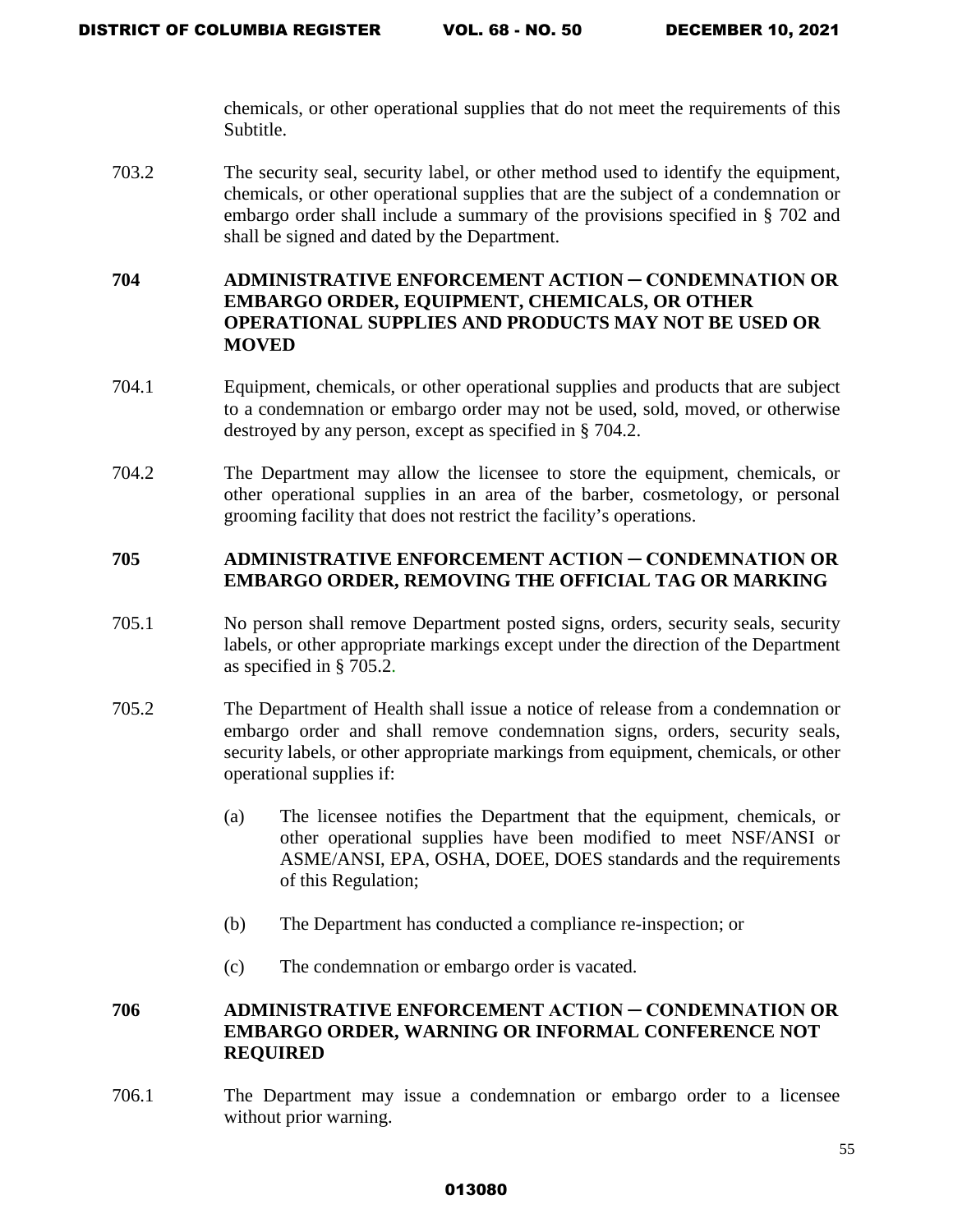chemicals, or other operational supplies that do not meet the requirements of this Subtitle.

703.2 The security seal, security label, or other method used to identify the equipment, chemicals, or other operational supplies that are the subject of a condemnation or embargo order shall include a summary of the provisions specified in § 702 and shall be signed and dated by the Department.

# **704 ADMINISTRATIVE ENFORCEMENT ACTION ─ CONDEMNATION OR EMBARGO ORDER, EQUIPMENT, CHEMICALS, OR OTHER OPERATIONAL SUPPLIES AND PRODUCTS MAY NOT BE USED OR MOVED**

- 704.1 Equipment, chemicals, or other operational supplies and products that are subject to a condemnation or embargo order may not be used, sold, moved, or otherwise destroyed by any person, except as specified in § 704.2.
- 704.2 The Department may allow the licensee to store the equipment, chemicals, or other operational supplies in an area of the barber, cosmetology, or personal grooming facility that does not restrict the facility's operations.

### **705 ADMINISTRATIVE ENFORCEMENT ACTION ─ CONDEMNATION OR EMBARGO ORDER, REMOVING THE OFFICIAL TAG OR MARKING**

- 705.1 No person shall remove Department posted signs, orders, security seals, security labels, or other appropriate markings except under the direction of the Department as specified in § 705.2.
- 705.2 The Department of Health shall issue a notice of release from a condemnation or embargo order and shall remove condemnation signs, orders, security seals, security labels, or other appropriate markings from equipment, chemicals, or other operational supplies if:
	- (a) The licensee notifies the Department that the equipment, chemicals, or other operational supplies have been modified to meet NSF/ANSI or ASME/ANSI, EPA, OSHA, DOEE, DOES standards and the requirements of this Regulation;
	- (b) The Department has conducted a compliance re-inspection; or
	- (c) The condemnation or embargo order is vacated.

# **706 ADMINISTRATIVE ENFORCEMENT ACTION ─ CONDEMNATION OR EMBARGO ORDER, WARNING OR INFORMAL CONFERENCE NOT REQUIRED**

706.1 The Department may issue a condemnation or embargo order to a licensee without prior warning.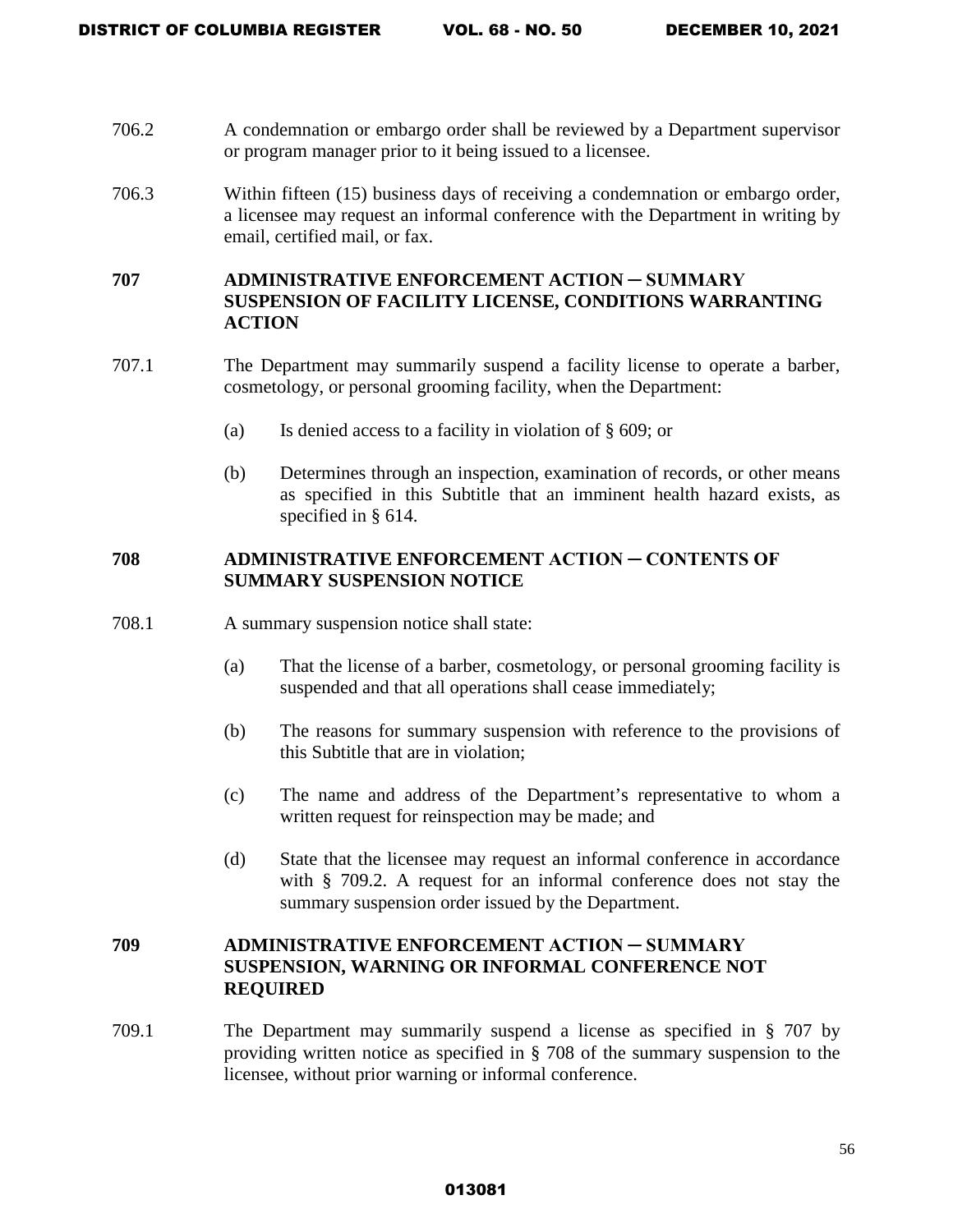- 706.2 A condemnation or embargo order shall be reviewed by a Department supervisor or program manager prior to it being issued to a licensee.
- 706.3 Within fifteen (15) business days of receiving a condemnation or embargo order, a licensee may request an informal conference with the Department in writing by email, certified mail, or fax.

# **707 ADMINISTRATIVE ENFORCEMENT ACTION ─ SUMMARY SUSPENSION OF FACILITY LICENSE, CONDITIONS WARRANTING ACTION**

- 707.1 The Department may summarily suspend a facility license to operate a barber, cosmetology, or personal grooming facility, when the Department:
	- (a) Is denied access to a facility in violation of § 609; or
	- (b) Determines through an inspection, examination of records, or other means as specified in this Subtitle that an imminent health hazard exists, as specified in § 614.

# **708 ADMINISTRATIVE ENFORCEMENT ACTION ─ CONTENTS OF SUMMARY SUSPENSION NOTICE**

- 708.1 A summary suspension notice shall state:
	- (a) That the license of a barber, cosmetology, or personal grooming facility is suspended and that all operations shall cease immediately;
	- (b) The reasons for summary suspension with reference to the provisions of this Subtitle that are in violation;
	- (c) The name and address of the Department's representative to whom a written request for reinspection may be made; and
	- (d) State that the licensee may request an informal conference in accordance with § 709.2. A request for an informal conference does not stay the summary suspension order issued by the Department.

# **709 ADMINISTRATIVE ENFORCEMENT ACTION ─ SUMMARY SUSPENSION, WARNING OR INFORMAL CONFERENCE NOT REQUIRED**

709.1 The Department may summarily suspend a license as specified in § 707 by providing written notice as specified in § 708 of the summary suspension to the licensee, without prior warning or informal conference.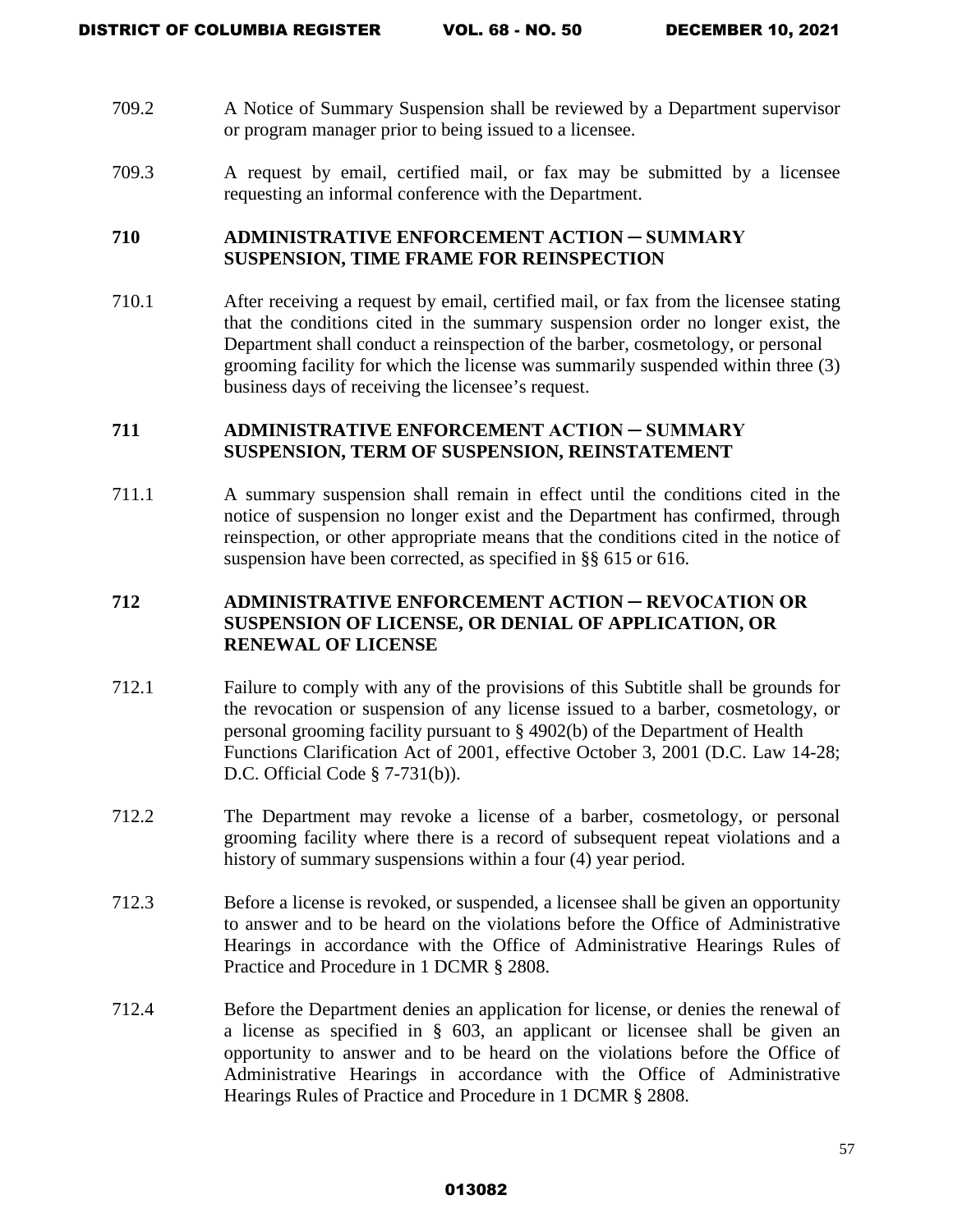- 709.2 A Notice of Summary Suspension shall be reviewed by a Department supervisor or program manager prior to being issued to a licensee.
- 709.3 A request by email, certified mail, or fax may be submitted by a licensee requesting an informal conference with the Department.

### **710 ADMINISTRATIVE ENFORCEMENT ACTION ─ SUMMARY SUSPENSION, TIME FRAME FOR REINSPECTION**

710.1 After receiving a request by email, certified mail, or fax from the licensee stating that the conditions cited in the summary suspension order no longer exist, the Department shall conduct a reinspection of the barber, cosmetology, or personal grooming facility for which the license was summarily suspended within three (3) business days of receiving the licensee's request.

# **711 ADMINISTRATIVE ENFORCEMENT ACTION ─ SUMMARY SUSPENSION, TERM OF SUSPENSION, REINSTATEMENT**

711.1 A summary suspension shall remain in effect until the conditions cited in the notice of suspension no longer exist and the Department has confirmed, through reinspection, or other appropriate means that the conditions cited in the notice of suspension have been corrected, as specified in §§ 615 or 616.

# **712 ADMINISTRATIVE ENFORCEMENT ACTION ─ REVOCATION OR SUSPENSION OF LICENSE, OR DENIAL OF APPLICATION, OR RENEWAL OF LICENSE**

- 712.1 Failure to comply with any of the provisions of this Subtitle shall be grounds for the revocation or suspension of any license issued to a barber, cosmetology, or personal grooming facility pursuant to § 4902(b) of the Department of Health Functions Clarification Act of 2001, effective October 3, 2001 (D.C. Law 14-28; D.C. Official Code § 7-731(b)).
- 712.2 The Department may revoke a license of a barber, cosmetology, or personal grooming facility where there is a record of subsequent repeat violations and a history of summary suspensions within a four (4) year period.
- 712.3 Before a license is revoked, or suspended, a licensee shall be given an opportunity to answer and to be heard on the violations before the Office of Administrative Hearings in accordance with the Office of Administrative Hearings Rules of Practice and Procedure in 1 DCMR § 2808.
- 712.4 Before the Department denies an application for license, or denies the renewal of a license as specified in § 603, an applicant or licensee shall be given an opportunity to answer and to be heard on the violations before the Office of Administrative Hearings in accordance with the Office of Administrative Hearings Rules of Practice and Procedure in 1 DCMR § 2808.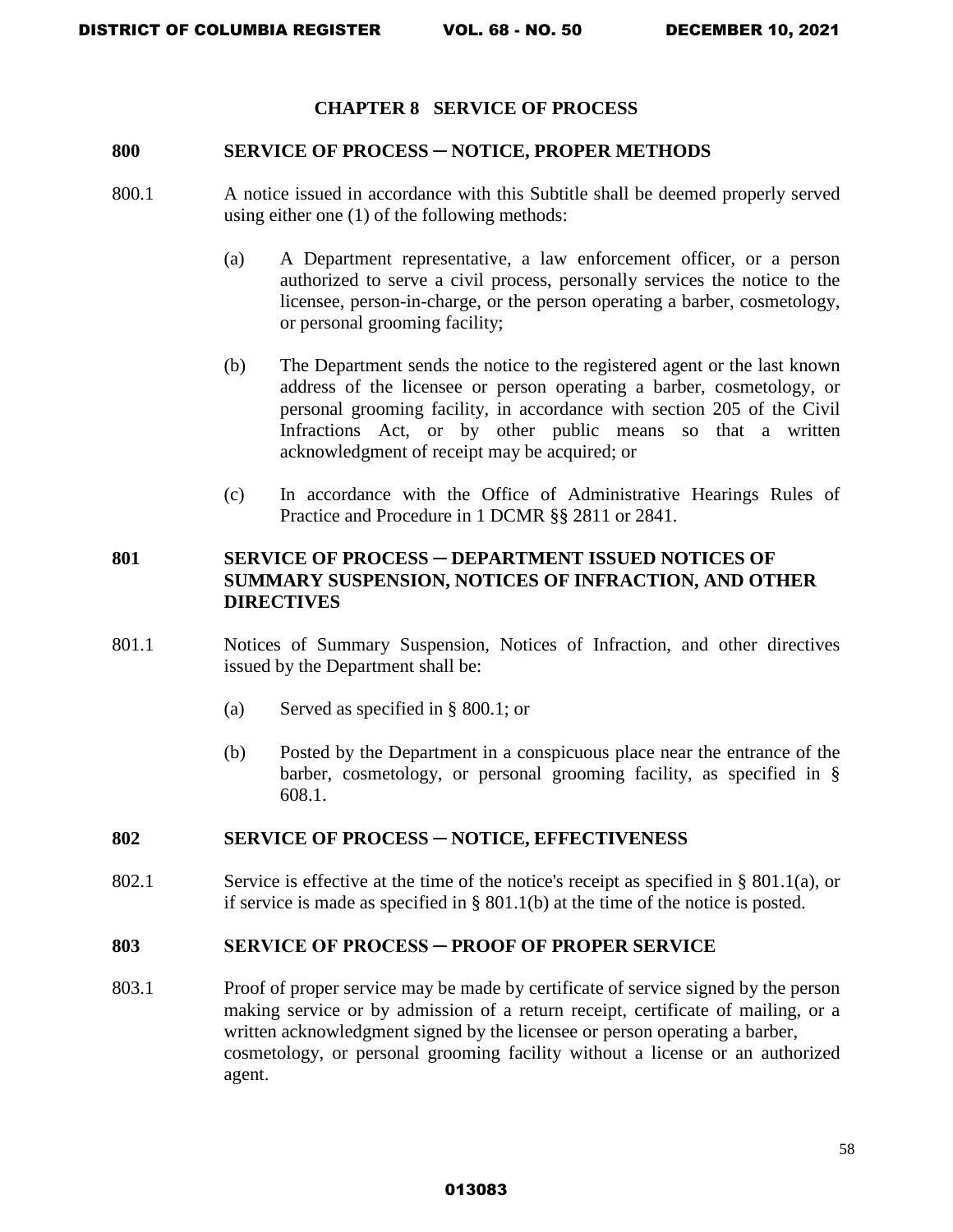### **CHAPTER 8 SERVICE OF PROCESS**

#### **800 SERVICE OF PROCESS** ─ **NOTICE, PROPER METHODS**

- 800.1 A notice issued in accordance with this Subtitle shall be deemed properly served using either one (1) of the following methods:
	- (a) A Department representative, a law enforcement officer, or a person authorized to serve a civil process, personally services the notice to the licensee, person-in-charge, or the person operating a barber, cosmetology, or personal grooming facility;
	- (b) The Department sends the notice to the registered agent or the last known address of the licensee or person operating a barber, cosmetology, or personal grooming facility, in accordance with section 205 of the Civil Infractions Act, or by other public means so that a written acknowledgment of receipt may be acquired; or
	- (c) In accordance with the Office of Administrative Hearings Rules of Practice and Procedure in 1 DCMR §§ 2811 or 2841.

# **801 SERVICE OF PROCESS** ─ **DEPARTMENT ISSUED NOTICES OF SUMMARY SUSPENSION, NOTICES OF INFRACTION, AND OTHER DIRECTIVES**

- 801.1 Notices of Summary Suspension, Notices of Infraction, and other directives issued by the Department shall be:
	- (a) Served as specified in § 800.1; or
	- (b) Posted by the Department in a conspicuous place near the entrance of the barber, cosmetology, or personal grooming facility, as specified in § 608.1.

### **802 SERVICE OF PROCESS ─ NOTICE, EFFECTIVENESS**

802.1 Service is effective at the time of the notice's receipt as specified in § 801.1(a), or if service is made as specified in § 801.1(b) at the time of the notice is posted.

#### **803 SERVICE OF PROCESS ─ PROOF OF PROPER SERVICE**

803.1 Proof of proper service may be made by certificate of service signed by the person making service or by admission of a return receipt, certificate of mailing, or a written acknowledgment signed by the licensee or person operating a barber, cosmetology, or personal grooming facility without a license or an authorized agent.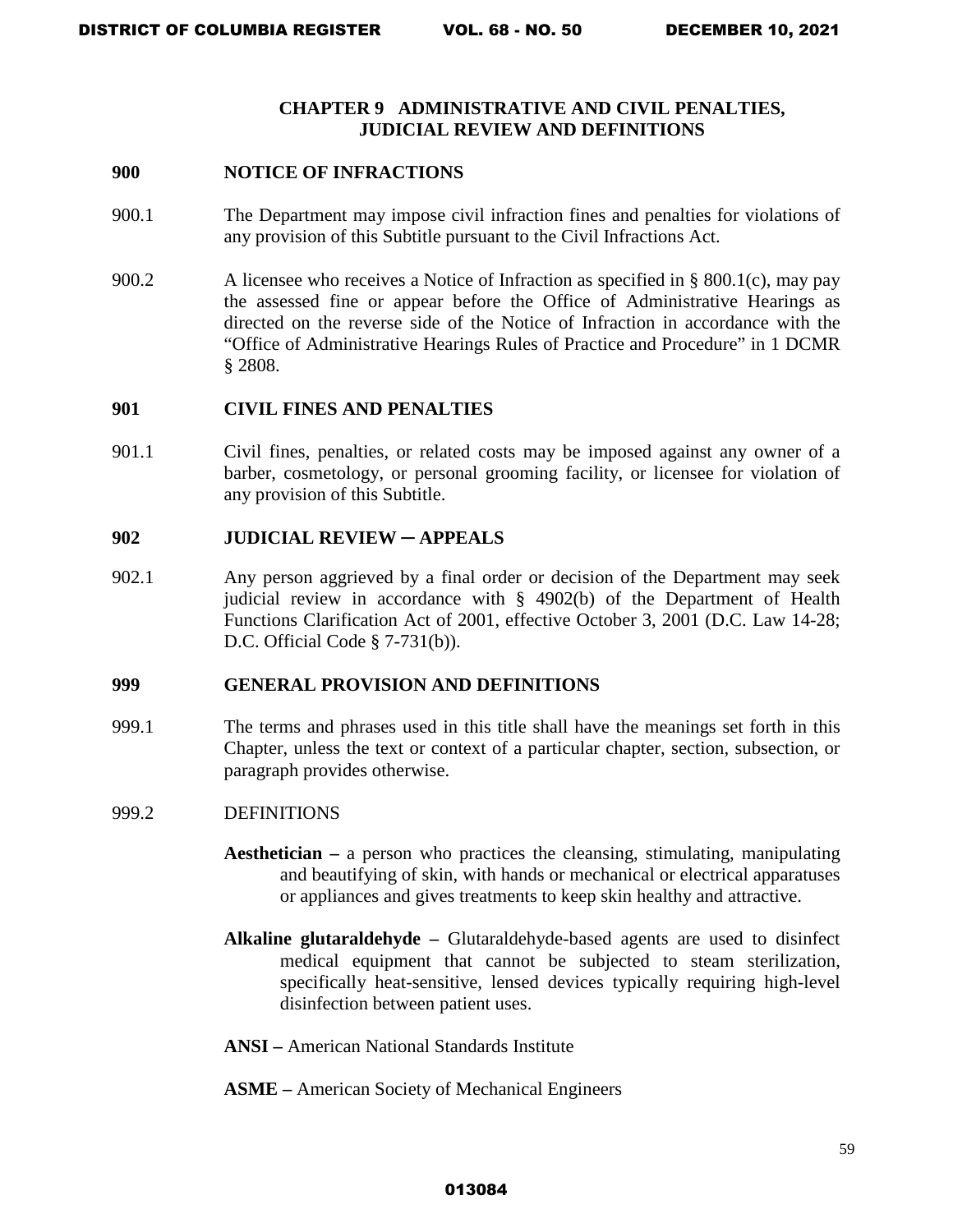### **CHAPTER 9 ADMINISTRATIVE AND CIVIL PENALTIES, JUDICIAL REVIEW AND DEFINITIONS**

### **900 NOTICE OF INFRACTIONS**

- 900.1 The Department may impose civil infraction fines and penalties for violations of any provision of this Subtitle pursuant to the Civil Infractions Act.
- 900.2 A licensee who receives a Notice of Infraction as specified in § 800.1(c), may pay the assessed fine or appear before the Office of Administrative Hearings as directed on the reverse side of the Notice of Infraction in accordance with the "Office of Administrative Hearings Rules of Practice and Procedure" in 1 DCMR § 2808.

### **901 CIVIL FINES AND PENALTIES**

901.1 Civil fines, penalties, or related costs may be imposed against any owner of a barber, cosmetology, or personal grooming facility, or licensee for violation of any provision of this Subtitle.

### **902 JUDICIAL REVIEW ─ APPEALS**

902.1 Any person aggrieved by a final order or decision of the Department may seek judicial review in accordance with § 4902(b) of the Department of Health Functions Clarification Act of 2001, effective October 3, 2001 (D.C. Law 14-28; D.C. Official Code § 7-731(b)).

### **999 GENERAL PROVISION AND DEFINITIONS**

999.1 The terms and phrases used in this title shall have the meanings set forth in this Chapter, unless the text or context of a particular chapter, section, subsection, or paragraph provides otherwise.

### 999.2 DEFINITIONS

- **Aesthetician –** a person who practices the cleansing, stimulating, manipulating and beautifying of skin, with hands or mechanical or electrical apparatuses or appliances and gives treatments to keep skin healthy and attractive.
- **Alkaline glutaraldehyde** Glutaraldehyde-based agents are used to disinfect medical equipment that cannot be subjected to steam sterilization, specifically heat-sensitive, lensed devices typically requiring high-level disinfection between patient uses.
- **ANSI** American National Standards Institute
- **ASME** American Society of Mechanical Engineers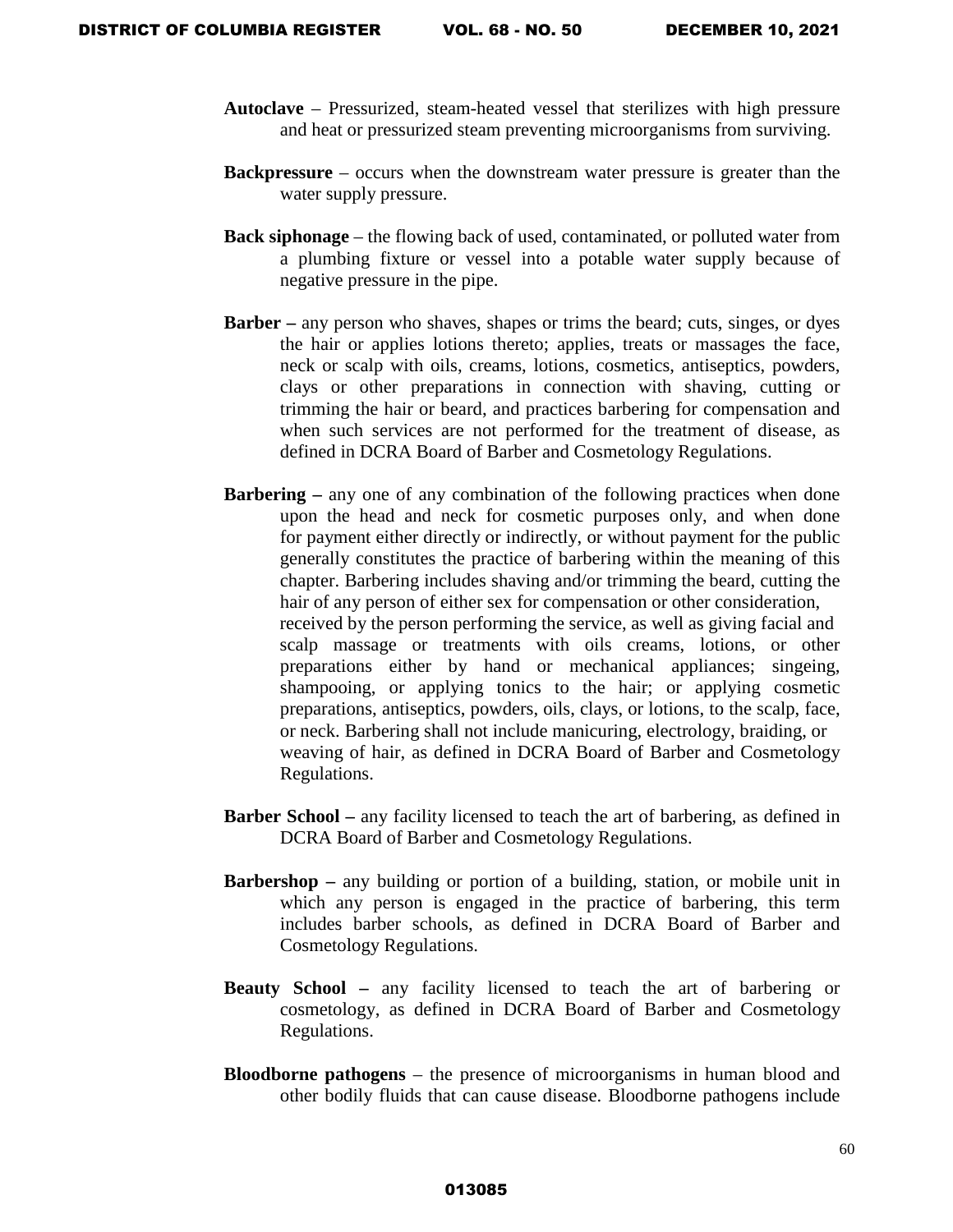- **Autoclave**  Pressurized, steam-heated vessel that sterilizes with high pressure and heat or pressurized steam preventing microorganisms from surviving.
- **Backpressure** occurs when the downstream water pressure is greater than the water supply pressure.
- **Back siphonage** the flowing back of used, contaminated, or polluted water from a plumbing fixture or vessel into a potable water supply because of negative pressure in the pipe.
- **Barber** any person who shaves, shapes or trims the beard; cuts, singes, or dyes the hair or applies lotions thereto; applies, treats or massages the face, neck or scalp with oils, creams, lotions, cosmetics, antiseptics, powders, clays or other preparations in connection with shaving, cutting or trimming the hair or beard, and practices barbering for compensation and when such services are not performed for the treatment of disease, as defined in DCRA Board of Barber and Cosmetology Regulations.
- **Barbering** any one of any combination of the following practices when done upon the head and neck for cosmetic purposes only, and when done for payment either directly or indirectly, or without payment for the public generally constitutes the practice of barbering within the meaning of this chapter. Barbering includes shaving and/or trimming the beard, cutting the hair of any person of either sex for compensation or other consideration, received by the person performing the service, as well as giving facial and scalp massage or treatments with oils creams, lotions, or other preparations either by hand or mechanical appliances; singeing, shampooing, or applying tonics to the hair; or applying cosmetic preparations, antiseptics, powders, oils, clays, or lotions, to the scalp, face, or neck. Barbering shall not include manicuring, electrology, braiding, or weaving of hair, as defined in DCRA Board of Barber and Cosmetology Regulations.
- **Barber School** any facility licensed to teach the art of barbering, as defined in DCRA Board of Barber and Cosmetology Regulations.
- **Barbershop** any building or portion of a building, station, or mobile unit in which any person is engaged in the practice of barbering, this term includes barber schools, as defined in DCRA Board of Barber and Cosmetology Regulations.
- **Beauty School** any facility licensed to teach the art of barbering or cosmetology, as defined in DCRA Board of Barber and Cosmetology Regulations.
- **Bloodborne pathogens** the presence of microorganisms in human blood and other bodily fluids that can cause disease. Bloodborne pathogens include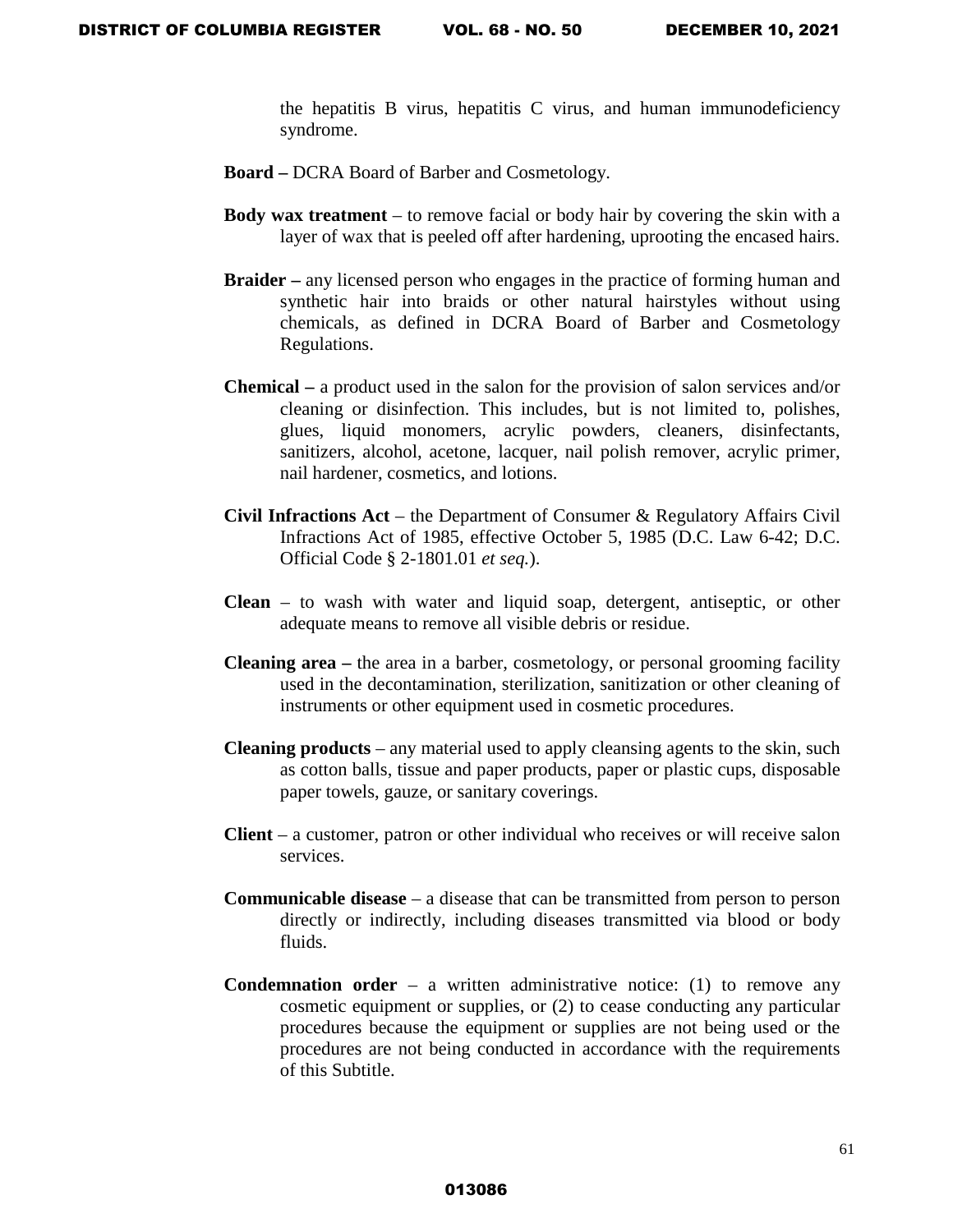the hepatitis B virus, hepatitis C virus, and human immunodeficiency syndrome.

- **Board** DCRA Board of Barber and Cosmetology.
- **Body wax treatment** to remove facial or body hair by covering the skin with a layer of wax that is peeled off after hardening, uprooting the encased hairs.
- **Braider** any licensed person who engages in the practice of forming human and synthetic hair into braids or other natural hairstyles without using chemicals, as defined in DCRA Board of Barber and Cosmetology Regulations.
- **Chemical** a product used in the salon for the provision of salon services and/or cleaning or disinfection. This includes, but is not limited to, polishes, glues, liquid monomers, acrylic powders, cleaners, disinfectants, sanitizers, alcohol, acetone, lacquer, nail polish remover, acrylic primer, nail hardener, cosmetics, and lotions.
- **Civil Infractions Act** the Department of Consumer & Regulatory Affairs Civil Infractions Act of 1985, effective October 5, 1985 (D.C. Law 6-42; D.C. Official Code § 2-1801.01 *et seq.*).
- **Clean**  to wash with water and liquid soap, detergent, antiseptic, or other adequate means to remove all visible debris or residue.
- **Cleaning area –** the area in a barber, cosmetology, or personal grooming facility used in the decontamination, sterilization, sanitization or other cleaning of instruments or other equipment used in cosmetic procedures.
- **Cleaning products**  any material used to apply cleansing agents to the skin, such as cotton balls, tissue and paper products, paper or plastic cups, disposable paper towels, gauze, or sanitary coverings.
- **Client** a customer, patron or other individual who receives or will receive salon services.
- **Communicable disease** a disease that can be transmitted from person to person directly or indirectly, including diseases transmitted via blood or body fluids.
- **Condemnation order**  $-$  a written administrative notice: (1) to remove any cosmetic equipment or supplies, or (2) to cease conducting any particular procedures because the equipment or supplies are not being used or the procedures are not being conducted in accordance with the requirements of this Subtitle.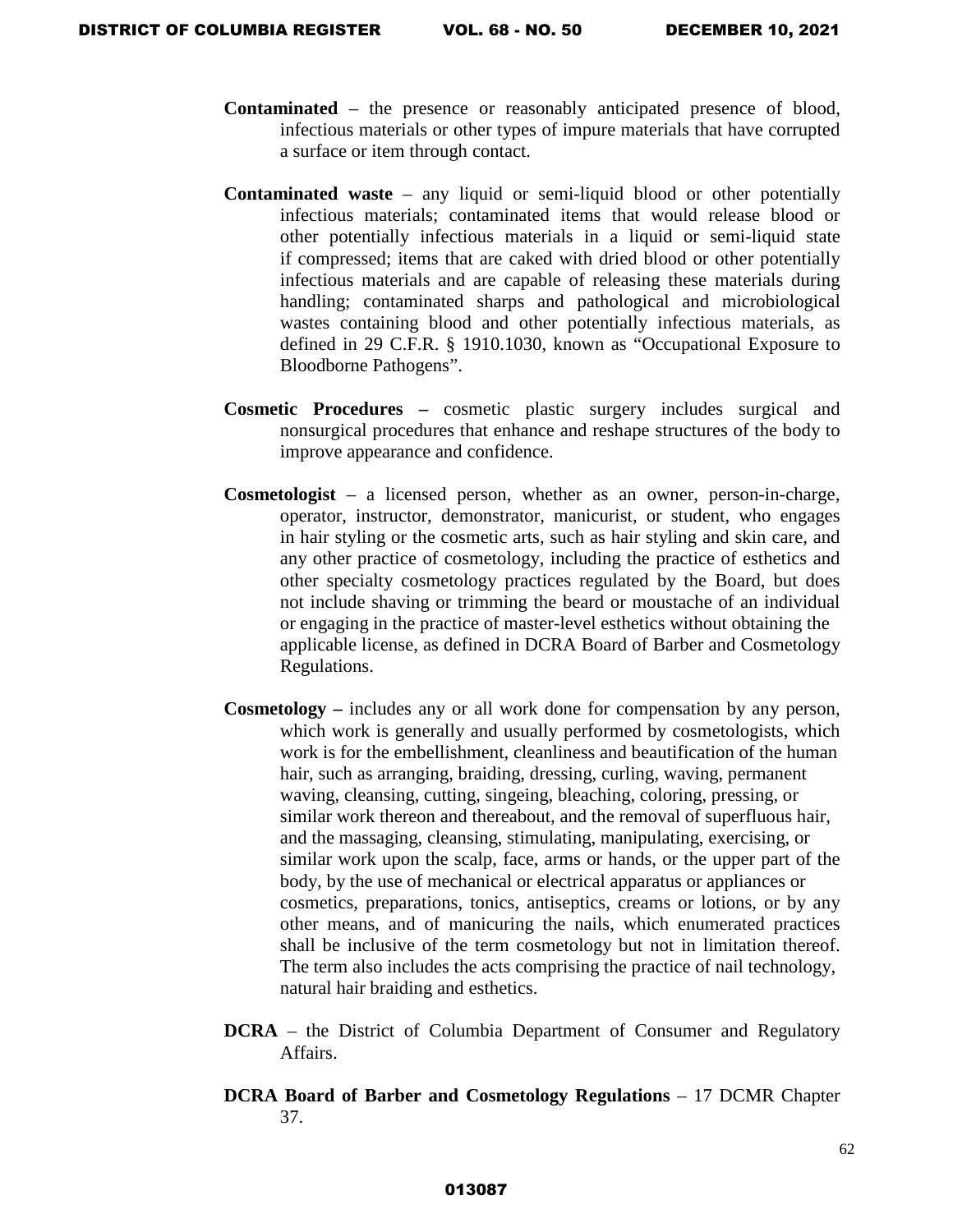- **Contaminated** the presence or reasonably anticipated presence of blood, infectious materials or other types of impure materials that have corrupted a surface or item through contact.
- **Contaminated waste** any liquid or semi-liquid blood or other potentially infectious materials; contaminated items that would release blood or other potentially infectious materials in a liquid or semi-liquid state if compressed; items that are caked with dried blood or other potentially infectious materials and are capable of releasing these materials during handling; contaminated sharps and pathological and microbiological wastes containing blood and other potentially infectious materials, as defined in 29 C.F.R. § 1910.1030, known as "Occupational Exposure to Bloodborne Pathogens".
- **Cosmetic Procedures** cosmetic plastic surgery includes surgical and nonsurgical procedures that enhance and reshape structures of the body to improve appearance and confidence.
- **Cosmetologist** a licensed person, whether as an owner, person-in-charge, operator, instructor, demonstrator, manicurist, or student, who engages in hair styling or the cosmetic arts, such as hair styling and skin care, and any other practice of cosmetology, including the practice of esthetics and other specialty cosmetology practices regulated by the Board, but does not include shaving or trimming the beard or moustache of an individual or engaging in the practice of master-level esthetics without obtaining the applicable license, as defined in DCRA Board of Barber and Cosmetology Regulations.
- **Cosmetology** includes any or all work done for compensation by any person, which work is generally and usually performed by cosmetologists, which work is for the embellishment, cleanliness and beautification of the human hair, such as arranging, braiding, dressing, curling, waving, permanent waving, cleansing, cutting, singeing, bleaching, coloring, pressing, or similar work thereon and thereabout, and the removal of superfluous hair, and the massaging, cleansing, stimulating, manipulating, exercising, or similar work upon the scalp, face, arms or hands, or the upper part of the body, by the use of mechanical or electrical apparatus or appliances or cosmetics, preparations, tonics, antiseptics, creams or lotions, or by any other means, and of manicuring the nails, which enumerated practices shall be inclusive of the term cosmetology but not in limitation thereof. The term also includes the acts comprising the practice of nail technology, natural hair braiding and esthetics.
- **DCRA** the District of Columbia Department of Consumer and Regulatory Affairs.
- **DCRA Board of Barber and Cosmetology Regulations** 17 DCMR Chapter 37.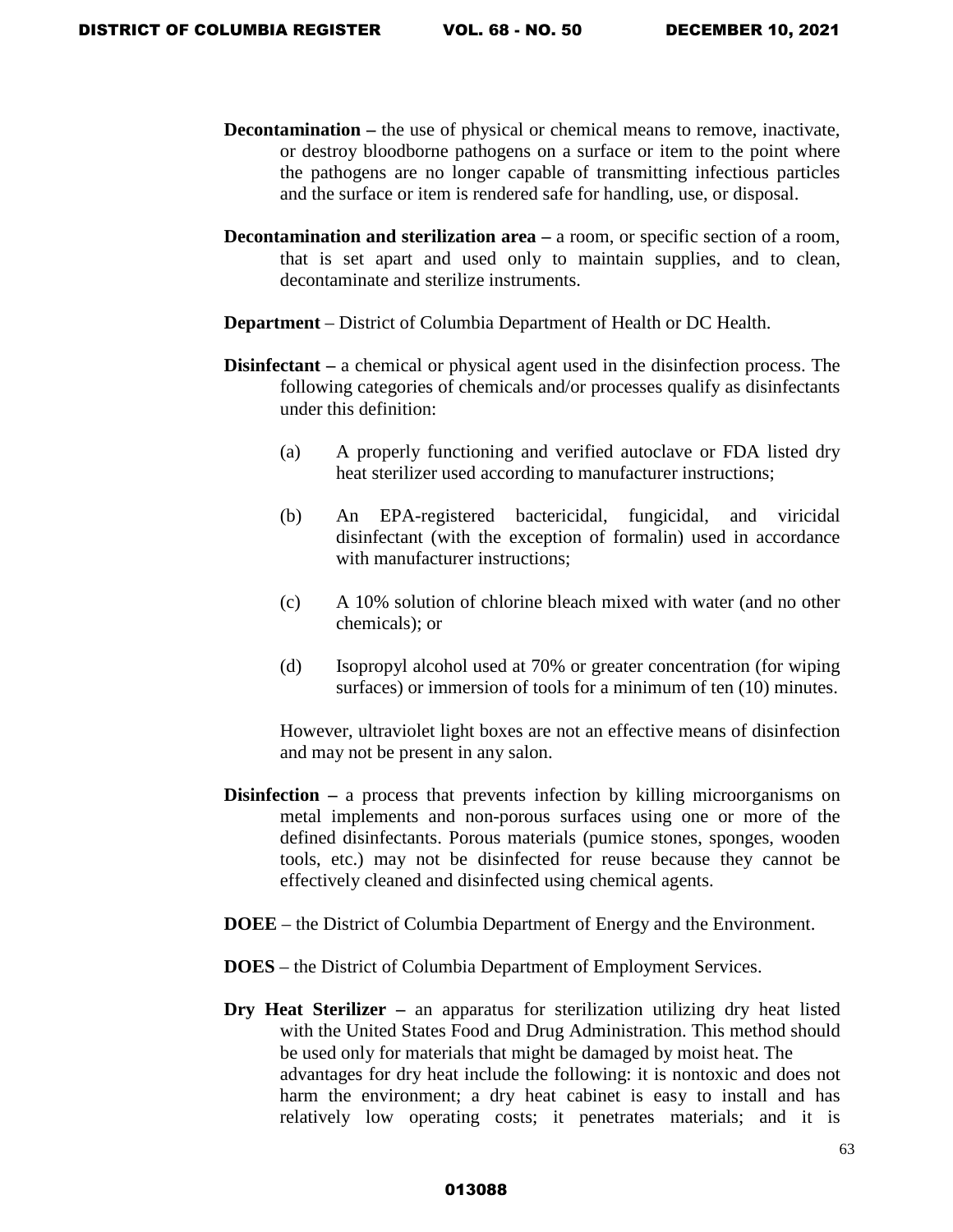- **Decontamination** the use of physical or chemical means to remove, inactivate, or destroy bloodborne pathogens on a surface or item to the point where the pathogens are no longer capable of transmitting infectious particles and the surface or item is rendered safe for handling, use, or disposal.
- **Decontamination and sterilization area a room, or specific section of a room,** that is set apart and used only to maintain supplies, and to clean, decontaminate and sterilize instruments.
- **Department** District of Columbia Department of Health or DC Health.
- **Disinfectant** a chemical or physical agent used in the disinfection process. The following categories of chemicals and/or processes qualify as disinfectants under this definition:
	- (a) A properly functioning and verified autoclave or FDA listed dry heat sterilizer used according to manufacturer instructions;
	- (b) An EPA-registered bactericidal, fungicidal, and viricidal disinfectant (with the exception of formalin) used in accordance with manufacturer instructions:
	- (c) A 10% solution of chlorine bleach mixed with water (and no other chemicals); or
	- (d) Isopropyl alcohol used at 70% or greater concentration (for wiping surfaces) or immersion of tools for a minimum of ten (10) minutes.

However, ultraviolet light boxes are not an effective means of disinfection and may not be present in any salon.

- **Disinfection a process that prevents infection by killing microorganisms on** metal implements and non-porous surfaces using one or more of the defined disinfectants. Porous materials (pumice stones, sponges, wooden tools, etc.) may not be disinfected for reuse because they cannot be effectively cleaned and disinfected using chemical agents.
- **DOEE** the District of Columbia Department of Energy and the Environment.
- **DOES** the District of Columbia Department of Employment Services.
- **Dry Heat Sterilizer** an apparatus for sterilization utilizing dry heat listed with the United States Food and Drug Administration. This method should be used only for materials that might be damaged by moist heat. The advantages for dry heat include the following: it is nontoxic and does not harm the environment; a dry heat cabinet is easy to install and has relatively low operating costs; it penetrates materials; and it is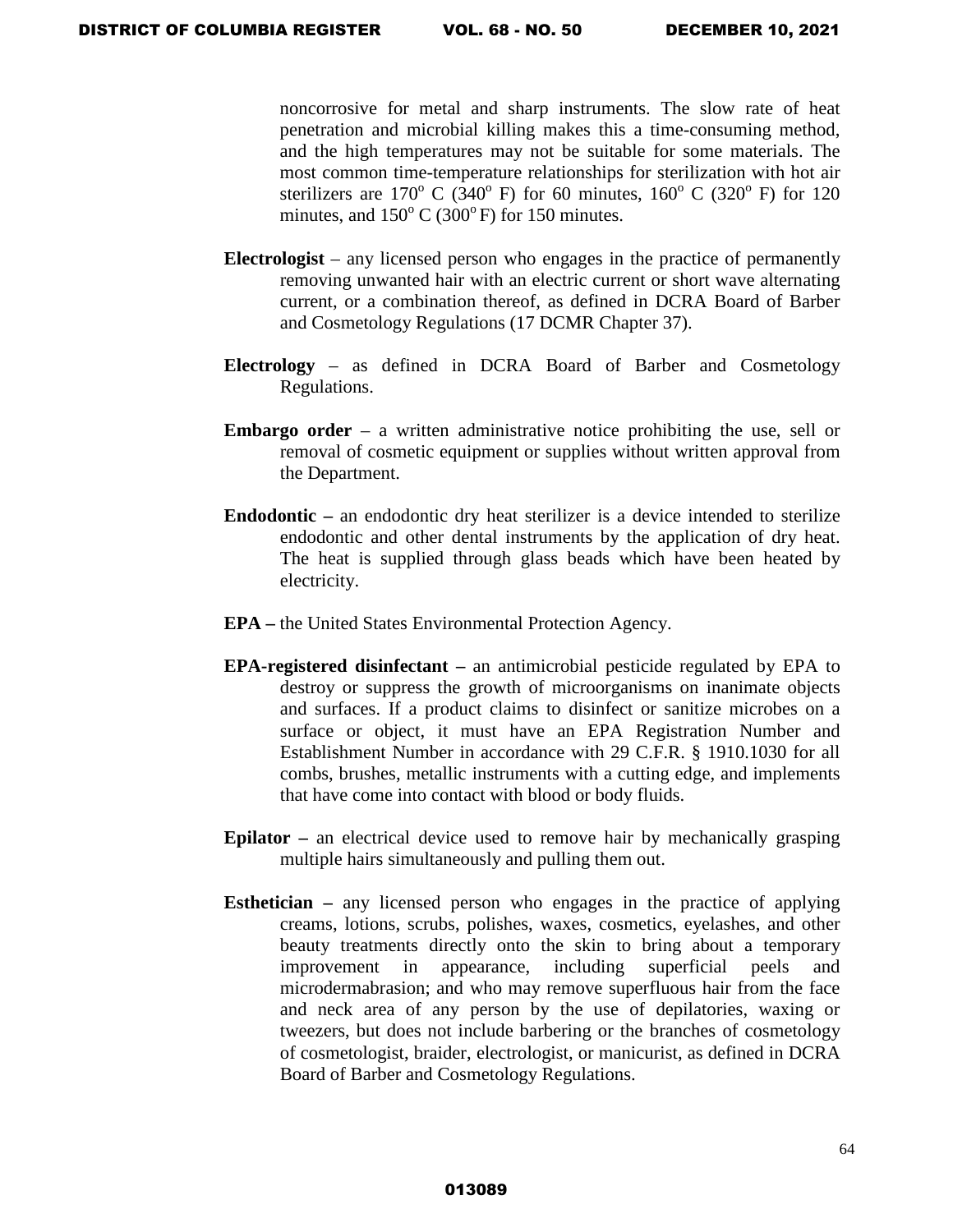noncorrosive for metal and sharp instruments. The slow rate of heat penetration and microbial killing makes this a time-consuming method, and the high temperatures may not be suitable for some materials. The most common time-temperature relationships for sterilization with hot air sterilizers are  $170^{\circ}$  C (340<sup>°</sup> F) for 60 minutes,  $160^{\circ}$  C (320<sup>°</sup> F) for 120 minutes, and  $150^{\circ}$  C (300°F) for 150 minutes.

- **Electrologist** any licensed person who engages in the practice of permanently removing unwanted hair with an electric current or short wave alternating current, or a combination thereof, as defined in DCRA Board of Barber and Cosmetology Regulations (17 DCMR Chapter 37).
- **Electrology** as defined in DCRA Board of Barber and Cosmetology Regulations.
- **Embargo order** a written administrative notice prohibiting the use, sell or removal of cosmetic equipment or supplies without written approval from the Department.
- **Endodontic** an endodontic dry heat sterilizer is a device intended to sterilize endodontic and other dental instruments by the application of dry heat. The heat is supplied through glass beads which have been heated by electricity.
- **EPA** the United States Environmental Protection Agency.
- **EPA-registered disinfectant** an antimicrobial pesticide regulated by EPA to destroy or suppress the growth of microorganisms on inanimate objects and surfaces. If a product claims to disinfect or sanitize microbes on a surface or object, it must have an EPA Registration Number and Establishment Number in accordance with 29 C.F.R. § 1910.1030 for all combs, brushes, metallic instruments with a cutting edge, and implements that have come into contact with blood or body fluids.
- **Epilator** an electrical device used to remove hair by mechanically grasping multiple hairs simultaneously and pulling them out.
- **Esthetician** any licensed person who engages in the practice of applying creams, lotions, scrubs, polishes, waxes, cosmetics, eyelashes, and other beauty treatments directly onto the skin to bring about a temporary improvement in appearance, including superficial peels and microdermabrasion; and who may remove superfluous hair from the face and neck area of any person by the use of depilatories, waxing or tweezers, but does not include barbering or the branches of cosmetology of cosmetologist, braider, electrologist, or manicurist, as defined in DCRA Board of Barber and Cosmetology Regulations.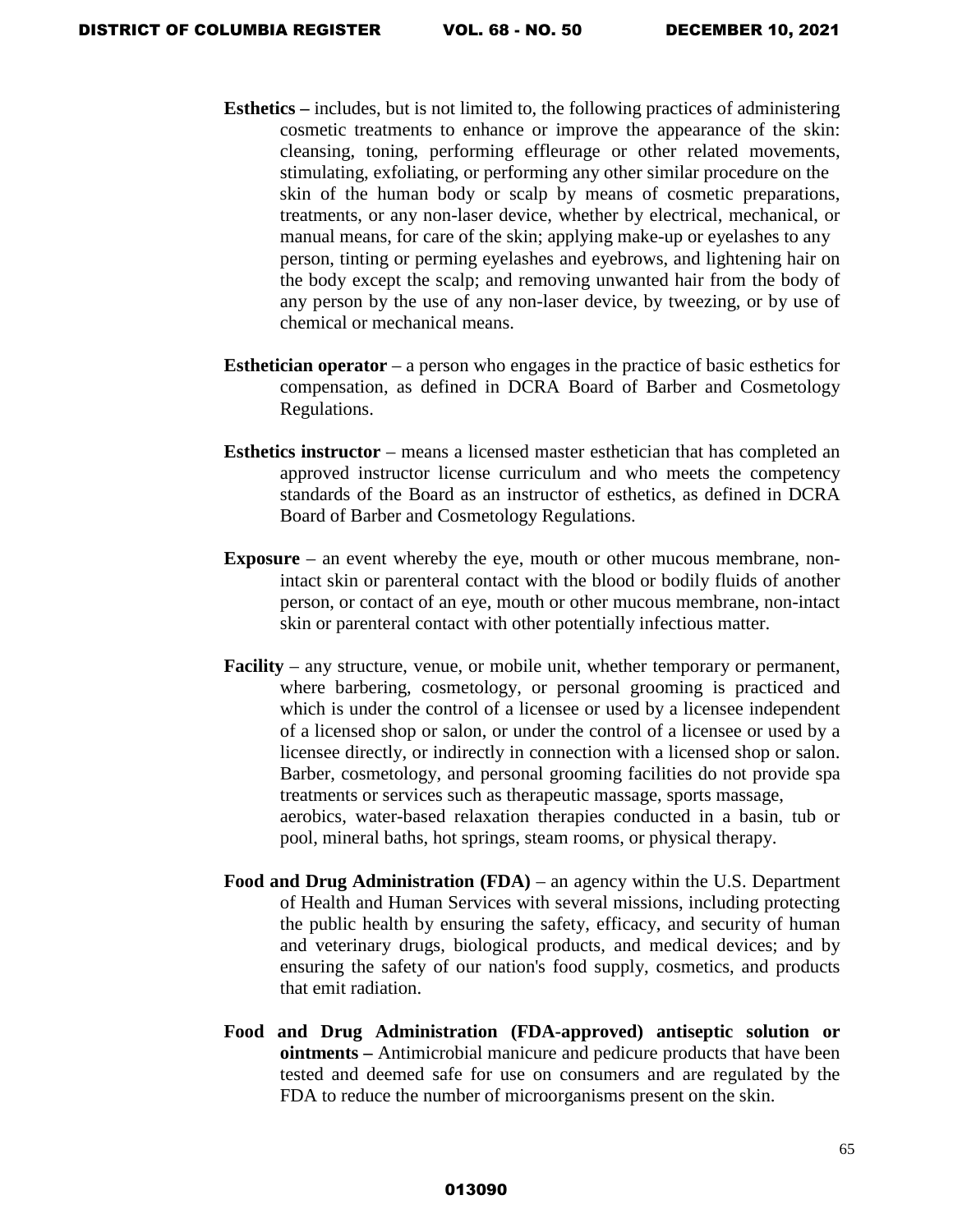- **Esthetics** includes, but is not limited to, the following practices of administering cosmetic treatments to enhance or improve the appearance of the skin: cleansing, toning, performing effleurage or other related movements, stimulating, exfoliating, or performing any other similar procedure on the skin of the human body or scalp by means of cosmetic preparations, treatments, or any non-laser device, whether by electrical, mechanical, or manual means, for care of the skin; applying make-up or eyelashes to any person, tinting or perming eyelashes and eyebrows, and lightening hair on the body except the scalp; and removing unwanted hair from the body of any person by the use of any non-laser device, by tweezing, or by use of chemical or mechanical means.
- **Esthetician operator** a person who engages in the practice of basic esthetics for compensation, as defined in DCRA Board of Barber and Cosmetology Regulations.
- **Esthetics instructor** means a licensed master esthetician that has completed an approved instructor license curriculum and who meets the competency standards of the Board as an instructor of esthetics, as defined in DCRA Board of Barber and Cosmetology Regulations.
- **Exposure** an event whereby the eye, mouth or other mucous membrane, nonintact skin or parenteral contact with the blood or bodily fluids of another person, or contact of an eye, mouth or other mucous membrane, non-intact skin or parenteral contact with other potentially infectious matter.
- **Facility**  any structure, venue, or mobile unit, whether temporary or permanent, where barbering, cosmetology, or personal grooming is practiced and which is under the control of a licensee or used by a licensee independent of a licensed shop or salon, or under the control of a licensee or used by a licensee directly, or indirectly in connection with a licensed shop or salon. Barber, cosmetology, and personal grooming facilities do not provide spa treatments or services such as therapeutic massage, sports massage, aerobics, water-based relaxation therapies conducted in a basin, tub or pool, mineral baths, hot springs, steam rooms, or physical therapy.
- **Food and Drug Administration (FDA)** an agency within the U.S. [Department](http://www.hhs.gov/)  [of Health and Human Services](http://www.hhs.gov/) with several missions, including protecting the public health by ensuring the safety, efficacy, and security of human and veterinary drugs, biological products, and medical devices; and by ensuring the safety of our nation's food supply, cosmetics, and products that emit radiation.
- **Food and Drug Administration (FDA-approved) antiseptic solution or ointments –** Antimicrobial manicure and pedicure products that have been tested and deemed safe for use on consumers and are regulated by the FDA to reduce the number of microorganisms present on the skin.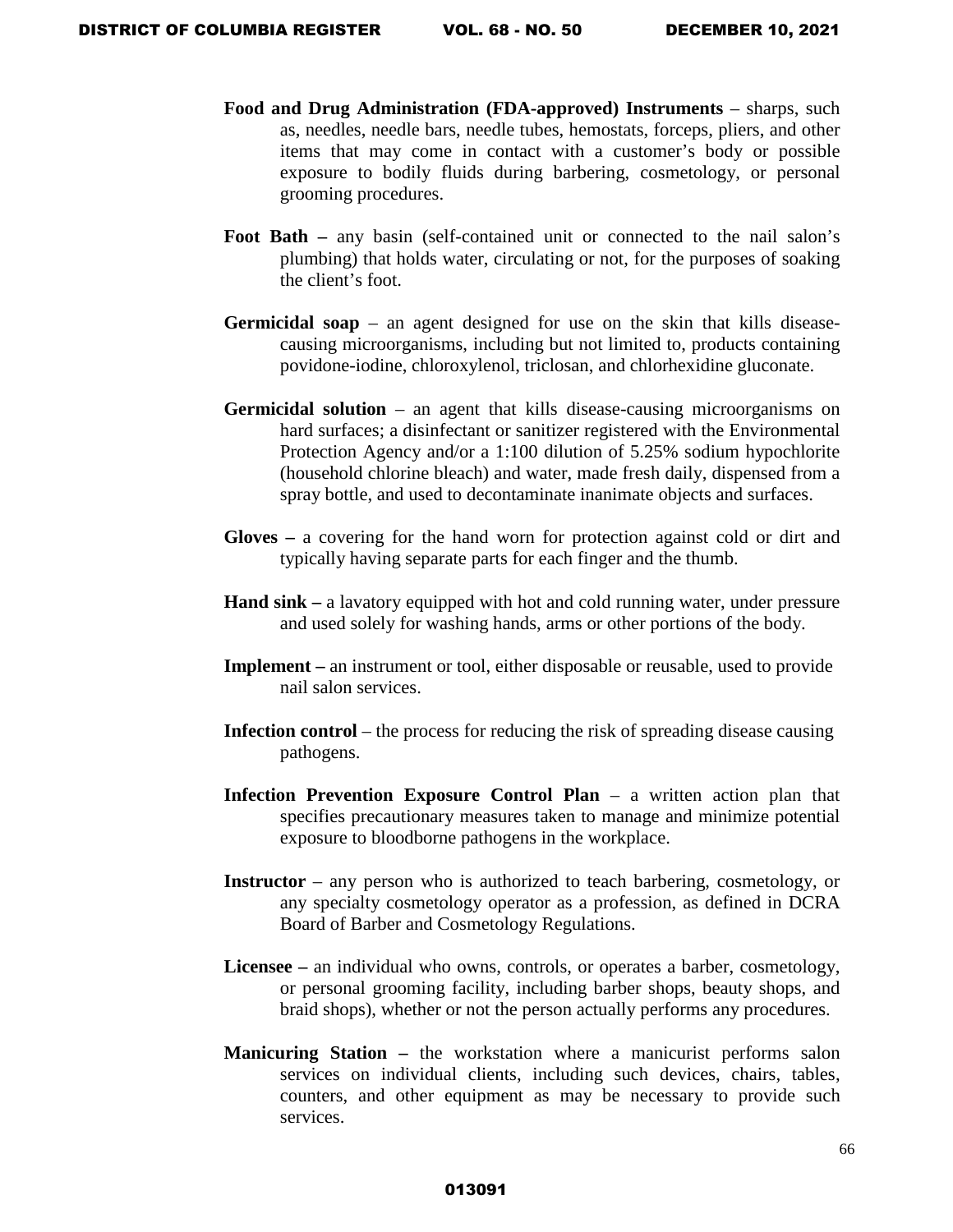- **Food and Drug Administration (FDA-approved) Instruments** sharps, such as, needles, needle bars, needle tubes, hemostats, forceps, pliers, and other items that may come in contact with a customer's body or possible exposure to bodily fluids during barbering, cosmetology, or personal grooming procedures.
- **Foot Bath –** any basin (self-contained unit or connected to the nail salon's plumbing) that holds water, circulating or not, for the purposes of soaking the client's foot.
- **Germicidal soap** an agent designed for use on the skin that kills diseasecausing microorganisms, including but not limited to, products containing povidone-iodine, chloroxylenol, triclosan, and chlorhexidine gluconate.
- **Germicidal solution**  an agent that kills disease-causing microorganisms on hard surfaces; a disinfectant or sanitizer registered with the Environmental Protection Agency and/or a 1:100 dilution of 5.25% sodium hypochlorite (household chlorine bleach) and water, made fresh daily, dispensed from a spray bottle, and used to decontaminate inanimate objects and surfaces.
- **Gloves –** a covering for the hand worn for protection against cold or dirt and typically having separate parts for each finger and the thumb.
- **Hand sink** a lavatory equipped with hot and cold running water, under pressure and used solely for washing hands, arms or other portions of the body.
- **Implement** an instrument or tool, either disposable or reusable, used to provide nail salon services.
- **Infection control** the process for reducing the risk of spreading disease causing pathogens.
- **Infection Prevention Exposure Control Plan** a written action plan that specifies precautionary measures taken to manage and minimize potential exposure to bloodborne pathogens in the workplace.
- **Instructor** any person who is authorized to teach barbering, cosmetology, or any specialty cosmetology operator as a profession, as defined in DCRA Board of Barber and Cosmetology Regulations.
- **Licensee –** an individual who owns, controls, or operates a barber, cosmetology, or personal grooming facility, including barber shops, beauty shops, and braid shops), whether or not the person actually performs any procedures.
- **Manicuring Station –** the workstation where a manicurist performs salon services on individual clients, including such devices, chairs, tables, counters, and other equipment as may be necessary to provide such services.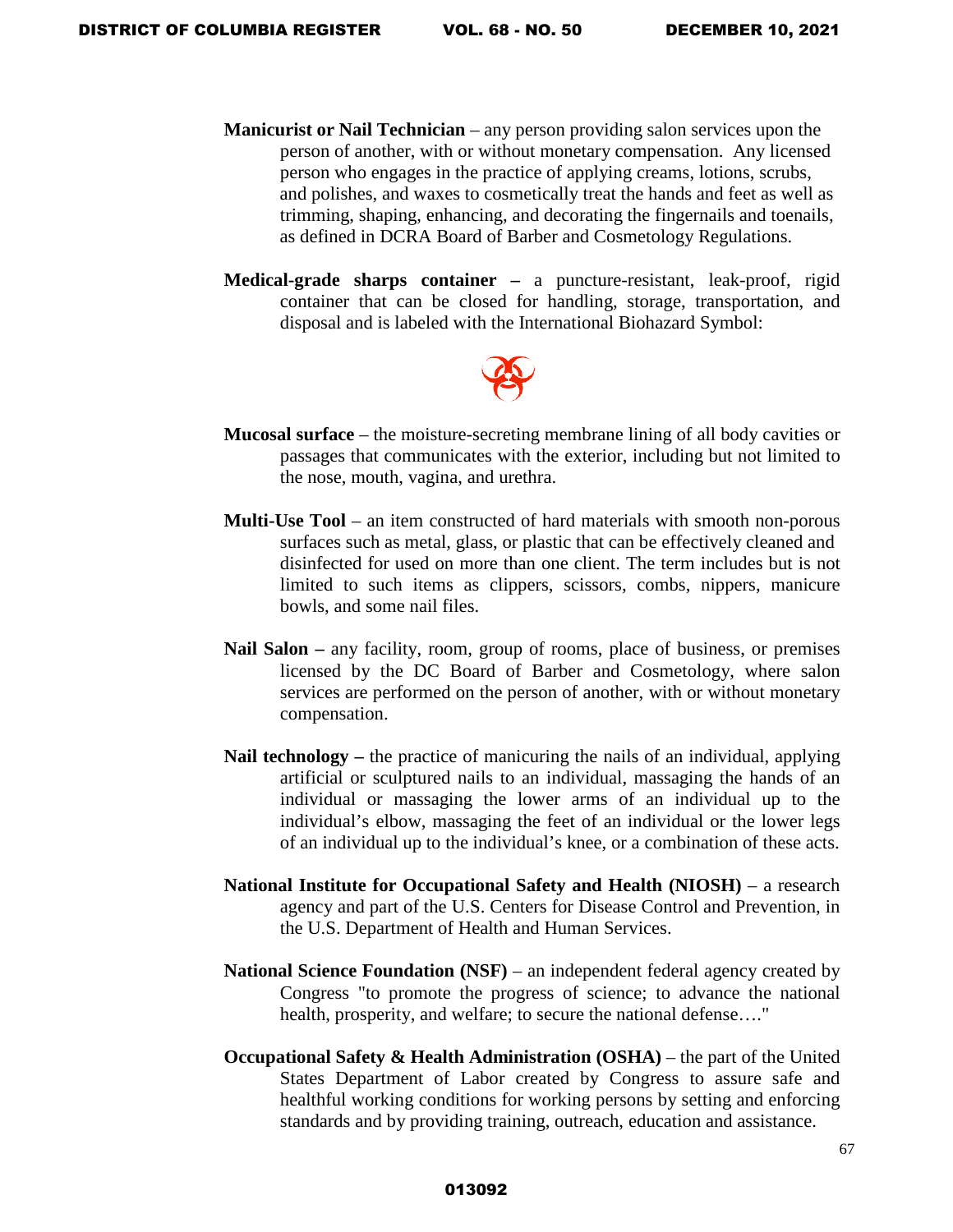- **Manicurist or Nail Technician** any person providing salon services upon the person of another, with or without monetary compensation. Any licensed person who engages in the practice of applying creams, lotions, scrubs, and polishes, and waxes to cosmetically treat the hands and feet as well as trimming, shaping, enhancing, and decorating the fingernails and toenails, as defined in DCRA Board of Barber and Cosmetology Regulations.
- **Medical-grade sharps container –** a puncture-resistant, leak-proof, rigid container that can be closed for handling, storage, transportation, and disposal and is labeled with the International Biohazard Symbol:



- **Mucosal surface** the moisture-secreting membrane lining of all body cavities or passages that communicates with the exterior, including but not limited to the nose, mouth, vagina, and urethra.
- **Multi-Use Tool** an item constructed of hard materials with smooth non-porous surfaces such as metal, glass, or plastic that can be effectively cleaned and disinfected for used on more than one client. The term includes but is not limited to such items as clippers, scissors, combs, nippers, manicure bowls, and some nail files.
- **Nail Salon** any facility, room, group of rooms, place of business, or premises licensed by the DC Board of Barber and Cosmetology, where salon services are performed on the person of another, with or without monetary compensation.
- **Nail technology** the practice of manicuring the nails of an individual, applying artificial or sculptured nails to an individual, massaging the hands of an individual or massaging the lower arms of an individual up to the individual's elbow, massaging the feet of an individual or the lower legs of an individual up to the individual's knee, or a combination of these acts.
- **National Institute for Occupational Safety and Health (NIOSH)** a research agency and part of the U.S. Centers for Disease Control and Prevention, in the U.S. Department of Health and Human Services.
- **National Science Foundation (NSF)** an independent federal agency created by Congress "to promote the progress of science; to advance the national health, prosperity, and welfare; to secure the national defense…."
- **Occupational Safety & Health Administration (OSHA)** the part of the United States Department of Labor created by Congress to assure safe and healthful working conditions for working persons by setting and enforcing standards and by providing training, outreach, education and assistance.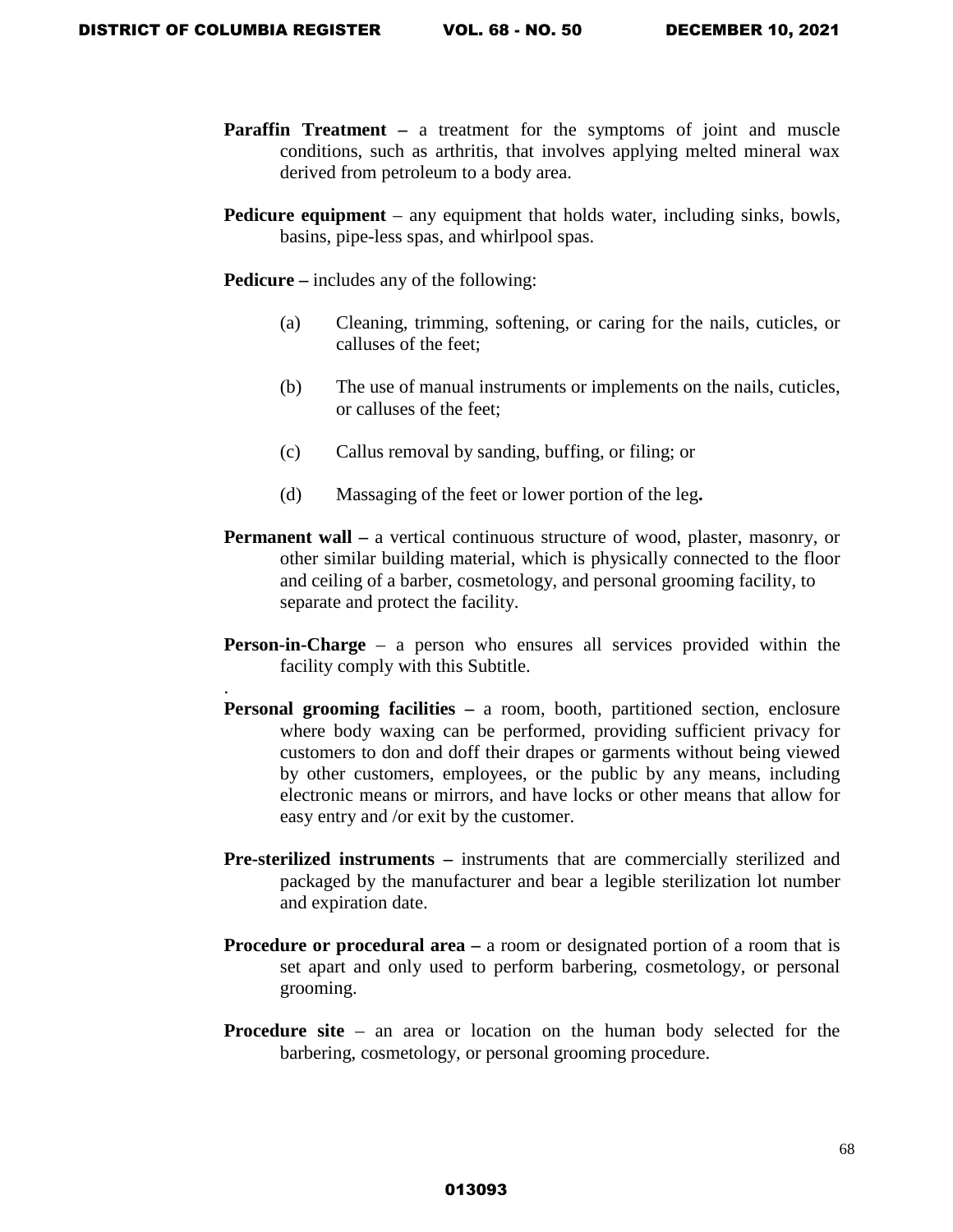.

- **Paraffin Treatment a treatment for the symptoms of joint and muscle** conditions, such as arthritis, that involves applying melted mineral wax derived from petroleum to a body area.
- **Pedicure equipment** any equipment that holds water, including sinks, bowls, basins, pipe-less spas, and whirlpool spas.

**Pedicure –** includes any of the following:

- (a) Cleaning, trimming, softening, or caring for the nails, cuticles, or calluses of the feet;
- (b) The use of manual instruments or implements on the nails, cuticles, or calluses of the feet;
- (c) Callus removal by sanding, buffing, or filing; or
- (d) Massaging of the feet or lower portion of the leg**.**
- **Permanent wall** a vertical continuous structure of wood, plaster, masonry, or other similar building material, which is physically connected to the floor and ceiling of a barber, cosmetology, and personal grooming facility, to separate and protect the facility.
- **Person-in-Charge** a person who ensures all services provided within the facility comply with this Subtitle.
- **Personal grooming facilities a room, booth, partitioned section, enclosure** where body waxing can be performed, providing sufficient privacy for customers to don and doff their drapes or garments without being viewed by other customers, employees, or the public by any means, including electronic means or mirrors, and have locks or other means that allow for easy entry and /or exit by the customer.
- **Pre-sterilized instruments –** instruments that are commercially sterilized and packaged by the manufacturer and bear a legible sterilization lot number and expiration date.
- **Procedure or procedural area –** a room or designated portion of a room that is set apart and only used to perform barbering, cosmetology, or personal grooming.
- **Procedure site** an area or location on the human body selected for the barbering, cosmetology, or personal grooming procedure.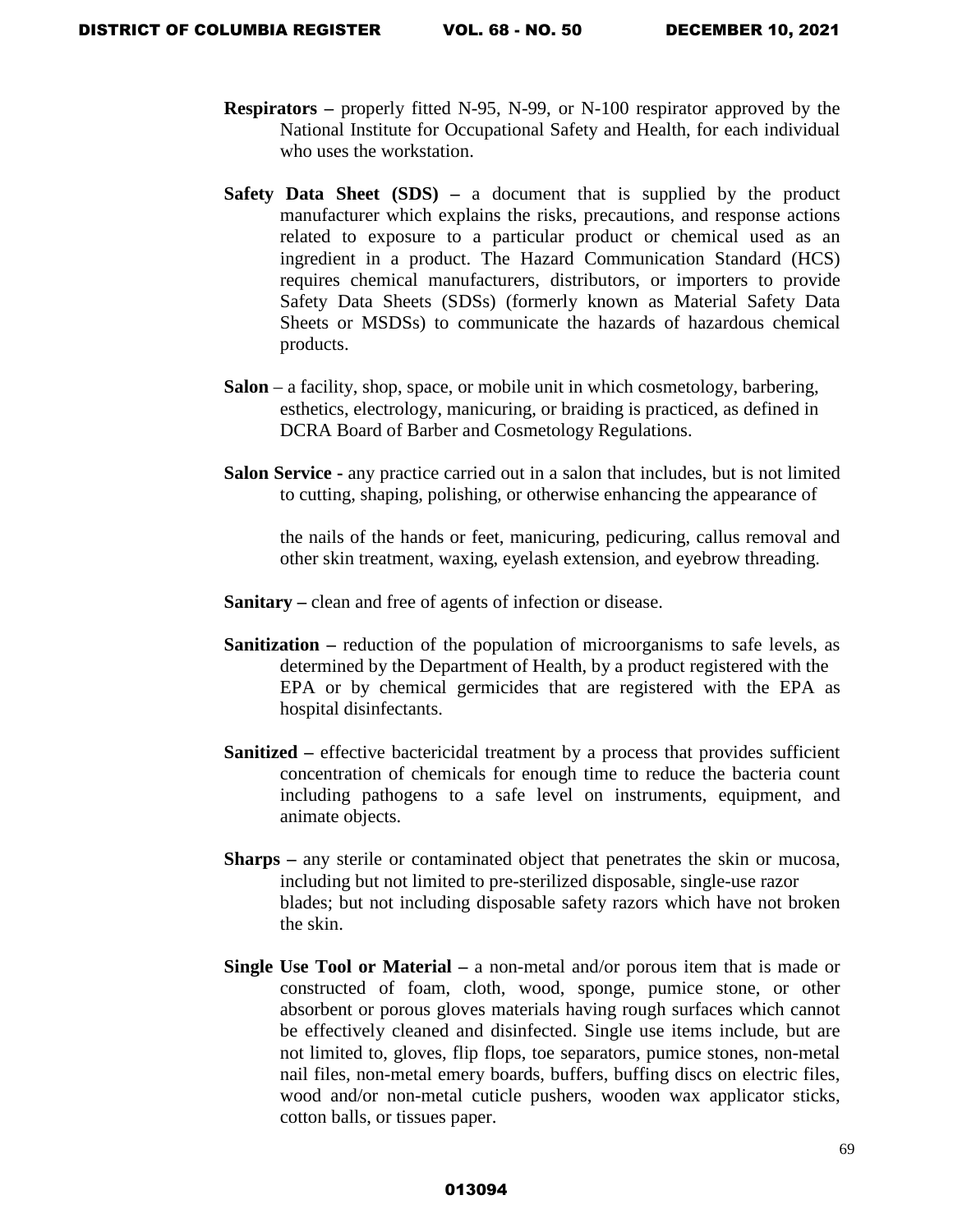- **Respirators** properly fitted N-95, N-99, or N-100 respirator approved by the National Institute for Occupational Safety and Health, for each individual who uses the workstation.
- **Safety Data Sheet (SDS)** a document that is supplied by the product manufacturer which explains the risks, precautions, and response actions related to exposure to a particular product or chemical used as an ingredient in a product. The Hazard Communication Standard (HCS) requires chemical manufacturers, distributors, or importers to provide Safety Data Sheets (SDSs) (formerly known as Material Safety Data Sheets or MSDSs) to communicate the hazards of hazardous chemical products.
- **Salon** a facility, shop, space, or mobile unit in which cosmetology, barbering, esthetics, electrology, manicuring, or braiding is practiced, as defined in DCRA Board of Barber and Cosmetology Regulations.
- **Salon Service -** any practice carried out in a salon that includes, but is not limited to cutting, shaping, polishing, or otherwise enhancing the appearance of

the nails of the hands or feet, manicuring, pedicuring, callus removal and other skin treatment, waxing, eyelash extension, and eyebrow threading.

- **Sanitary –** clean and free of agents of infection or disease.
- **Sanitization** reduction of the population of microorganisms to safe levels, as determined by the Department of Health, by a product registered with the EPA or by chemical germicides that are registered with the EPA as hospital disinfectants.
- **Sanitized –** effective bactericidal treatment by a process that provides sufficient concentration of chemicals for enough time to reduce the bacteria count including pathogens to a safe level on instruments, equipment, and animate objects.
- **Sharps** any sterile or contaminated object that penetrates the skin or mucosa, including but not limited to pre-sterilized disposable, single-use razor blades; but not including disposable safety razors which have not broken the skin.
- **Single Use Tool or Material** a non-metal and/or porous item that is made or constructed of foam, cloth, wood, sponge, pumice stone, or other absorbent or porous gloves materials having rough surfaces which cannot be effectively cleaned and disinfected. Single use items include, but are not limited to, gloves, flip flops, toe separators, pumice stones, non-metal nail files, non-metal emery boards, buffers, buffing discs on electric files, wood and/or non-metal cuticle pushers, wooden wax applicator sticks, cotton balls, or tissues paper.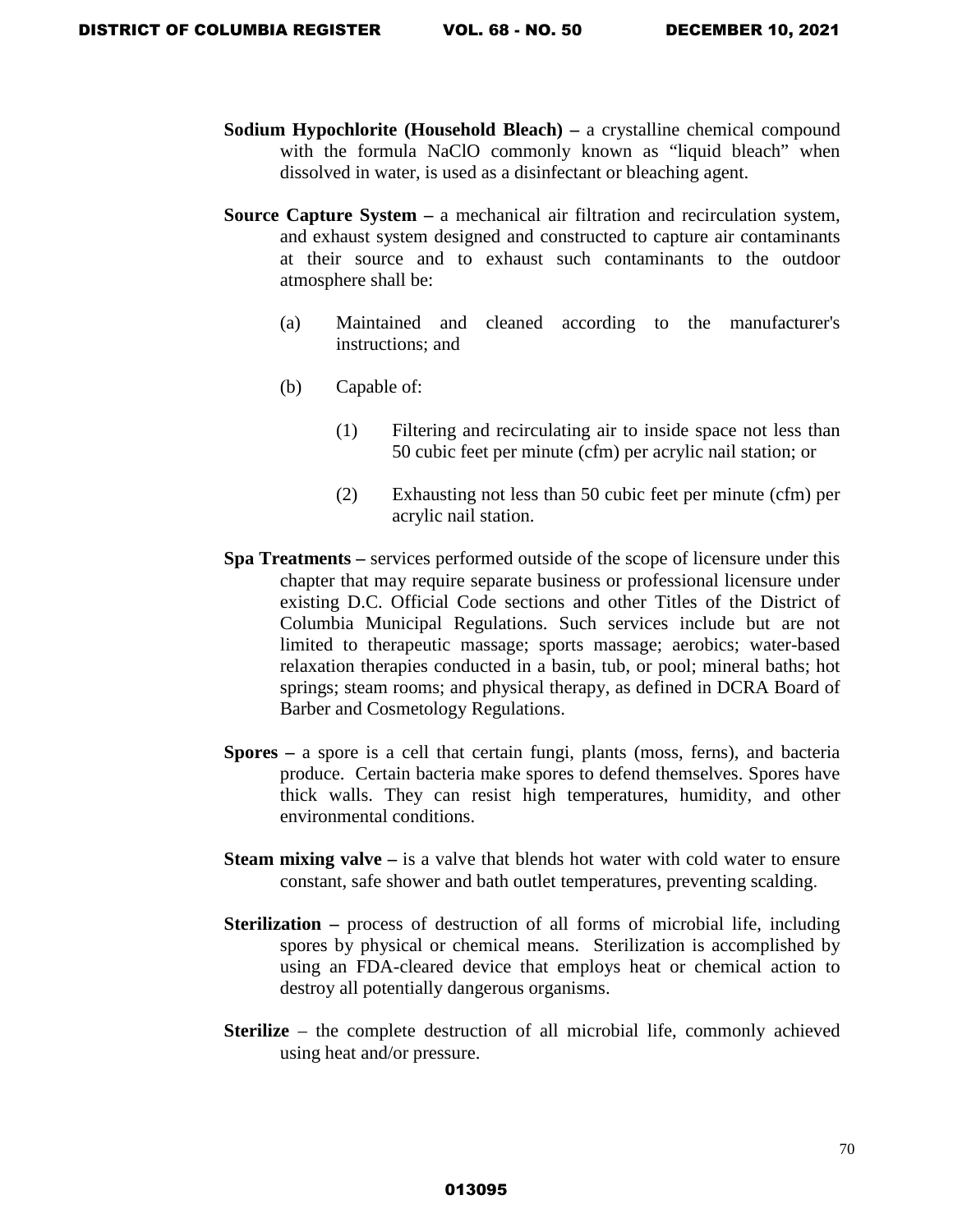- **Sodium Hypochlorite (Household Bleach)** a crystalline chemical compound with the formula NaClO commonly known as "liquid bleach" when dissolved in water, is used as a disinfectant or bleaching agent.
- **Source Capture System –** a mechanical air filtration and recirculation system, and exhaust system designed and constructed to capture air contaminants at their source and to exhaust such contaminants to the outdoor atmosphere shall be:
	- (a) Maintained and cleaned according to the manufacturer's instructions; and
	- (b) Capable of:
		- (1) Filtering and recirculating air to inside space not less than 50 cubic feet per minute (cfm) per acrylic nail station; or
		- (2) Exhausting not less than 50 cubic feet per minute (cfm) per acrylic nail station.
- **Spa Treatments** services performed outside of the scope of licensure under this chapter that may require separate business or professional licensure under existing D.C. Official Code sections and other Titles of the District of Columbia Municipal Regulations. Such services include but are not limited to therapeutic massage; sports massage; aerobics; water-based relaxation therapies conducted in a basin, tub, or pool; mineral baths; hot springs; steam rooms; and physical therapy, as defined in DCRA Board of Barber and Cosmetology Regulations.
- **Spores** a spore is a cell that certain fungi, plants (moss, ferns), and bacteria produce. Certain bacteria make spores to defend themselves. Spores have thick walls. They can resist high temperatures, humidity, and other environmental conditions.
- **Steam mixing valve** is a valve that blends hot water with cold water to ensure constant, safe shower and bath outlet temperatures, preventing scalding.
- **Sterilization** process of destruction of all forms of microbial life, including spores by physical or chemical means. Sterilization is accomplished by using an FDA-cleared device that employs heat or chemical action to destroy all potentially dangerous organisms.
- **Sterilize** the complete destruction of all microbial life, commonly achieved using heat and/or pressure.